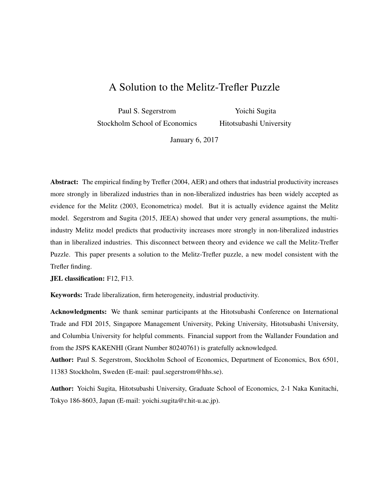# A Solution to the Melitz-Trefler Puzzle

Paul S. Segerstrom Stockholm School of Economics

Yoichi Sugita Hitotsubashi University

January 6, 2017

Abstract: The empirical finding by Trefler (2004, AER) and others that industrial productivity increases more strongly in liberalized industries than in non-liberalized industries has been widely accepted as evidence for the Melitz (2003, Econometrica) model. But it is actually evidence against the Melitz model. Segerstrom and Sugita (2015, JEEA) showed that under very general assumptions, the multiindustry Melitz model predicts that productivity increases more strongly in non-liberalized industries than in liberalized industries. This disconnect between theory and evidence we call the Melitz-Trefler Puzzle. This paper presents a solution to the Melitz-Trefler puzzle, a new model consistent with the Trefler finding.

JEL classification: F12, F13.

Keywords: Trade liberalization, firm heterogeneity, industrial productivity.

Acknowledgments: We thank seminar participants at the Hitotsubashi Conference on International Trade and FDI 2015, Singapore Management University, Peking University, Hitotsubashi University, and Columbia University for helpful comments. Financial support from the Wallander Foundation and from the JSPS KAKENHI (Grant Number 80240761) is gratefully acknowledged.

Author: Paul S. Segerstrom, Stockholm School of Economics, Department of Economics, Box 6501, 11383 Stockholm, Sweden (E-mail: paul.segerstrom@hhs.se).

Author: Yoichi Sugita, Hitotsubashi University, Graduate School of Economics, 2-1 Naka Kunitachi, Tokyo 186-8603, Japan (E-mail: yoichi.sugita@r.hit-u.ac.jp).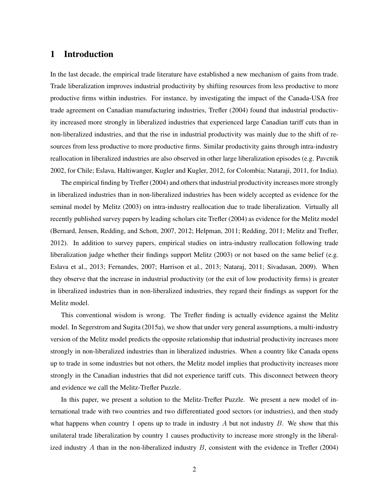## 1 Introduction

In the last decade, the empirical trade literature have established a new mechanism of gains from trade. Trade liberalization improves industrial productivity by shifting resources from less productive to more productive firms within industries. For instance, by investigating the impact of the Canada-USA free trade agreement on Canadian manufacturing industries, Trefler (2004) found that industrial productivity increased more strongly in liberalized industries that experienced large Canadian tariff cuts than in non-liberalized industries, and that the rise in industrial productivity was mainly due to the shift of resources from less productive to more productive firms. Similar productivity gains through intra-industry reallocation in liberalized industries are also observed in other large liberalization episodes (e.g. Pavcnik 2002, for Chile; Eslava, Haltiwanger, Kugler and Kugler, 2012, for Colombia; Nataraji, 2011, for India).

The empirical finding by Trefler (2004) and others that industrial productivity increases more strongly in liberalized industries than in non-liberalized industries has been widely accepted as evidence for the seminal model by Melitz (2003) on intra-industry reallocation due to trade liberalization. Virtually all recently published survey papers by leading scholars cite Trefler (2004) as evidence for the Melitz model (Bernard, Jensen, Redding, and Schott, 2007, 2012; Helpman, 2011; Redding, 2011; Melitz and Trefler, 2012). In addition to survey papers, empirical studies on intra-industry reallocation following trade liberalization judge whether their findings support Melitz (2003) or not based on the same belief (e.g. Eslava et al., 2013; Fernandes, 2007; Harrison et al., 2013; Nataraj, 2011; Sivadasan, 2009). When they observe that the increase in industrial productivity (or the exit of low productivity firms) is greater in liberalized industries than in non-liberalized industries, they regard their findings as support for the Melitz model.

This conventional wisdom is wrong. The Trefler finding is actually evidence against the Melitz model. In Segerstrom and Sugita (2015a), we show that under very general assumptions, a multi-industry version of the Melitz model predicts the opposite relationship that industrial productivity increases more strongly in non-liberalized industries than in liberalized industries. When a country like Canada opens up to trade in some industries but not others, the Melitz model implies that productivity increases more strongly in the Canadian industries that did not experience tariff cuts. This disconnect between theory and evidence we call the Melitz-Trefler Puzzle.

In this paper, we present a solution to the Melitz-Trefler Puzzle. We present a new model of international trade with two countries and two differentiated good sectors (or industries), and then study what happens when country 1 opens up to trade in industry A but not industry B. We show that this unilateral trade liberalization by country 1 causes productivity to increase more strongly in the liberalized industry A than in the non-liberalized industry  $B$ , consistent with the evidence in Trefler (2004)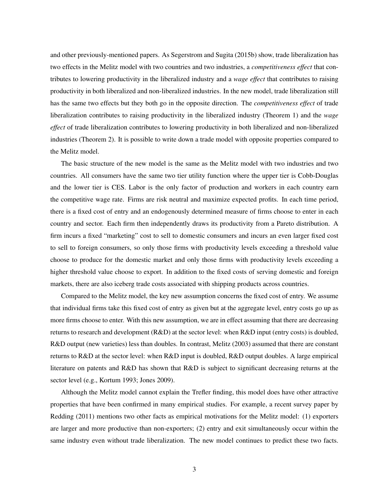and other previously-mentioned papers. As Segerstrom and Sugita (2015b) show, trade liberalization has two effects in the Melitz model with two countries and two industries, a *competitiveness effect* that contributes to lowering productivity in the liberalized industry and a *wage effect* that contributes to raising productivity in both liberalized and non-liberalized industries. In the new model, trade liberalization still has the same two effects but they both go in the opposite direction. The *competitiveness effect* of trade liberalization contributes to raising productivity in the liberalized industry (Theorem 1) and the *wage effect* of trade liberalization contributes to lowering productivity in both liberalized and non-liberalized industries (Theorem 2). It is possible to write down a trade model with opposite properties compared to the Melitz model.

The basic structure of the new model is the same as the Melitz model with two industries and two countries. All consumers have the same two tier utility function where the upper tier is Cobb-Douglas and the lower tier is CES. Labor is the only factor of production and workers in each country earn the competitive wage rate. Firms are risk neutral and maximize expected profits. In each time period, there is a fixed cost of entry and an endogenously determined measure of firms choose to enter in each country and sector. Each firm then independently draws its productivity from a Pareto distribution. A firm incurs a fixed "marketing" cost to sell to domestic consumers and incurs an even larger fixed cost to sell to foreign consumers, so only those firms with productivity levels exceeding a threshold value choose to produce for the domestic market and only those firms with productivity levels exceeding a higher threshold value choose to export. In addition to the fixed costs of serving domestic and foreign markets, there are also iceberg trade costs associated with shipping products across countries.

Compared to the Melitz model, the key new assumption concerns the fixed cost of entry. We assume that individual firms take this fixed cost of entry as given but at the aggregate level, entry costs go up as more firms choose to enter. With this new assumption, we are in effect assuming that there are decreasing returns to research and development (R&D) at the sector level: when R&D input (entry costs) is doubled, R&D output (new varieties) less than doubles. In contrast, Melitz (2003) assumed that there are constant returns to R&D at the sector level: when R&D input is doubled, R&D output doubles. A large empirical literature on patents and R&D has shown that R&D is subject to significant decreasing returns at the sector level (e.g., Kortum 1993; Jones 2009).

Although the Melitz model cannot explain the Trefler finding, this model does have other attractive properties that have been confirmed in many empirical studies. For example, a recent survey paper by Redding (2011) mentions two other facts as empirical motivations for the Melitz model: (1) exporters are larger and more productive than non-exporters; (2) entry and exit simultaneously occur within the same industry even without trade liberalization. The new model continues to predict these two facts.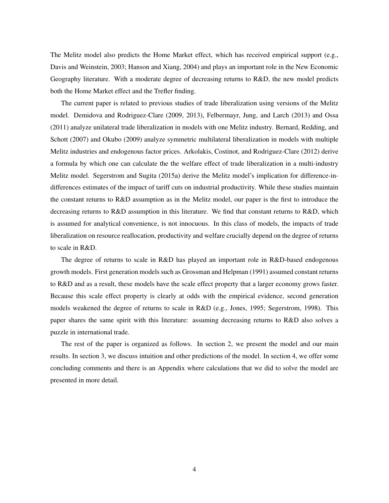The Melitz model also predicts the Home Market effect, which has received empirical support (e.g., Davis and Weinstein, 2003; Hanson and Xiang, 2004) and plays an important role in the New Economic Geography literature. With a moderate degree of decreasing returns to R&D, the new model predicts both the Home Market effect and the Trefler finding.

The current paper is related to previous studies of trade liberalization using versions of the Melitz model. Demidova and Rodriguez-Clare (2009, 2013), Felbermayr, Jung, and Larch (2013) and Ossa (2011) analyze unilateral trade liberalization in models with one Melitz industry. Bernard, Redding, and Schott (2007) and Okubo (2009) analyze symmetric multilateral liberalization in models with multiple Melitz industries and endogenous factor prices. Arkolakis, Costinot, and Rodriguez-Clare (2012) derive a formula by which one can calculate the the welfare effect of trade liberalization in a multi-industry Melitz model. Segerstrom and Sugita (2015a) derive the Melitz model's implication for difference-indifferences estimates of the impact of tariff cuts on industrial productivity. While these studies maintain the constant returns to R&D assumption as in the Melitz model, our paper is the first to introduce the decreasing returns to R&D assumption in this literature. We find that constant returns to R&D, which is assumed for analytical convenience, is not innocuous. In this class of models, the impacts of trade liberalization on resource reallocation, productivity and welfare crucially depend on the degree of returns to scale in R&D.

The degree of returns to scale in R&D has played an important role in R&D-based endogenous growth models. First generation models such as Grossman and Helpman (1991) assumed constant returns to R&D and as a result, these models have the scale effect property that a larger economy grows faster. Because this scale effect property is clearly at odds with the empirical evidence, second generation models weakened the degree of returns to scale in R&D (e.g., Jones, 1995; Segerstrom, 1998). This paper shares the same spirit with this literature: assuming decreasing returns to R&D also solves a puzzle in international trade.

The rest of the paper is organized as follows. In section 2, we present the model and our main results. In section 3, we discuss intuition and other predictions of the model. In section 4, we offer some concluding comments and there is an Appendix where calculations that we did to solve the model are presented in more detail.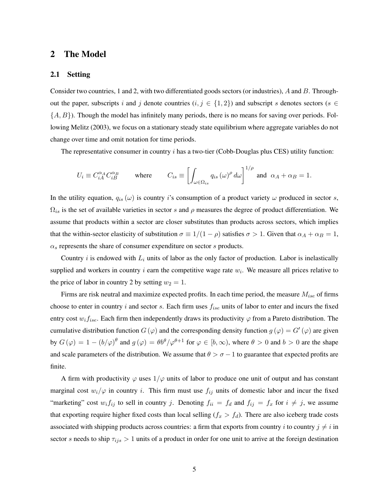### 2 The Model

#### 2.1 Setting

Consider two countries, 1 and 2, with two differentiated goods sectors (or industries), A and B. Throughout the paper, subscripts i and j denote countries  $(i, j \in \{1, 2\})$  and subscript s denotes sectors (s  $\in$  $\{A, B\}$ ). Though the model has infinitely many periods, there is no means for saving over periods. Following Melitz (2003), we focus on a stationary steady state equilibrium where aggregate variables do not change over time and omit notation for time periods.

The representative consumer in country  $i$  has a two-tier (Cobb-Douglas plus CES) utility function:

$$
U_i \equiv C_{iA}^{\alpha A} C_{iB}^{\alpha B} \qquad \text{where} \qquad C_{is} \equiv \left[ \int_{\omega \in \Omega_{is}} q_{is} \left( \omega \right)^{\rho} d\omega \right]^{1/\rho} \text{ and } \alpha_A + \alpha_B = 1.
$$

In the utility equation,  $q_{is}(\omega)$  is country i's consumption of a product variety  $\omega$  produced in sector s,  $\Omega_{is}$  is the set of available varieties in sector s and  $\rho$  measures the degree of product differentiation. We assume that products within a sector are closer substitutes than products across sectors, which implies that the within-sector elasticity of substitution  $\sigma \equiv 1/(1 - \rho)$  satisfies  $\sigma > 1$ . Given that  $\alpha_A + \alpha_B = 1$ ,  $\alpha_s$  represents the share of consumer expenditure on sector s products.

Country  $i$  is endowed with  $L_i$  units of labor as the only factor of production. Labor is inelastically supplied and workers in country i earn the competitive wage rate  $w_i$ . We measure all prices relative to the price of labor in country 2 by setting  $w_2 = 1$ .

Firms are risk neutral and maximize expected profits. In each time period, the measure  $M_{ise}$  of firms choose to enter in country i and sector s. Each firm uses  $f_{ise}$  units of labor to enter and incurs the fixed entry cost  $w_i f_{ise}$ . Each firm then independently draws its productivity  $\varphi$  from a Pareto distribution. The cumulative distribution function  $G(\varphi)$  and the corresponding density function  $g(\varphi) = G'(\varphi)$  are given by  $G(\varphi) = 1 - (b/\varphi)^\theta$  and  $g(\varphi) = \theta b^\theta/\varphi^{\theta+1}$  for  $\varphi \in [b,\infty)$ , where  $\theta > 0$  and  $b > 0$  are the shape and scale parameters of the distribution. We assume that  $\theta > \sigma - 1$  to guarantee that expected profits are finite.

A firm with productivity  $\varphi$  uses  $1/\varphi$  units of labor to produce one unit of output and has constant marginal cost  $w_i/\varphi$  in country i. This firm must use  $f_{ij}$  units of domestic labor and incur the fixed "marketing" cost  $w_i f_{ij}$  to sell in country j. Denoting  $f_{ii} = f_d$  and  $f_{ij} = f_x$  for  $i \neq j$ , we assume that exporting require higher fixed costs than local selling  $(f_x > f_d)$ . There are also iceberg trade costs associated with shipping products across countries: a firm that exports from country i to country  $j \neq i$  in sector s needs to ship  $\tau_{ijs} > 1$  units of a product in order for one unit to arrive at the foreign destination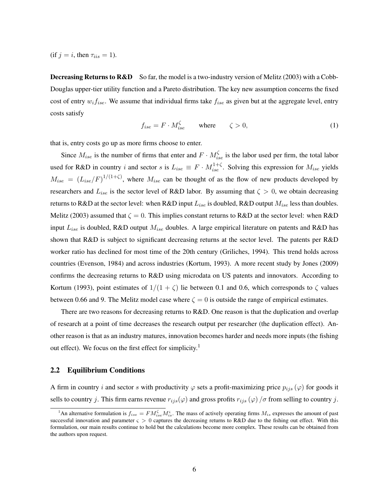(if  $j = i$ , then  $\tau_{iis} = 1$ ).

**Decreasing Returns to R&D** So far, the model is a two-industry version of Melitz (2003) with a Cobb-Douglas upper-tier utility function and a Pareto distribution. The key new assumption concerns the fixed cost of entry  $w_i f_{ise}$ . We assume that individual firms take  $f_{ise}$  as given but at the aggregate level, entry costs satisfy

$$
f_{ise} = F \cdot M_{ise}^{\zeta} \qquad \text{where} \qquad \zeta > 0,
$$
 (1)

that is, entry costs go up as more firms choose to enter.

Since  $M_{ise}$  is the number of firms that enter and  $F \cdot M_{ise}^{\zeta}$  is the labor used per firm, the total labor used for R&D in country i and sector s is  $L_{ise} \equiv F \cdot M_{ise}^{1+\zeta}$ . Solving this expression for  $M_{ise}$  yields  $M_{ise} = (L_{ise}/F)^{1/(1+\zeta)}$ , where  $M_{ise}$  can be thought of as the flow of new products developed by researchers and  $L_{ise}$  is the sector level of R&D labor. By assuming that  $\zeta > 0$ , we obtain decreasing returns to R&D at the sector level: when R&D input  $L_{ise}$  is doubled, R&D output  $M_{ise}$  less than doubles. Melitz (2003) assumed that  $\zeta = 0$ . This implies constant returns to R&D at the sector level: when R&D input  $L_{ise}$  is doubled, R&D output  $M_{ise}$  doubles. A large empirical literature on patents and R&D has shown that R&D is subject to significant decreasing returns at the sector level. The patents per R&D worker ratio has declined for most time of the 20th century (Griliches, 1994). This trend holds across countries (Evenson, 1984) and across industries (Kortum, 1993). A more recent study by Jones (2009) confirms the decreasing returns to R&D using microdata on US patents and innovators. According to Kortum (1993), point estimates of  $1/(1 + \zeta)$  lie between 0.1 and 0.6, which corresponds to  $\zeta$  values between 0.66 and 9. The Melitz model case where  $\zeta = 0$  is outside the range of empirical estimates.

There are two reasons for decreasing returns to R&D. One reason is that the duplication and overlap of research at a point of time decreases the research output per researcher (the duplication effect). Another reason is that as an industry matures, innovation becomes harder and needs more inputs (the fishing out effect). We focus on the first effect for simplicity.<sup>1</sup>

#### 2.2 Equilibrium Conditions

A firm in country i and sector s with productivity  $\varphi$  sets a profit-maximizing price  $p_{ijs}(\varphi)$  for goods it sells to country j. This firm earns revenue  $r_{ijs}(\varphi)$  and gross profits  $r_{ijs}(\varphi)/\sigma$  from selling to country j.

<sup>&</sup>lt;sup>1</sup>An alternative formulation is  $f_{ise} = FM_{ise}^{\zeta}M_{is}^{\zeta}$ . The mass of actively operating firms  $M_{is}$  expresses the amount of past successful innovation and parameter  $\varsigma > 0$  captures the decreasing returns to R&D due to the fishing out effect. With this formulation, our main results continue to hold but the calculations become more complex. These results can be obtained from the authors upon request.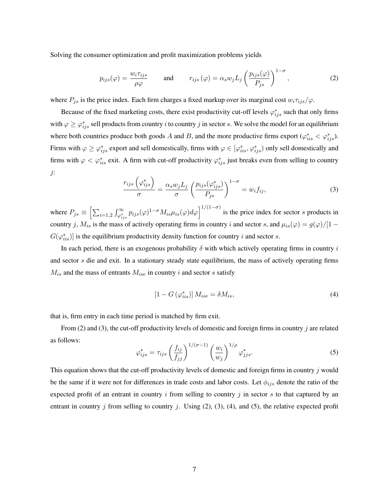Solving the consumer optimization and profit maximization problems yields

$$
p_{ijs}(\varphi) = \frac{w_i \tau_{ijs}}{\rho \varphi} \quad \text{and} \quad r_{ijs}(\varphi) = \alpha_s w_j L_j \left(\frac{p_{ijs}(\varphi)}{P_{js}}\right)^{1-\sigma}, \quad (2)
$$

where  $P_{js}$  is the price index. Each firm charges a fixed markup over its marginal cost  $w_i \tau_{ijs}/\varphi$ .

Because of the fixed marketing costs, there exist productivity cut-off levels  $\varphi_{ijs}^*$  such that only firms with  $\varphi \geq \varphi^*_{ijs}$  sell products from country i to country j in sector s. We solve the model for an equilibrium where both countries produce both goods A and B, and the more productive firms export  $(\varphi_{iis}^* < \varphi_{ijs}^*)$ . Firms with  $\varphi \ge \varphi^*_{ijs}$  export and sell domestically, firms with  $\varphi \in [\varphi^*_{iis}, \varphi^*_{ijs})$  only sell domestically and firms with  $\varphi < \varphi^*_{iis}$  exit. A firm with cut-off productivity  $\varphi^*_{ijs}$  just breaks even from selling to country j:

$$
\frac{r_{ijs}\left(\varphi_{ijs}^*\right)}{\sigma} = \frac{\alpha_s w_j L_j}{\sigma} \left(\frac{p_{ijs}(\varphi_{ijs}^*)}{P_{js}}\right)^{1-\sigma} = w_i f_{ij},\tag{3}
$$

where  $P_{js} \equiv \left[ \sum_{i=1,2} \int_{\varphi_{ijs}^*}^{\infty} p_{ijs}(\varphi)^{1-\sigma} M_{is} \mu_{is}(\varphi) d\varphi \right]^{1/(1-\sigma)}$  is the price index for sector s products in country j,  $M_{is}$  is the mass of actively operating firms in country i and sector s, and  $\mu_{is}(\varphi) = g(\varphi)/[1 - \varphi]$  $G(\varphi_{iis}^*)$ ] is the equilibrium productivity density function for country i and sector s.

In each period, there is an exogenous probability  $\delta$  with which actively operating firms in country i and sector s die and exit. In a stationary steady state equilibrium, the mass of actively operating firms  $M_{is}$  and the mass of entrants  $M_{ise}$  in country i and sector s satisfy

$$
\left[1 - G\left(\varphi_{iis}^*\right)\right] M_{ise} = \delta M_{is},\tag{4}
$$

that is, firm entry in each time period is matched by firm exit.

From (2) and (3), the cut-off productivity levels of domestic and foreign firms in country j are related as follows:

$$
\varphi_{ijs}^* = \tau_{ijs} \left(\frac{f_{ij}}{f_{jj}}\right)^{1/(\sigma-1)} \left(\frac{w_i}{w_j}\right)^{1/\rho} \varphi_{jjs}^*.
$$
\n(5)

This equation shows that the cut-off productivity levels of domestic and foreign firms in country j would be the same if it were not for differences in trade costs and labor costs. Let  $\phi_{ijs}$  denote the ratio of the expected profit of an entrant in country  $i$  from selling to country  $j$  in sector  $s$  to that captured by an entrant in country j from selling to country j. Using  $(2)$ ,  $(3)$ ,  $(4)$ , and  $(5)$ , the relative expected profit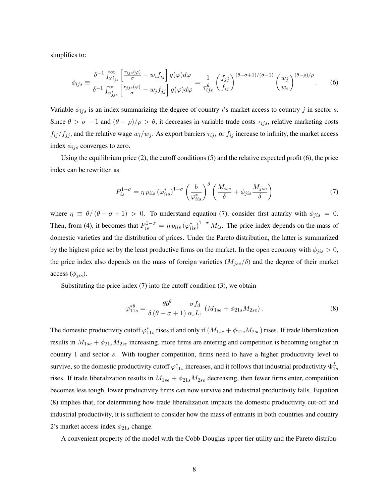simplifies to:

$$
\phi_{ijs} \equiv \frac{\delta^{-1} \int_{\varphi_{ijs}^*}^{\infty} \left[ \frac{r_{ijs}(\varphi)}{\sigma} - w_i f_{ij} \right] g(\varphi) d\varphi}{\delta^{-1} \int_{\varphi_{jjs}^*}^{\infty} \left[ \frac{r_{jjs}(\varphi)}{\sigma} - w_j f_{ij} \right] g(\varphi) d\varphi} = \frac{1}{\tau_{ijs}^{\theta}} \left( \frac{f_{jj}}{f_{ij}} \right)^{(\theta - \sigma + 1)/(\sigma - 1)} \left( \frac{w_j}{w_i} \right)^{(\theta - \rho)/\rho} . \tag{6}
$$

Variable  $\phi_{ijs}$  is an index summarizing the degree of country i's market access to country j in sector s. Since  $\theta > \sigma - 1$  and  $(\theta - \rho)/\rho > \theta$ , it decreases in variable trade costs  $\tau_{ijs}$ , relative marketing costs  $f_{ij}/f_{jj}$ , and the relative wage  $w_i/w_j$ . As export barriers  $\tau_{ijs}$  or  $f_{ij}$  increase to infinity, the market access index  $\phi_{ijs}$  converges to zero.

Using the equilibrium price (2), the cutoff conditions (5) and the relative expected profit (6), the price index can be rewritten as

$$
P_{is}^{1-\sigma} = \eta \, p_{iis} \, (\varphi_{iis}^*)^{1-\sigma} \left(\frac{b}{\varphi_{iis}^*}\right)^{\theta} \left(\frac{M_{ise}}{\delta} + \phi_{jis} \frac{M_{jse}}{\delta}\right) \tag{7}
$$

where  $\eta \equiv \theta/(\theta - \sigma + 1) > 0$ . To understand equation (7), consider first autarky with  $\phi_{jis} = 0$ . Then, from (4), it becomes that  $P_{is}^{1-\sigma} = \eta p_{iis} (\varphi_{iis}^*)^{1-\sigma} M_{is}$ . The price index depends on the mass of domestic varieties and the distribution of prices. Under the Pareto distribution, the latter is summarized by the highest price set by the least productive firms on the market. In the open economy with  $\phi_{jis} > 0$ , the price index also depends on the mass of foreign varieties  $(M_{jse}/\delta)$  and the degree of their market access  $(\phi_{iis})$ .

Substituting the price index  $(7)$  into the cutoff condition  $(3)$ , we obtain

$$
\varphi_{11s}^{*\theta} = \frac{\theta b^{\theta}}{\delta \left(\theta - \sigma + 1\right)} \frac{\sigma f_d}{\alpha_s L_1} \left(M_{1se} + \phi_{21s} M_{2se}\right). \tag{8}
$$

The domestic productivity cutoff  $\varphi_{11s}^*$  rises if and only if  $(M_{1se} + \phi_{21s}M_{2se})$  rises. If trade liberalization results in  $M_{1se} + \phi_{21s} M_{2se}$  increasing, more firms are entering and competition is becoming tougher in country 1 and sector s. With tougher competition, firms need to have a higher productivity level to survive, so the domestic productivity cutoff  $\varphi^*_{11s}$  increases, and it follows that industrial productivity  $\Phi^L_{1s}$ rises. If trade liberalization results in  $M_{1se} + \phi_{21s} M_{2se}$  decreasing, then fewer firms enter, competition becomes less tough, lower productivity firms can now survive and industrial productivity falls. Equation (8) implies that, for determining how trade liberalization impacts the domestic productivity cut-off and industrial productivity, it is sufficient to consider how the mass of entrants in both countries and country 2's market access index  $\phi_{21s}$  change.

A convenient property of the model with the Cobb-Douglas upper tier utility and the Pareto distribu-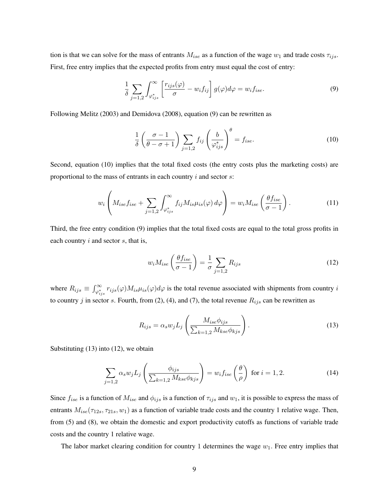tion is that we can solve for the mass of entrants  $M_{ise}$  as a function of the wage  $w_1$  and trade costs  $\tau_{ijs}$ . First, free entry implies that the expected profits from entry must equal the cost of entry:

$$
\frac{1}{\delta} \sum_{j=1,2} \int_{\varphi_{ijs}^*}^{\infty} \left[ \frac{r_{ijs}(\varphi)}{\sigma} - w_i f_{ij} \right] g(\varphi) d\varphi = w_i f_{ise}.
$$
\n(9)

Following Melitz (2003) and Demidova (2008), equation (9) can be rewritten as

$$
\frac{1}{\delta} \left( \frac{\sigma - 1}{\theta - \sigma + 1} \right) \sum_{j=1,2} f_{ij} \left( \frac{b}{\varphi_{ijs}^*} \right)^{\theta} = f_{ise}.
$$
 (10)

Second, equation (10) implies that the total fixed costs (the entry costs plus the marketing costs) are proportional to the mass of entrants in each country  $i$  and sector  $s$ :

$$
w_i \left( M_{ise} f_{ise} + \sum_{j=1,2} \int_{\varphi_{ijs}^*}^{\infty} f_{ij} M_{is} \mu_{is}(\varphi) d\varphi \right) = w_i M_{ise} \left( \frac{\theta f_{ise}}{\sigma - 1} \right). \tag{11}
$$

Third, the free entry condition (9) implies that the total fixed costs are equal to the total gross profits in each country  $i$  and sector  $s$ , that is,

$$
w_i M_{ise} \left( \frac{\theta f_{ise}}{\sigma - 1} \right) = \frac{1}{\sigma} \sum_{j=1,2} R_{ijs} \tag{12}
$$

where  $R_{ijs} \equiv \int_{\varphi_{ijs}^*}^{\infty} r_{ijs}(\varphi) M_{is} \mu_{is}(\varphi) d\varphi$  is the total revenue associated with shipments from country *i* to country j in sector s. Fourth, from (2), (4), and (7), the total revenue  $R_{ijs}$  can be rewritten as

$$
R_{ijs} = \alpha_s w_j L_j \left( \frac{M_{ise}\phi_{ijs}}{\sum_{k=1,2} M_{kse}\phi_{kjs}} \right).
$$
 (13)

Substituting (13) into (12), we obtain

$$
\sum_{j=1,2} \alpha_s w_j L_j \left( \frac{\phi_{ijs}}{\sum_{k=1,2} M_{kse} \phi_{kjs}} \right) = w_i f_{ise} \left( \frac{\theta}{\rho} \right) \text{ for } i = 1, 2. \tag{14}
$$

Since  $f_{ise}$  is a function of  $M_{ise}$  and  $\phi_{ijs}$  is a function of  $\tau_{ijs}$  and  $w_1$ , it is possible to express the mass of entrants  $M_{ise}(\tau_{12s}, \tau_{21s}, w_1)$  as a function of variable trade costs and the country 1 relative wage. Then, from (5) and (8), we obtain the domestic and export productivity cutoffs as functions of variable trade costs and the country 1 relative wage.

The labor market clearing condition for country 1 determines the wage  $w_1$ . Free entry implies that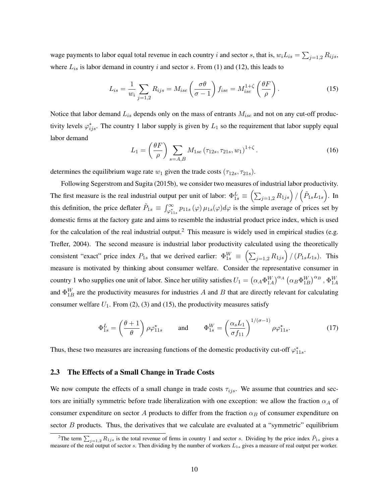wage payments to labor equal total revenue in each country i and sector s, that is,  $w_i L_{is} = \sum_{j=1,2} R_{ijs}$ , where  $L_{is}$  is labor demand in country i and sector s. From (1) and (12), this leads to

$$
L_{is} = \frac{1}{w_i} \sum_{j=1,2} R_{ijs} = M_{ise} \left(\frac{\sigma \theta}{\sigma - 1}\right) f_{ise} = M_{ise}^{1+\zeta} \left(\frac{\theta F}{\rho}\right). \tag{15}
$$

Notice that labor demand  $L_{is}$  depends only on the mass of entrants  $M_{ise}$  and not on any cut-off productivity levels  $\varphi_{ijs}^*$ . The country 1 labor supply is given by  $L_1$  so the requirement that labor supply equal labor demand

$$
L_1 = \left(\frac{\theta F}{\rho}\right) \sum_{s=A,B} M_{1se} \left(\tau_{12s}, \tau_{21s}, w_1\right)^{1+\zeta}.
$$
 (16)

determines the equilibrium wage rate  $w_1$  given the trade costs  $(\tau_{12s}, \tau_{21s})$ .

Following Segerstrom and Sugita (2015b), we consider two measures of industrial labor productivity. The first measure is the real industrial output per unit of labor:  $\Phi_{1s}^L \equiv \left(\sum_{j=1,2} R_{1js}\right) / \left(\tilde{P}_{1s} L_{1s}\right)$ . In this definition, the price deflater  $\tilde{P}_{1s} \equiv \int_{\varphi_{11s}}^{\infty} p_{11s}(\varphi) \mu_{1s}(\varphi) d\varphi$  is the simple average of prices set by domestic firms at the factory gate and aims to resemble the industrial product price index, which is used for the calculation of the real industrial output.<sup>2</sup> This measure is widely used in empirical studies (e.g. Trefler, 2004). The second measure is industrial labor productivity calculated using the theoretically consistent "exact" price index  $P_{1s}$  that we derived earlier:  $\Phi_{1s}^W \equiv \left(\sum_{j=1,2} R_{1js}\right) / (P_{1s} L_{1s})$ . This measure is motivated by thinking about consumer welfare. Consider the representative consumer in country 1 who supplies one unit of labor. Since her utility satisfies  $U_1 = (\alpha_A \Phi_{1A}^W)^{\alpha_A} (\alpha_B \Phi_{1B}^W)^{\alpha_B}$ ,  $\Phi_{1A}^W$ and  $\Phi_{1B}^W$  are the productivity measures for industries A and B that are directly relevant for calculating consumer welfare  $U_1$ . From (2), (3) and (15), the productivity measures satisfy

$$
\Phi_{1s}^{L} = \left(\frac{\theta + 1}{\theta}\right) \rho \varphi_{11s}^{*} \quad \text{and} \quad \Phi_{1s}^{W} = \left(\frac{\alpha_s L_1}{\sigma f_{11}}\right)^{1/(\sigma - 1)} \rho \varphi_{11s}^{*}.
$$
 (17)

Thus, these two measures are increasing functions of the domestic productivity cut-off  $\varphi_{11s}^*$ .

#### 2.3 The Effects of a Small Change in Trade Costs

We now compute the effects of a small change in trade costs  $\tau_{ijs}$ . We assume that countries and sectors are initially symmetric before trade liberalization with one exception: we allow the fraction  $\alpha_A$  of consumer expenditure on sector A products to differ from the fraction  $\alpha_B$  of consumer expenditure on sector  $B$  products. Thus, the derivatives that we calculate are evaluated at a "symmetric" equilibrium

<sup>&</sup>lt;sup>2</sup>The term  $\sum_{j=1,2} R_{1j s}$  is the total revenue of firms in country 1 and sector s. Dividing by the price index  $\tilde{P}_{1s}$  gives a measure of the real output of sector s. Then dividing by the number of workers  $L_{1s}$  gives a measure of real output per worker.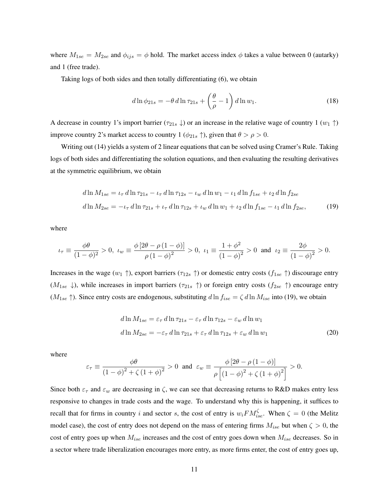where  $M_{1se} = M_{2se}$  and  $\phi_{ijs} = \phi$  hold. The market access index  $\phi$  takes a value between 0 (autarky) and 1 (free trade).

Taking logs of both sides and then totally differentiating (6), we obtain

$$
d\ln\phi_{21s} = -\theta \, d\ln\tau_{21s} + \left(\frac{\theta}{\rho} - 1\right) d\ln w_1. \tag{18}
$$

A decrease in country 1's import barrier ( $\tau_{21s} \downarrow$ ) or an increase in the relative wage of country 1 ( $w_1 \uparrow$ ) improve country 2's market access to country 1 ( $\phi_{21s}$   $\uparrow$ ), given that  $\theta > \rho > 0$ .

Writing out (14) yields a system of 2 linear equations that can be solved using Cramer's Rule. Taking logs of both sides and differentiating the solution equations, and then evaluating the resulting derivatives at the symmetric equilibrium, we obtain

$$
d\ln M_{1se} = \iota_{\tau} d\ln \tau_{21s} - \iota_{\tau} d\ln \tau_{12s} - \iota_{w} d\ln w_{1} - \iota_{1} d\ln f_{1se} + \iota_{2} d\ln f_{2se}
$$
  

$$
d\ln M_{2se} = -\iota_{\tau} d\ln \tau_{21s} + \iota_{\tau} d\ln \tau_{12s} + \iota_{w} d\ln w_{1} + \iota_{2} d\ln f_{1se} - \iota_{1} d\ln f_{2se},
$$
 (19)

where

$$
\iota_{\tau} \equiv \frac{\phi \theta}{(1-\phi)^2} > 0, \quad \iota_{w} \equiv \frac{\phi \left[ 2 \theta - \rho \left( 1 - \phi \right) \right]}{\rho \left( 1 - \phi \right)^2} > 0, \quad \iota_{1} \equiv \frac{1+\phi^2}{\left( 1 - \phi \right)^2} > 0 \quad \text{and} \quad \iota_{2} \equiv \frac{2\phi}{\left( 1 - \phi \right)^2} > 0.
$$

Increases in the wage  $(w_1 \uparrow)$ , export barriers  $(\tau_{12s} \uparrow)$  or domestic entry costs  $(f_{1se} \uparrow)$  discourage entry  $(M_{1se}\downarrow)$ , while increases in import barriers  $(\tau_{21s}\uparrow)$  or foreign entry costs  $(f_{2se}\uparrow)$  encourage entry  $(M_{1se} \uparrow)$ . Since entry costs are endogenous, substituting  $d \ln f_{ise} = \zeta d \ln M_{ise}$  into (19), we obtain

$$
d\ln M_{1se} = \varepsilon_{\tau} d\ln \tau_{21s} - \varepsilon_{\tau} d\ln \tau_{12s} - \varepsilon_{w} d\ln w_{1}
$$
  

$$
d\ln M_{2se} = -\varepsilon_{\tau} d\ln \tau_{21s} + \varepsilon_{\tau} d\ln \tau_{12s} + \varepsilon_{w} d\ln w_{1}
$$
 (20)

where

$$
\varepsilon_{\tau} \equiv \frac{\phi \theta}{\left(1-\phi\right)^2 + \zeta \left(1+\phi\right)^2} > 0 \text{ and } \varepsilon_w \equiv \frac{\phi \left[2\theta - \rho \left(1-\phi\right)\right]}{\rho \left[\left(1-\phi\right)^2 + \zeta \left(1+\phi\right)^2\right]} > 0.
$$

Since both  $\varepsilon_{\tau}$  and  $\varepsilon_{w}$  are decreasing in  $\zeta$ , we can see that decreasing returns to R&D makes entry less responsive to changes in trade costs and the wage. To understand why this is happening, it suffices to recall that for firms in country i and sector s, the cost of entry is  $w_iFM_{ise}^{\zeta}$ . When  $\zeta = 0$  (the Melitz model case), the cost of entry does not depend on the mass of entering firms  $M_{ise}$  but when  $\zeta > 0$ , the cost of entry goes up when  $M_{ise}$  increases and the cost of entry goes down when  $M_{ise}$  decreases. So in a sector where trade liberalization encourages more entry, as more firms enter, the cost of entry goes up,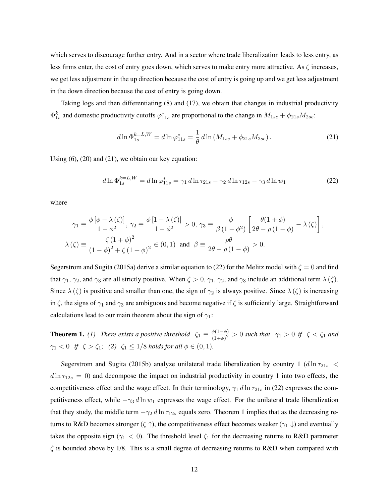which serves to discourage further entry. And in a sector where trade liberalization leads to less entry, as less firms enter, the cost of entry goes down, which serves to make entry more attractive. As  $\zeta$  increases, we get less adjustment in the up direction because the cost of entry is going up and we get less adjustment in the down direction because the cost of entry is going down.

Taking logs and then differentiating (8) and (17), we obtain that changes in industrial productivity  $\Phi_{1s}^k$  and domestic productivity cutoffs  $\varphi_{11s}^*$  are proportional to the change in  $M_{1se} + \phi_{21s} M_{2se}$ :

$$
d\ln \Phi_{1s}^{k=L,W} = d\ln \varphi_{11s}^* = \frac{1}{\theta} d\ln \left( M_{1se} + \phi_{21s} M_{2se} \right). \tag{21}
$$

Using  $(6)$ ,  $(20)$  and  $(21)$ , we obtain our key equation:

$$
d\ln \Phi_{1s}^{k=L,W} = d\ln \varphi_{11s}^* = \gamma_1 d\ln \tau_{21s} - \gamma_2 d\ln \tau_{12s} - \gamma_3 d\ln w_1 \tag{22}
$$

where

$$
\gamma_1 \equiv \frac{\phi\left[\phi - \lambda\left(\zeta\right)\right]}{1 - \phi^2}, \ \gamma_2 \equiv \frac{\phi\left[1 - \lambda\left(\zeta\right)\right]}{1 - \phi^2} > 0, \ \gamma_3 \equiv \frac{\phi}{\beta\left(1 - \phi^2\right)} \left[\frac{\theta(1 + \phi)}{2\theta - \rho\left(1 - \phi\right)} - \lambda\left(\zeta\right)\right],
$$
\n
$$
\lambda\left(\zeta\right) \equiv \frac{\zeta\left(1 + \phi\right)^2}{\left(1 - \phi\right)^2 + \zeta\left(1 + \phi\right)^2} \in (0, 1) \ \text{ and } \ \beta \equiv \frac{\rho\theta}{2\theta - \rho\left(1 - \phi\right)} > 0.
$$

Segerstrom and Sugita (2015a) derive a similar equation to (22) for the Melitz model with  $\zeta = 0$  and find that  $\gamma_1$ ,  $\gamma_2$ , and  $\gamma_3$  are all strictly positive. When  $\zeta > 0$ ,  $\gamma_1$ ,  $\gamma_2$ , and  $\gamma_3$  include an additional term  $\lambda(\zeta)$ . Since  $\lambda(\zeta)$  is positive and smaller than one, the sign of  $\gamma_2$  is always positive. Since  $\lambda(\zeta)$  is increasing in  $\zeta$ , the signs of  $\gamma_1$  and  $\gamma_3$  are ambiguous and become negative if  $\zeta$  is sufficiently large. Straightforward calculations lead to our main theorem about the sign of  $\gamma_1$ :

**Theorem 1.** (1) There exists a positive threshold  $\zeta_1 \equiv \frac{\phi(1-\phi)}{(1+\phi)^2}$  $\frac{\varphi(1-\varphi)}{(1+\varphi)^2} > 0$  such that  $\gamma_1 > 0$  if  $\zeta < \zeta_1$  and  $\gamma_1 < 0$  *if*  $\zeta > \zeta_1$ ; (2)  $\zeta_1 \leq 1/8$  *holds for all*  $\phi \in (0,1)$ *.* 

Segerstrom and Sugita (2015b) analyze unilateral trade liberalization by country 1 ( $d\ln\tau_{21s}$  <  $d \ln \tau_{12s} = 0$ ) and decompose the impact on industrial productivity in country 1 into two effects, the competitiveness effect and the wage effect. In their terminology,  $\gamma_1 d \ln \tau_{21s}$  in (22) expresses the competitiveness effect, while  $-\gamma_3 d \ln w_1$  expresses the wage effect. For the unilateral trade liberalization that they study, the middle term  $-\gamma_2 d \ln \tau_{12s}$  equals zero. Theorem 1 implies that as the decreasing returns to R&D becomes stronger ( $\zeta \uparrow$ ), the competitiveness effect becomes weaker ( $\gamma_1 \downarrow$ ) and eventually takes the opposite sign ( $\gamma_1$  < 0). The threshold level  $\zeta_1$  for the decreasing returns to R&D parameter  $\zeta$  is bounded above by 1/8. This is a small degree of decreasing returns to R&D when compared with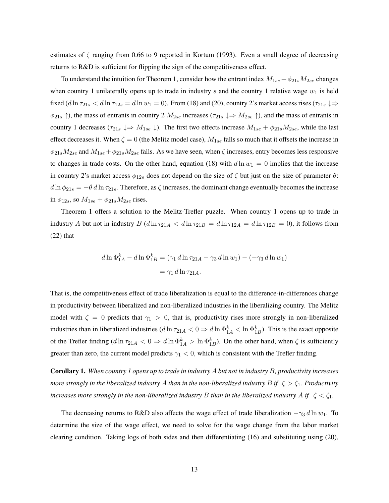estimates of  $\zeta$  ranging from 0.66 to 9 reported in Kortum (1993). Even a small degree of decreasing returns to R&D is sufficient for flipping the sign of the competitiveness effect.

To understand the intuition for Theorem 1, consider how the entrant index  $M_{1se} + \phi_{21s}M_{2se}$  changes when country 1 unilaterally opens up to trade in industry  $s$  and the country 1 relative wage  $w_1$  is held fixed (d ln  $\tau_{21s}$  < d ln  $\tau_{12s}$  = d ln  $w_1$  = 0). From (18) and (20), country 2's market access rises ( $\tau_{21s}$   $\downarrow \Rightarrow$  $\phi_{21s}$   $\uparrow$ ), the mass of entrants in country 2  $M_{2se}$  increases ( $\tau_{21s} \downarrow \Rightarrow M_{2se} \uparrow$ ), and the mass of entrants in country 1 decreases ( $\tau_{21s} \downarrow \Rightarrow M_{1se} \downarrow$ ). The first two effects increase  $M_{1se} + \phi_{21s} M_{2se}$ , while the last effect decreases it. When  $\zeta = 0$  (the Melitz model case),  $M_{1se}$  falls so much that it offsets the increase in  $\phi_{21s}M_{2se}$  and  $M_{1se} + \phi_{21s}M_{2se}$  falls. As we have seen, when  $\zeta$  increases, entry becomes less responsive to changes in trade costs. On the other hand, equation (18) with  $d \ln w_1 = 0$  implies that the increase in country 2's market access  $\phi_{12s}$  does not depend on the size of  $\zeta$  but just on the size of parameter  $\theta$ :  $d \ln \phi_{21s} = -\theta d \ln \tau_{21s}$ . Therefore, as  $\zeta$  increases, the dominant change eventually becomes the increase in  $\phi_{12s}$ , so  $M_{1se} + \phi_{21s} M_{2se}$  rises.

Theorem 1 offers a solution to the Melitz-Trefler puzzle. When country 1 opens up to trade in industry A but not in industry B  $(d \ln \tau_{21A} < d \ln \tau_{21B} = d \ln \tau_{12A} = d \ln \tau_{12B} = 0)$ , it follows from (22) that

$$
d\ln \Phi_{1A}^{k} - d\ln \Phi_{1B}^{k} = (\gamma_1 d\ln \tau_{21A} - \gamma_3 d\ln w_1) - (-\gamma_3 d\ln w_1)
$$
  
=  $\gamma_1 d\ln \tau_{21A}.$ 

That is, the competitiveness effect of trade liberalization is equal to the difference-in-differences change in productivity between liberalized and non-liberalized industries in the liberalizing country. The Melitz model with  $\zeta = 0$  predicts that  $\gamma_1 > 0$ , that is, productivity rises more strongly in non-liberalized industries than in liberalized industries  $(d \ln \tau_{21A} < 0 \Rightarrow d \ln \Phi_{1A}^k < \ln \Phi_{1B}^k)$ . This is the exact opposite of the Trefler finding  $(d \ln \tau_{21A} < 0 \Rightarrow d \ln \Phi_{1A}^k > \ln \Phi_{1B}^k)$ . On the other hand, when  $\zeta$  is sufficiently greater than zero, the current model predicts  $\gamma_1 < 0$ , which is consistent with the Trefler finding.

Corollary 1. *When country 1 opens up to trade in industry* A *but not in industry* B*, productivity increases more strongly in the liberalized industry A than in the non-liberalized industry B if*  $\zeta > \zeta_1$ *. Productivity increases more strongly in the non-liberalized industry B than in the liberalized industry* A *if*  $\zeta < \zeta_1$ .

The decreasing returns to R&D also affects the wage effect of trade liberalization  $-\gamma_3 d \ln w_1$ . To determine the size of the wage effect, we need to solve for the wage change from the labor market clearing condition. Taking logs of both sides and then differentiating (16) and substituting using (20),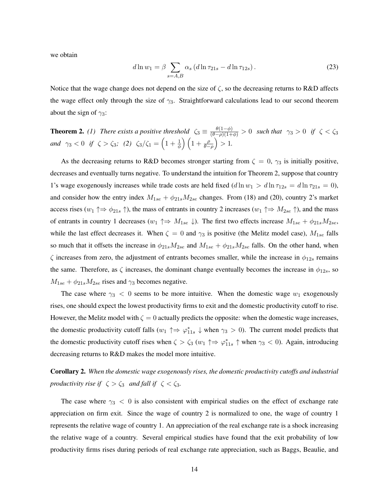we obtain

$$
d\ln w_1 = \beta \sum_{s=A,B} \alpha_s (d\ln \tau_{21s} - d\ln \tau_{12s}). \tag{23}
$$

Notice that the wage change does not depend on the size of  $\zeta$ , so the decreasing returns to R&D affects the wage effect only through the size of  $\gamma_3$ . Straightforward calculations lead to our second theorem about the sign of  $\gamma_3$ :

**Theorem 2.** (1) There exists a positive threshold  $\zeta_3 \equiv \frac{\theta(1-\phi)}{(\theta-\rho)(1+\phi)} > 0$  such that  $\gamma_3 > 0$  if  $\zeta < \zeta_3$ *and*  $\gamma_3 < 0$  *if*  $\zeta > \zeta_3$ ; (2)  $\zeta_3/\zeta_1 = \left(1 + \frac{1}{\phi}\right)\left(1 + \frac{\rho}{\theta - \rho}\right) > 1$ .

As the decreasing returns to R&D becomes stronger starting from  $\zeta = 0$ ,  $\gamma_3$  is initially positive, decreases and eventually turns negative. To understand the intuition for Theorem 2, suppose that country 1's wage exogenously increases while trade costs are held fixed  $(d \ln w_1 > d \ln \tau_{12s} = d \ln \tau_{21s} = 0)$ , and consider how the entry index  $M_{1se} + \phi_{21s} M_{2se}$  changes. From (18) and (20), country 2's market access rises ( $w_1 \uparrow \Rightarrow \phi_{21s} \uparrow$ ), the mass of entrants in country 2 increases ( $w_1 \uparrow \Rightarrow M_{2se} \uparrow$ ), and the mass of entrants in country 1 decreases ( $w_1 \uparrow \Rightarrow M_{1se} \downarrow$ ). The first two effects increase  $M_{1se} + \phi_{21s}M_{2se}$ , while the last effect decreases it. When  $\zeta = 0$  and  $\gamma_3$  is positive (the Melitz model case),  $M_{1se}$  falls so much that it offsets the increase in  $\phi_{21s}M_{2se}$  and  $M_{1se} + \phi_{21s}M_{2se}$  falls. On the other hand, when  $\zeta$  increases from zero, the adjustment of entrants becomes smaller, while the increase in  $\phi_{12s}$  remains the same. Therefore, as  $\zeta$  increases, the dominant change eventually becomes the increase in  $\phi_{12s}$ , so  $M_{1se} + \phi_{21s} M_{2se}$  rises and  $\gamma_3$  becomes negative.

The case where  $\gamma_3$  < 0 seems to be more intuitive. When the domestic wage  $w_1$  exogenously rises, one should expect the lowest productivity firms to exit and the domestic productivity cutoff to rise. However, the Melitz model with  $\zeta = 0$  actually predicts the opposite: when the domestic wage increases, the domestic productivity cutoff falls  $(w_1 \uparrow \Rightarrow \varphi_{11s}^* \downarrow$  when  $\gamma_3 > 0$ ). The current model predicts that the domestic productivity cutoff rises when  $\zeta > \zeta_3$  ( $w_1 \uparrow \Rightarrow \varphi_{11s}^* \uparrow$  when  $\gamma_3 < 0$ ). Again, introducing decreasing returns to R&D makes the model more intuitive.

Corollary 2. *When the domestic wage exogenously rises, the domestic productivity cutoffs and industrial productivity rise if*  $\zeta > \zeta_3$  *and fall if*  $\zeta < \zeta_3$ *.* 

The case where  $\gamma_3$  < 0 is also consistent with empirical studies on the effect of exchange rate appreciation on firm exit. Since the wage of country 2 is normalized to one, the wage of country 1 represents the relative wage of country 1. An appreciation of the real exchange rate is a shock increasing the relative wage of a country. Several empirical studies have found that the exit probability of low productivity firms rises during periods of real exchange rate appreciation, such as Baggs, Beaulie, and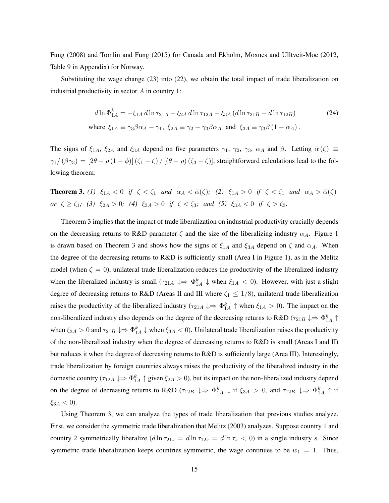Fung (2008) and Tomlin and Fung (2015) for Canada and Ekholm, Moxnes and Ulltveit-Moe (2012, Table 9 in Appendix) for Norway.

Substituting the wage change (23) into (22), we obtain the total impact of trade liberalization on industrial productivity in sector A in country 1:

$$
d\ln \Phi_{1A}^{k} = -\xi_{1A} d\ln \tau_{21A} - \xi_{2A} d\ln \tau_{12A} - \xi_{3A} (d\ln \tau_{21B} - d\ln \tau_{12B})
$$
(24)  
where  $\xi_{1A} \equiv \gamma_3 \beta \alpha_A - \gamma_1$ ,  $\xi_{2A} \equiv \gamma_2 - \gamma_3 \beta \alpha_A$  and  $\xi_{3A} \equiv \gamma_3 \beta (1 - \alpha_A)$ .

The signs of  $\xi_{1A}$ ,  $\xi_{2A}$  and  $\xi_{3A}$  depend on five parameters  $\gamma_1$ ,  $\gamma_2$ ,  $\gamma_3$ ,  $\alpha_A$  and  $\beta$ . Letting  $\bar{\alpha}(\zeta) \equiv$  $\gamma_1/(\beta\gamma_3) = [2\theta - \rho(1-\phi)](\zeta_1-\zeta)/[(\theta-\rho)(\zeta_3-\zeta)]$ , straightforward calculations lead to the following theorem:

**Theorem 3.** (1)  $\xi_{1A} < 0$  *if*  $\zeta < \zeta_1$  *and*  $\alpha_A < \bar{\alpha}(\zeta)$ ; (2)  $\xi_{1A} > 0$  *if*  $\zeta < \zeta_1$  *and*  $\alpha_A > \bar{\alpha}(\zeta)$ *or*  $\zeta \ge \zeta_1$ *;* (3)  $\xi_{2A} > 0$ *;* (4)  $\xi_{3A} > 0$  *if*  $\zeta < \zeta_3$ *;* and (5)  $\xi_{3A} < 0$  *if*  $\zeta > \zeta_3$ *.* 

Theorem 3 implies that the impact of trade liberalization on industrial productivity crucially depends on the decreasing returns to R&D parameter  $\zeta$  and the size of the liberalizing industry  $\alpha_A$ . Figure 1 is drawn based on Theorem 3 and shows how the signs of  $\xi_{1A}$  and  $\xi_{3A}$  depend on  $\zeta$  and  $\alpha_A$ . When the degree of the decreasing returns to R&D is sufficiently small (Area I in Figure 1), as in the Melitz model (when  $\zeta = 0$ ), unilateral trade liberalization reduces the productivity of the liberalized industry when the liberalized industry is small  $(\tau_{21A} \downarrow \Rightarrow \Phi_{1A}^k \downarrow$  when  $\xi_{1A} < 0$ ). However, with just a slight degree of decreasing returns to R&D (Areas II and III where  $\zeta_1 \leq 1/8$ ), unilateral trade liberalization raises the productivity of the liberalized industry ( $\tau_{21A} \downarrow \Rightarrow \Phi_{1A}^k \uparrow$  when  $\xi_{1A} > 0$ ). The impact on the non-liberalized industry also depends on the degree of the decreasing returns to R&D ( $\tau_{21B} \downarrow \Rightarrow \Phi_{1A}^k \uparrow$ when  $\xi_{3A} > 0$  and  $\tau_{21B} \downarrow \Rightarrow \Phi_{1A}^k \downarrow$  when  $\xi_{3A} < 0$ ). Unilateral trade liberalization raises the productivity of the non-liberalized industry when the degree of decreasing returns to R&D is small (Areas I and II) but reduces it when the degree of decreasing returns to R&D is sufficiently large (Area III). Interestingly, trade liberalization by foreign countries always raises the productivity of the liberalized industry in the domestic country ( $\tau_{12A} \downarrow \Rightarrow \Phi_{1A}^k \uparrow$  given  $\xi_{2A} > 0$ ), but its impact on the non-liberalized industry depend on the degree of decreasing returns to R&D ( $\tau_{12B} \downarrow \Rightarrow \Phi_{1A}^k \downarrow$  if  $\xi_{3A} > 0$ , and  $\tau_{12B} \downarrow \Rightarrow \Phi_{1A}^k \uparrow$  if  $\xi_{3A} < 0$ ).

Using Theorem 3, we can analyze the types of trade liberalization that previous studies analyze. First, we consider the symmetric trade liberalization that Melitz (2003) analyzes. Suppose country 1 and country 2 symmetrically liberalize  $(d \ln \tau_{21s} = d \ln \tau_{12s} = d \ln \tau_s < 0$ ) in a single industry s. Since symmetric trade liberalization keeps countries symmetric, the wage continues to be  $w_1 = 1$ . Thus,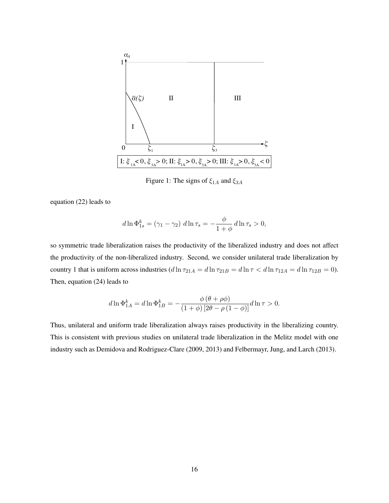

Figure 1: The signs of  $\xi_{1A}$  and  $\xi_{3A}$ 

equation (22) leads to

$$
d \ln \Phi_{1s}^{k} = (\gamma_1 - \gamma_2) \, d \ln \tau_s = -\frac{\phi}{1 + \phi} \, d \ln \tau_s > 0,
$$

so symmetric trade liberalization raises the productivity of the liberalized industry and does not affect the productivity of the non-liberalized industry. Second, we consider unilateral trade liberalization by country 1 that is uniform across industries  $(d \ln \tau_{21A} = d \ln \tau_{21B} = d \ln \tau < d \ln \tau_{12A} = d \ln \tau_{12B} = 0$ ). Then, equation (24) leads to

$$
d \ln \Phi_{1A}^{k} = d \ln \Phi_{1B}^{k} = -\frac{\phi (\theta + \rho \phi)}{(1 + \phi) [2\theta - \rho (1 - \phi)]} d \ln \tau > 0.
$$

Thus, unilateral and uniform trade liberalization always raises productivity in the liberalizing country. This is consistent with previous studies on unilateral trade liberalization in the Melitz model with one industry such as Demidova and Rodriguez-Clare (2009, 2013) and Felbermayr, Jung, and Larch (2013).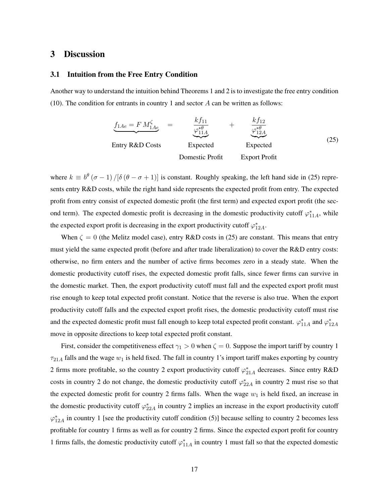## 3 Discussion

#### 3.1 Intuition from the Free Entry Condition

Another way to understand the intuition behind Theorems 1 and 2 is to investigate the free entry condition (10). The condition for entrants in country 1 and sector  $A$  can be written as follows:

| $f_{1Ae} = F M_{1Ae}^{\zeta}$ | $=$           | $\frac{k f_{11}}{\varphi_{11A}^{*\theta}}$ | $+$      | $\frac{k f_{12}}{\varphi_{12A}^{*\theta}}$ |
|-------------------------------|---------------|--------------------------------------------|----------|--------------------------------------------|
| Entry R&D Costs               | Expected      | Expected                                   | Expected |                                            |
| Domestic Profit               | Expert Profit |                                            |          |                                            |

where  $k \equiv b^{\theta} (\sigma - 1)/[\delta (\theta - \sigma + 1)]$  is constant. Roughly speaking, the left hand side in (25) represents entry R&D costs, while the right hand side represents the expected profit from entry. The expected profit from entry consist of expected domestic profit (the first term) and expected export profit (the second term). The expected domestic profit is decreasing in the domestic productivity cutoff  $\varphi_{11A}^*$ , while the expected export profit is decreasing in the export productivity cutoff  $\varphi_{12}^*$ .

When  $\zeta = 0$  (the Melitz model case), entry R&D costs in (25) are constant. This means that entry must yield the same expected profit (before and after trade liberalization) to cover the R&D entry costs: otherwise, no firm enters and the number of active firms becomes zero in a steady state. When the domestic productivity cutoff rises, the expected domestic profit falls, since fewer firms can survive in the domestic market. Then, the export productivity cutoff must fall and the expected export profit must rise enough to keep total expected profit constant. Notice that the reverse is also true. When the export productivity cutoff falls and the expected export profit rises, the domestic productivity cutoff must rise and the expected domestic profit must fall enough to keep total expected profit constant.  $\varphi_{11A}^*$  and  $\varphi_{12A}^*$ move in opposite directions to keep total expected profit constant.

First, consider the competitiveness effect  $\gamma_1 > 0$  when  $\zeta = 0$ . Suppose the import tariff by country 1  $\tau_{21A}$  falls and the wage  $w_1$  is held fixed. The fall in country 1's import tariff makes exporting by country 2 firms more profitable, so the country 2 export productivity cutoff  $\varphi_{21A}^*$  decreases. Since entry R&D costs in country 2 do not change, the domestic productivity cutoff  $\varphi_{22A}^*$  in country 2 must rise so that the expected domestic profit for country 2 firms falls. When the wage  $w_1$  is held fixed, an increase in the domestic productivity cutoff  $\varphi_{22A}^*$  in country 2 implies an increase in the export productivity cutoff  $\varphi_{12A}^*$  in country 1 [see the productivity cutoff condition (5)] because selling to country 2 becomes less profitable for country 1 firms as well as for country 2 firms. Since the expected export profit for country 1 firms falls, the domestic productivity cutoff  $\varphi_{11A}^*$  in country 1 must fall so that the expected domestic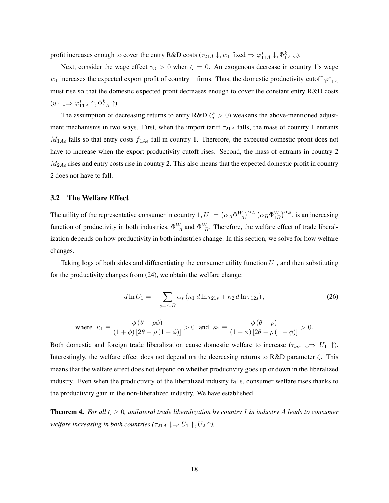profit increases enough to cover the entry R&D costs ( $\tau_{21A} \downarrow$ ,  $w_1$  fixed  $\Rightarrow \varphi_{11A}^* \downarrow$ ,  $\Phi_{1A}^k \downarrow$ ).

Next, consider the wage effect  $\gamma_3 > 0$  when  $\zeta = 0$ . An exogenous decrease in country 1's wage  $w_1$  increases the expected export profit of country 1 firms. Thus, the domestic productivity cutoff  $\varphi_{11A}^*$ must rise so that the domestic expected profit decreases enough to cover the constant entry R&D costs  $(w_1 \downarrow \Rightarrow \varphi_{11A}^* \uparrow, \Phi_{1A}^k \uparrow).$ 

The assumption of decreasing returns to entry R&D ( $\zeta > 0$ ) weakens the above-mentioned adjustment mechanisms in two ways. First, when the import tariff  $\tau_{21A}$  falls, the mass of country 1 entrants  $M_{1Ae}$  falls so that entry costs  $f_{1Ae}$  fall in country 1. Therefore, the expected domestic profit does not have to increase when the export productivity cutoff rises. Second, the mass of entrants in country 2  $M_{2Ae}$  rises and entry costs rise in country 2. This also means that the expected domestic profit in country 2 does not have to fall.

#### 3.2 The Welfare Effect

The utility of the representative consumer in country 1,  $U_1 = (\alpha_A \Phi_{1A}^W)^{\alpha_A} (\alpha_B \Phi_{1B}^W)^{\alpha_B}$ , is an increasing function of productivity in both industries,  $\Phi_{1A}^W$  and  $\Phi_{1B}^W$ . Therefore, the welfare effect of trade liberalization depends on how productivity in both industries change. In this section, we solve for how welfare changes.

Taking logs of both sides and differentiating the consumer utility function  $U_1$ , and then substituting for the productivity changes from (24), we obtain the welfare change:

$$
d\ln U_1 = -\sum_{s=A,B} \alpha_s \left( \kappa_1 \, d\ln \tau_{21s} + \kappa_2 \, d\ln \tau_{12s} \right),\tag{26}
$$

where 
$$
\kappa_1 \equiv \frac{\phi(\theta + \rho \phi)}{(1 + \phi) [2\theta - \rho(1 - \phi)]} > 0
$$
 and  $\kappa_2 \equiv \frac{\phi(\theta - \rho)}{(1 + \phi) [2\theta - \rho(1 - \phi)]} > 0$ .

Both domestic and foreign trade liberalization cause domestic welfare to increase ( $\tau_{ijs} \downarrow \Rightarrow U_1 \uparrow$ ). Interestingly, the welfare effect does not depend on the decreasing returns to R&D parameter  $\zeta$ . This means that the welfare effect does not depend on whether productivity goes up or down in the liberalized industry. Even when the productivity of the liberalized industry falls, consumer welfare rises thanks to the productivity gain in the non-liberalized industry. We have established

**Theorem 4.** *For all*  $\zeta \geq 0$ , unilateral trade liberalization by country 1 in industry A leads to consumer *welfare increasing in both countries (* $\tau_{21A} \downarrow \Rightarrow U_1 \uparrow, U_2 \uparrow$ *).*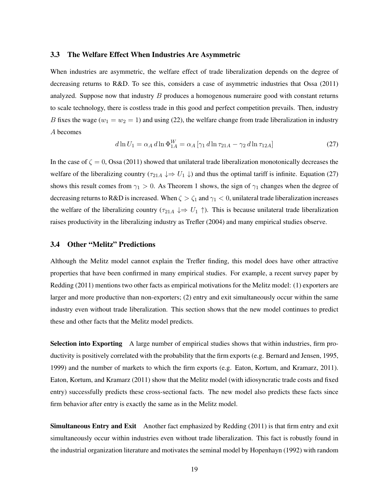#### 3.3 The Welfare Effect When Industries Are Asymmetric

When industries are asymmetric, the welfare effect of trade liberalization depends on the degree of decreasing returns to R&D. To see this, considers a case of asymmetric industries that Ossa (2011) analyzed. Suppose now that industry  $B$  produces a homogenous numeraire good with constant returns to scale technology, there is costless trade in this good and perfect competition prevails. Then, industry B fixes the wage  $(w_1 = w_2 = 1)$  and using (22), the welfare change from trade liberalization in industry A becomes

$$
d\ln U_1 = \alpha_A \, d\ln \Phi_{1A}^W = \alpha_A \left[ \gamma_1 \, d\ln \tau_{21A} - \gamma_2 \, d\ln \tau_{12A} \right] \tag{27}
$$

In the case of  $\zeta = 0$ , Ossa (2011) showed that unilateral trade liberalization monotonically decreases the welfare of the liberalizing country ( $\tau_{21A} \downarrow \Rightarrow U_1 \downarrow$ ) and thus the optimal tariff is infinite. Equation (27) shows this result comes from  $\gamma_1 > 0$ . As Theorem 1 shows, the sign of  $\gamma_1$  changes when the degree of decreasing returns to R&D is increased. When  $\zeta > \zeta_1$  and  $\gamma_1 < 0$ , unilateral trade liberalization increases the welfare of the liberalizing country ( $\tau_{21A} \downarrow \Rightarrow U_1 \uparrow$ ). This is because unilateral trade liberalization raises productivity in the liberalizing industry as Trefler (2004) and many empirical studies observe.

#### 3.4 Other "Melitz" Predictions

Although the Melitz model cannot explain the Trefler finding, this model does have other attractive properties that have been confirmed in many empirical studies. For example, a recent survey paper by Redding (2011) mentions two other facts as empirical motivations for the Melitz model: (1) exporters are larger and more productive than non-exporters; (2) entry and exit simultaneously occur within the same industry even without trade liberalization. This section shows that the new model continues to predict these and other facts that the Melitz model predicts.

Selection into Exporting A large number of empirical studies shows that within industries, firm productivity is positively correlated with the probability that the firm exports (e.g. Bernard and Jensen, 1995, 1999) and the number of markets to which the firm exports (e.g. Eaton, Kortum, and Kramarz, 2011). Eaton, Kortum, and Kramarz (2011) show that the Melitz model (with idiosyncratic trade costs and fixed entry) successfully predicts these cross-sectional facts. The new model also predicts these facts since firm behavior after entry is exactly the same as in the Melitz model.

Simultaneous Entry and Exit Another fact emphasized by Redding (2011) is that firm entry and exit simultaneously occur within industries even without trade liberalization. This fact is robustly found in the industrial organization literature and motivates the seminal model by Hopenhayn (1992) with random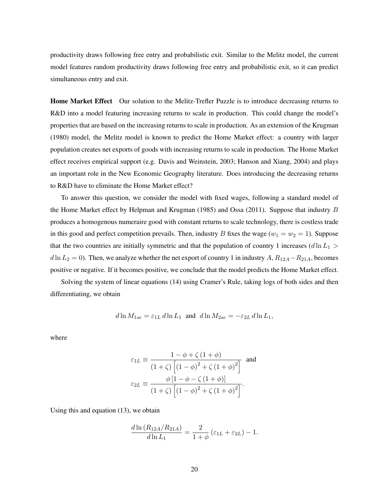productivity draws following free entry and probabilistic exit. Similar to the Melitz model, the current model features random productivity draws following free entry and probabilistic exit, so it can predict simultaneous entry and exit.

Home Market Effect Our solution to the Melitz-Trefler Puzzle is to introduce decreasing returns to R&D into a model featuring increasing returns to scale in production. This could change the model's properties that are based on the increasing returns to scale in production. As an extension of the Krugman (1980) model, the Melitz model is known to predict the Home Market effect: a country with larger population creates net exports of goods with increasing returns to scale in production. The Home Market effect receives empirical support (e.g. Davis and Weinstein, 2003; Hanson and Xiang, 2004) and plays an important role in the New Economic Geography literature. Does introducing the decreasing returns to R&D have to eliminate the Home Market effect?

To answer this question, we consider the model with fixed wages, following a standard model of the Home Market effect by Helpman and Krugman (1985) and Ossa (2011). Suppose that industry  $B$ produces a homogenous numeraire good with constant returns to scale technology, there is costless trade in this good and perfect competition prevails. Then, industry B fixes the wage ( $w_1 = w_2 = 1$ ). Suppose that the two countries are initially symmetric and that the population of country 1 increases (d  $\ln L_1$  >  $d \ln L_2 = 0$ ). Then, we analyze whether the net export of country 1 in industry A,  $R_{12A} - R_{21A}$ , becomes positive or negative. If it becomes positive, we conclude that the model predicts the Home Market effect.

Solving the system of linear equations (14) using Cramer's Rule, taking logs of both sides and then differentiating, we obtain

$$
d\ln M_{1se} = \varepsilon_{1L} d\ln L_1 \text{ and } d\ln M_{2se} = -\varepsilon_{2L} d\ln L_1,
$$

where

$$
\varepsilon_{1L} \equiv \frac{1 - \phi + \zeta (1 + \phi)}{(1 + \zeta) \left[ (1 - \phi)^2 + \zeta (1 + \phi)^2 \right]} \text{ and}
$$

$$
\varepsilon_{2L} \equiv \frac{\phi \left[ 1 - \phi - \zeta (1 + \phi) \right]}{(1 + \zeta) \left[ (1 - \phi)^2 + \zeta (1 + \phi)^2 \right]}.
$$

Using this and equation (13), we obtain

$$
\frac{d\ln(R_{12A}/R_{21A})}{d\ln L_1} = \frac{2}{1+\phi} \left(\varepsilon_{1L} + \varepsilon_{2L}\right) - 1.
$$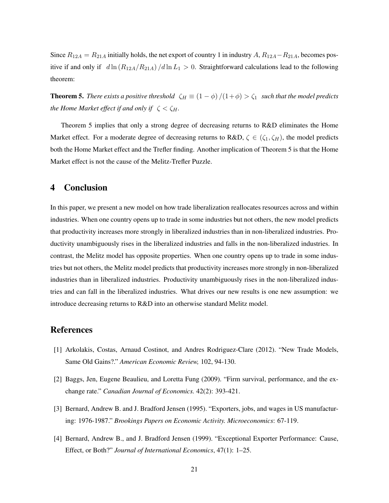Since  $R_{12A} = R_{21A}$  initially holds, the net export of country 1 in industry A,  $R_{12A} - R_{21A}$ , becomes positive if and only if  $d \ln (R_{12A}/R_{21A})/d \ln L_1 > 0$ . Straightforward calculations lead to the following theorem:

**Theorem 5.** *There exists a positive threshold*  $\zeta_H \equiv (1 - \phi)/(1 + \phi) > \zeta_1$  *such that the model predicts the Home Market effect if and only if*  $\zeta < \zeta_H$ .

Theorem 5 implies that only a strong degree of decreasing returns to R&D eliminates the Home Market effect. For a moderate degree of decreasing returns to R&D,  $\zeta \in (\zeta_1, \zeta_H)$ , the model predicts both the Home Market effect and the Trefler finding. Another implication of Theorem 5 is that the Home Market effect is not the cause of the Melitz-Trefler Puzzle.

### 4 Conclusion

In this paper, we present a new model on how trade liberalization reallocates resources across and within industries. When one country opens up to trade in some industries but not others, the new model predicts that productivity increases more strongly in liberalized industries than in non-liberalized industries. Productivity unambiguously rises in the liberalized industries and falls in the non-liberalized industries. In contrast, the Melitz model has opposite properties. When one country opens up to trade in some industries but not others, the Melitz model predicts that productivity increases more strongly in non-liberalized industries than in liberalized industries. Productivity unambiguously rises in the non-liberalized industries and can fall in the liberalized industries. What drives our new results is one new assumption: we introduce decreasing returns to R&D into an otherwise standard Melitz model.

## References

- [1] Arkolakis, Costas, Arnaud Costinot, and Andres Rodriguez-Clare (2012). "New Trade Models, Same Old Gains?." *American Economic Review,* 102, 94-130.
- [2] Baggs, Jen, Eugene Beaulieu, and Loretta Fung (2009). "Firm survival, performance, and the exchange rate." *Canadian Journal of Economics.* 42(2): 393-421.
- [3] Bernard, Andrew B. and J. Bradford Jensen (1995). "Exporters, jobs, and wages in US manufacturing: 1976-1987." *Brookings Papers on Economic Activity. Microeconomics*: 67-119.
- [4] Bernard, Andrew B., and J. Bradford Jensen (1999). "Exceptional Exporter Performance: Cause, Effect, or Both?" *Journal of International Economics*, 47(1): 1–25.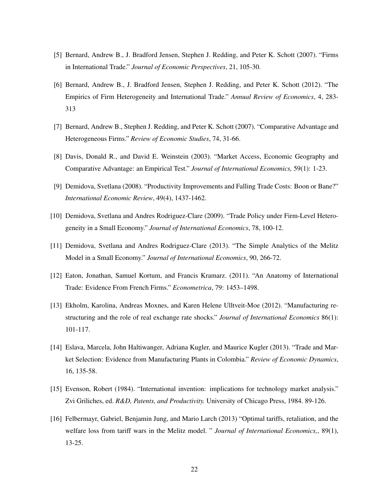- [5] Bernard, Andrew B., J. Bradford Jensen, Stephen J. Redding, and Peter K. Schott (2007). "Firms in International Trade." *Journal of Economic Perspectives*, 21, 105-30.
- [6] Bernard, Andrew B., J. Bradford Jensen, Stephen J. Redding, and Peter K. Schott (2012). "The Empirics of Firm Heterogeneity and International Trade." *Annual Review of Economics*, 4, 283- 313
- [7] Bernard, Andrew B., Stephen J. Redding, and Peter K. Schott (2007). "Comparative Advantage and Heterogeneous Firms." *Review of Economic Studies*, 74, 31-66.
- [8] Davis, Donald R., and David E. Weinstein (2003). "Market Access, Economic Geography and Comparative Advantage: an Empirical Test." *Journal of International Economics,* 59(1): 1-23.
- [9] Demidova, Svetlana (2008). "Productivity Improvements and Falling Trade Costs: Boon or Bane?" *International Economic Review*, 49(4), 1437-1462.
- [10] Demidova, Svetlana and Andres Rodriguez-Clare (2009). "Trade Policy under Firm-Level Heterogeneity in a Small Economy." *Journal of International Economics*, 78, 100-12.
- [11] Demidova, Svetlana and Andres Rodriguez-Clare (2013). "The Simple Analytics of the Melitz Model in a Small Economy." *Journal of International Economics*, 90, 266-72.
- [12] Eaton, Jonathan, Samuel Kortum, and Francis Kramarz. (2011). "An Anatomy of International Trade: Evidence From French Firms." *Econometrica*, 79: 1453–1498.
- [13] Ekholm, Karolina, Andreas Moxnes, and Karen Helene Ulltveit-Moe (2012). "Manufacturing restructuring and the role of real exchange rate shocks." *Journal of International Economics* 86(1): 101-117.
- [14] Eslava, Marcela, John Haltiwanger, Adriana Kugler, and Maurice Kugler (2013). "Trade and Market Selection: Evidence from Manufacturing Plants in Colombia." *Review of Economic Dynamics*, 16, 135-58.
- [15] Evenson, Robert (1984). "International invention: implications for technology market analysis." Zvi Griliches, ed. *R&D, Patents, and Productivity.* University of Chicago Press, 1984. 89-126.
- [16] Felbermayr, Gabriel, Benjamin Jung, and Mario Larch (2013) "Optimal tariffs, retaliation, and the welfare loss from tariff wars in the Melitz model. " *Journal of International Economics,*, 89(1), 13-25.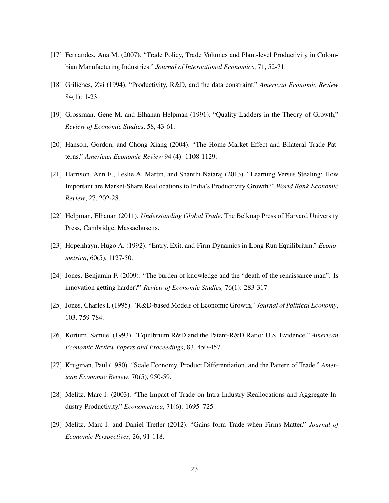- [17] Fernandes, Ana M. (2007). "Trade Policy, Trade Volumes and Plant-level Productivity in Colombian Manufacturing Industries." *Journal of International Economics*, 71, 52-71.
- [18] Griliches, Zvi (1994). "Productivity, R&D, and the data constraint." *American Economic Review* 84(1): 1-23.
- [19] Grossman, Gene M. and Elhanan Helpman (1991). "Quality Ladders in the Theory of Growth," *Review of Economic Studies*, 58, 43-61.
- [20] Hanson, Gordon, and Chong Xiang (2004). "The Home-Market Effect and Bilateral Trade Patterns." *American Economic Review* 94 (4): 1108-1129.
- [21] Harrison, Ann E., Leslie A. Martin, and Shanthi Nataraj (2013). "Learning Versus Stealing: How Important are Market-Share Reallocations to India's Productivity Growth?" *World Bank Economic Review*, 27, 202-28.
- [22] Helpman, Elhanan (2011). *Understanding Global Trade*. The Belknap Press of Harvard University Press, Cambridge, Massachusetts.
- [23] Hopenhayn, Hugo A. (1992). "Entry, Exit, and Firm Dynamics in Long Run Equilibrium." *Econometrica*, 60(5), 1127-50.
- [24] Jones, Benjamin F. (2009). "The burden of knowledge and the "death of the renaissance man": Is innovation getting harder?" *Review of Economic Studies,* 76(1): 283-317.
- [25] Jones, Charles I. (1995). "R&D-based Models of Economic Growth," *Journal of Political Economy*, 103, 759-784.
- [26] Kortum, Samuel (1993). "Equilbrium R&D and the Patent-R&D Ratio: U.S. Evidence." *American Economic Review Papers and Proceedings*, 83, 450-457.
- [27] Krugman, Paul (1980). "Scale Economy, Product Differentiation, and the Pattern of Trade." *American Economic Review*, 70(5), 950-59.
- [28] Melitz, Marc J. (2003). "The Impact of Trade on Intra-Industry Reallocations and Aggregate Industry Productivity." *Econometrica*, 71(6): 1695–725.
- [29] Melitz, Marc J. and Daniel Trefler (2012). "Gains form Trade when Firms Matter." *Journal of Economic Perspectives*, 26, 91-118.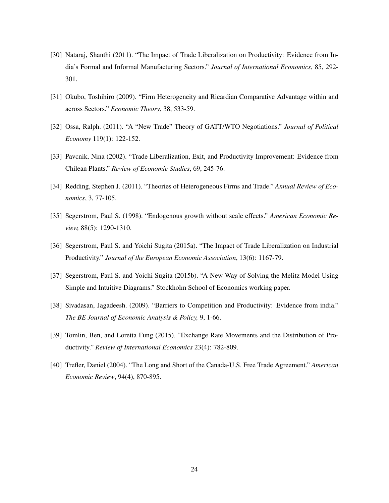- [30] Nataraj, Shanthi (2011). "The Impact of Trade Liberalization on Productivity: Evidence from India's Formal and Informal Manufacturing Sectors." *Journal of International Economics*, 85, 292- 301.
- [31] Okubo, Toshihiro (2009). "Firm Heterogeneity and Ricardian Comparative Advantage within and across Sectors." *Economic Theory*, 38, 533-59.
- [32] Ossa, Ralph. (2011). "A "New Trade" Theory of GATT/WTO Negotiations." *Journal of Political Economy* 119(1): 122-152.
- [33] Pavcnik, Nina (2002). "Trade Liberalization, Exit, and Productivity Improvement: Evidence from Chilean Plants." *Review of Economic Studies*, 69, 245-76.
- [34] Redding, Stephen J. (2011). "Theories of Heterogeneous Firms and Trade." *Annual Review of Economics*, 3, 77-105.
- [35] Segerstrom, Paul S. (1998). "Endogenous growth without scale effects." *American Economic Review,* 88(5): 1290-1310.
- [36] Segerstrom, Paul S. and Yoichi Sugita (2015a). "The Impact of Trade Liberalization on Industrial Productivity." *Journal of the European Economic Association*, 13(6): 1167-79.
- [37] Segerstrom, Paul S. and Yoichi Sugita (2015b). "A New Way of Solving the Melitz Model Using Simple and Intuitive Diagrams." Stockholm School of Economics working paper.
- [38] Sivadasan, Jagadeesh. (2009). "Barriers to Competition and Productivity: Evidence from india." *The BE Journal of Economic Analysis & Policy,* 9, 1-66.
- [39] Tomlin, Ben, and Loretta Fung (2015). "Exchange Rate Movements and the Distribution of Productivity." *Review of International Economics* 23(4): 782-809.
- [40] Trefler, Daniel (2004). "The Long and Short of the Canada-U.S. Free Trade Agreement." *American Economic Review*, 94(4), 870-895.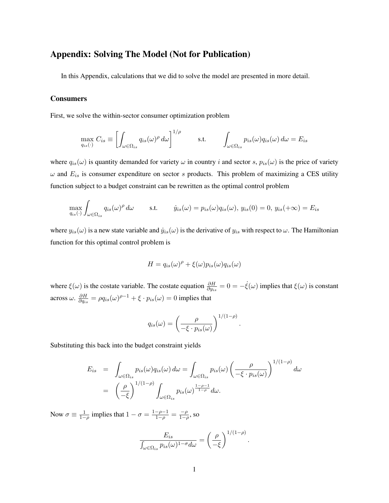## Appendix: Solving The Model (Not for Publication)

In this Appendix, calculations that we did to solve the model are presented in more detail.

#### Consumers

First, we solve the within-sector consumer optimization problem

$$
\max_{q_{is}(\cdot)} C_{is} \equiv \left[ \int_{\omega \in \Omega_{is}} q_{is}(\omega)^{\rho} d\omega \right]^{1/\rho} \qquad s.t. \qquad \int_{\omega \in \Omega_{is}} p_{is}(\omega) q_{is}(\omega) d\omega = E_{is}
$$

where  $q_{is}(\omega)$  is quantity demanded for variety  $\omega$  in country i and sector s,  $p_{is}(\omega)$  is the price of variety  $\omega$  and  $E_{is}$  is consumer expenditure on sector s products. This problem of maximizing a CES utility function subject to a budget constraint can be rewritten as the optimal control problem

$$
\max_{q_{is}(\cdot)} \int_{\omega \in \Omega_{is}} q_{is}(\omega)^{\rho} d\omega \quad \text{s.t.} \quad j_{is}(\omega) = p_{is}(\omega) q_{is}(\omega), \ y_{is}(0) = 0, \ y_{is}(+\infty) = E_{is}
$$

where  $y_{is}(\omega)$  is a new state variable and  $\dot{y}_{is}(\omega)$  is the derivative of  $y_{is}$  with respect to  $\omega$ . The Hamiltonian function for this optimal control problem is

$$
H = q_{is}(\omega)^{\rho} + \xi(\omega)p_{is}(\omega)q_{is}(\omega)
$$

where  $\xi(\omega)$  is the costate variable. The costate equation  $\frac{\partial H}{\partial y_{is}} = 0 = -\dot{\xi}(\omega)$  implies that  $\xi(\omega)$  is constant across  $\omega$ .  $\frac{\partial H}{\partial q}$  $\frac{\partial H}{\partial q_{is}} = \rho q_{is}(\omega)^{\rho-1} + \xi \cdot p_{is}(\omega) = 0$  implies that

$$
q_{is}(\omega) = \left(\frac{\rho}{-\xi \cdot p_{is}(\omega)}\right)^{1/(1-\rho)}
$$

.

Substituting this back into the budget constraint yields

$$
E_{is} = \int_{\omega \in \Omega_{is}} p_{is}(\omega) q_{is}(\omega) d\omega = \int_{\omega \in \Omega_{is}} p_{is}(\omega) \left(\frac{\rho}{-\xi \cdot p_{is}(\omega)}\right)^{1/(1-\rho)} d\omega
$$
  
=  $\left(\frac{\rho}{-\xi}\right)^{1/(1-\rho)} \int_{\omega \in \Omega_{is}} p_{is}(\omega)^{\frac{1-\rho-1}{1-\rho}} d\omega.$ 

Now  $\sigma \equiv \frac{1}{1-\rho}$  implies that  $1-\sigma = \frac{1-\rho-1}{1-\rho} = \frac{-\rho}{1-\rho}$  $\frac{-\rho}{1-\rho}$ , so

$$
\frac{E_{is}}{\int_{\omega \in \Omega_{is}} p_{is}(\omega)^{1-\sigma} d\omega} = \left(\frac{\rho}{-\xi}\right)^{1/(1-\rho)}.
$$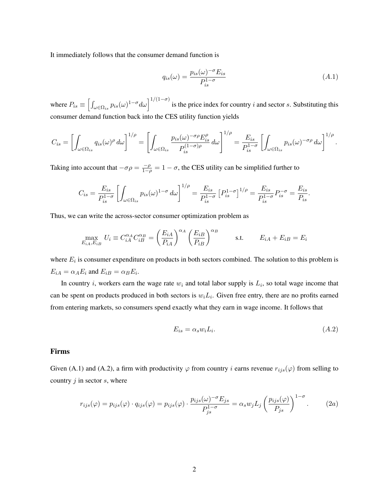It immediately follows that the consumer demand function is

$$
q_{is}(\omega) = \frac{p_{is}(\omega)^{-\sigma} E_{is}}{P_{is}^{1-\sigma}}
$$
\n
$$
(A.1)
$$

where  $P_{is} \equiv \left[\int_{\omega \in \Omega_{is}} p_{is}(\omega)^{1-\sigma} d\omega \right]^{1/(1-\sigma)}$  is the price index for country i and sector s. Substituting this consumer demand function back into the CES utility function yields

$$
C_{is} = \left[ \int_{\omega \in \Omega_{is}} q_{is}(\omega)^{\rho} d\omega \right]^{1/\rho} = \left[ \int_{\omega \in \Omega_{is}} \frac{p_{is}(\omega)^{-\sigma \rho} E_{is}^{\rho}}{P_{is}^{(1-\sigma)\rho}} d\omega \right]^{1/\rho} = \frac{E_{is}}{P_{is}^{1-\sigma}} \left[ \int_{\omega \in \Omega_{is}} p_{is}(\omega)^{-\sigma \rho} d\omega \right]^{1/\rho}.
$$

Taking into account that  $-\sigma \rho = \frac{-\rho}{1-\rho}$  $\frac{-\rho}{1-\rho} = 1 - \sigma$ , the CES utility can be simplified further to

$$
C_{is} = \frac{E_{is}}{P_{is}^{1-\sigma}} \left[ \int_{\omega \in \Omega_{is}} p_{is}(\omega)^{1-\sigma} d\omega \right]^{1/\rho} = \frac{E_{is}}{P_{is}^{1-\sigma}} \left[ P_{is}^{1-\sigma} \right]^{1/\rho} = \frac{E_{is}}{P_{is}^{1-\sigma}} P_{is}^{-\sigma} = \frac{E_{is}}{P_{is}}.
$$

Thus, we can write the across-sector consumer optimization problem as

$$
\max_{E_{iA}, E_{iB}} U_i \equiv C_{iA}^{\alpha_A} C_{iB}^{\alpha_B} = \left(\frac{E_{iA}}{P_{iA}}\right)^{\alpha_A} \left(\frac{E_{iB}}{P_{iB}}\right)^{\alpha_B} \quad \text{s.t.} \quad E_{iA} + E_{iB} = E_i
$$

where  $E_i$  is consumer expenditure on products in both sectors combined. The solution to this problem is  $E_{iA} = \alpha_A E_i$  and  $E_{iB} = \alpha_B E_i$ .

In country *i*, workers earn the wage rate  $w_i$  and total labor supply is  $L_i$ , so total wage income that can be spent on products produced in both sectors is  $w_i L_i$ . Given free entry, there are no profits earned from entering markets, so consumers spend exactly what they earn in wage income. It follows that

$$
E_{is} = \alpha_s w_i L_i. \tag{A.2}
$$

#### Firms

Given (A.1) and (A.2), a firm with productivity  $\varphi$  from country i earns revenue  $r_{ijs}(\varphi)$  from selling to country  $j$  in sector  $s$ , where

$$
r_{ijs}(\varphi) = p_{ijs}(\varphi) \cdot q_{ijs}(\varphi) = p_{ijs}(\varphi) \cdot \frac{p_{ijs}(\omega)^{-\sigma} E_{js}}{P_{js}^{1-\sigma}} = \alpha_s w_j L_j \left(\frac{p_{ijs}(\varphi)}{P_{js}}\right)^{1-\sigma}.
$$
 (2a)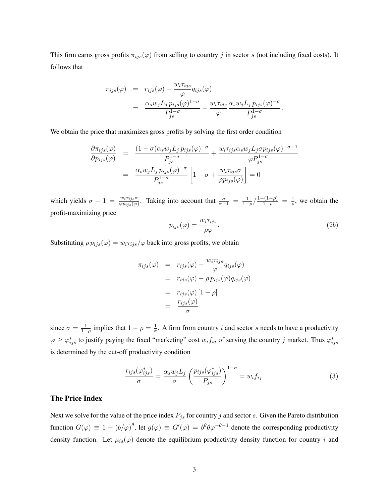This firm earns gross profits  $\pi_{ijs}(\varphi)$  from selling to country j in sector s (not including fixed costs). It follows that

$$
\pi_{ijs}(\varphi) = r_{ijs}(\varphi) - \frac{w_i \pi_{ijs}}{\varphi} q_{ijs}(\varphi)
$$
  
= 
$$
\frac{\alpha_s w_j L_j p_{ijs}(\varphi)^{1-\sigma}}{P_{js}^{1-\sigma}} - \frac{w_i \pi_{ijs}}{\varphi} \frac{\alpha_s w_j L_j p_{ijs}(\varphi)^{-\sigma}}{P_{js}^{1-\sigma}}.
$$

We obtain the price that maximizes gross profits by solving the first order condition

$$
\frac{\partial \pi_{ijs}(\varphi)}{\partial p_{ijs}(\varphi)} = \frac{(1-\sigma)\alpha_s w_j L_j p_{ijs}(\varphi)^{-\sigma}}{P_{js}^{1-\sigma}} + \frac{w_i \tau_{ijs} \alpha_s w_j L_j \sigma p_{ijs}(\varphi)^{-\sigma-1}}{\varphi P_{js}^{1-\sigma}}
$$

$$
= \frac{\alpha_s w_j L_j p_{ijs}(\varphi)^{-\sigma}}{P_{js}^{1-\sigma}} \left[1 - \sigma + \frac{w_i \tau_{ijs} \sigma}{\varphi p_{ijs}(\varphi)}\right] = 0
$$

which yields  $\sigma - 1 = \frac{w_i \tau_{ijs} \sigma}{\varphi p_{ijs}(\varphi)}$ . Taking into account that  $\frac{\sigma}{\sigma - 1} = \frac{1}{1 - \rho} / \frac{1 - (1 - \rho)}{1 - \rho} = \frac{1}{\rho}$  $\frac{1}{\rho}$ , we obtain the profit-maximizing price

$$
p_{ijs}(\varphi) = \frac{w_i \tau_{ijs}}{\rho \varphi}.
$$
\n(2b)

Substituting  $\rho p_{ijs}(\varphi) = w_i \tau_{ijs}/\varphi$  back into gross profits, we obtain

$$
\pi_{ijs}(\varphi) = r_{ijs}(\varphi) - \frac{w_i \tau_{ijs}}{\varphi} q_{ijs}(\varphi)
$$
  
=  $r_{ijs}(\varphi) - \rho p_{ijs}(\varphi) q_{ijs}(\varphi)$   
=  $r_{ijs}(\varphi) [1 - \rho]$   
=  $\frac{r_{ijs}(\varphi)}{\sigma}$ 

since  $\sigma = \frac{1}{1-\rho}$  implies that  $1-\rho = \frac{1}{\sigma}$  $\frac{1}{\sigma}$ . A firm from country *i* and sector *s* needs to have a productivity  $\varphi \ge \varphi^*_{ijs}$  to justify paying the fixed "marketing" cost  $w_i f_{ij}$  of serving the country j market. Thus  $\varphi^*_{ijs}$ is determined by the cut-off productivity condition

$$
\frac{r_{ijs}(\varphi_{ijs}^*)}{\sigma} = \frac{\alpha_s w_j L_j}{\sigma} \left( \frac{p_{ijs}(\varphi_{ijs}^*)}{P_{js}} \right)^{1-\sigma} = w_i f_{ij}.
$$
\n(3)

### The Price Index

Next we solve for the value of the price index  $P_{j_s}$  for country j and sector s. Given the Pareto distribution function  $G(\varphi) \equiv 1 - (b/\varphi)^{\theta}$ , let  $g(\varphi) \equiv G'(\varphi) = b^{\theta} \theta \varphi^{-\theta-1}$  denote the corresponding productivity density function. Let  $\mu_{is}(\varphi)$  denote the equilibrium productivity density function for country i and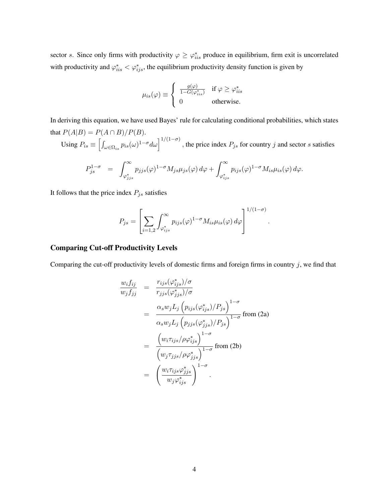sector s. Since only firms with productivity  $\varphi \geq \varphi_{iis}^*$  produce in equilibrium, firm exit is uncorrelated with productivity and  $\varphi_{iis}^* < \varphi_{ijs}^*$ , the equilibrium productivity density function is given by

$$
\mu_{is}(\varphi) \equiv \begin{cases} \frac{g(\varphi)}{1 - G(\varphi_{iis}^*)} & \text{if } \varphi \ge \varphi_{iis}^* \\ 0 & \text{otherwise.} \end{cases}
$$

In deriving this equation, we have used Bayes' rule for calculating conditional probabilities, which states that  $P(A|B) = P(A \cap B)/P(B)$ .

Using  $P_{is} \equiv \left[\int_{\omega \in \Omega_{is}} p_{is}(\omega)^{1-\sigma} d\omega \right]^{1/(1-\sigma)}$ , the price index  $P_{js}$  for country j and sector s satisfies

$$
P_{js}^{1-\sigma} = \int_{\varphi_{jjs}^*}^{\infty} p_{jjs}(\varphi)^{1-\sigma} M_{js} \mu_{js}(\varphi) d\varphi + \int_{\varphi_{ijs}^*}^{\infty} p_{ijs}(\varphi)^{1-\sigma} M_{is} \mu_{is}(\varphi) d\varphi.
$$

It follows that the price index  $P_{js}$  satisfies

$$
P_{js} = \left[ \sum_{i=1,2} \int_{\varphi_{ijs}^*}^{\infty} p_{ijs}(\varphi)^{1-\sigma} M_{is} \mu_{is}(\varphi) d\varphi \right]^{1/(1-\sigma)}
$$

.

#### Comparing Cut-off Productivity Levels

Comparing the cut-off productivity levels of domestic firms and foreign firms in country  $j$ , we find that

$$
\frac{w_i f_{ij}}{w_j f_{jj}} = \frac{r_{ijs}(\varphi_{ijs}^*)/\sigma}{r_{jjs}(\varphi_{jjs}^*)/\sigma}
$$
\n
$$
= \frac{\alpha_s w_j L_j (p_{ijs}(\varphi_{ijs}^*)/P_{js})^{1-\sigma}}{\alpha_s w_j L_j (p_{jjs}(\varphi_{jjs}^*)/P_{js})^{1-\sigma}}
$$
 from (2a)\n
$$
= \frac{(w_i \tau_{ijs}/\rho \varphi_{ijs}^*)^{1-\sigma}}{(w_j \tau_{jjs}/\rho \varphi_{jjs}^*)^{1-\sigma}}
$$
 from (2b)\n
$$
= \left(\frac{w_i \tau_{ijs} \varphi_{jjs}^*}{w_j \varphi_{ijs}^*}\right)^{1-\sigma}.
$$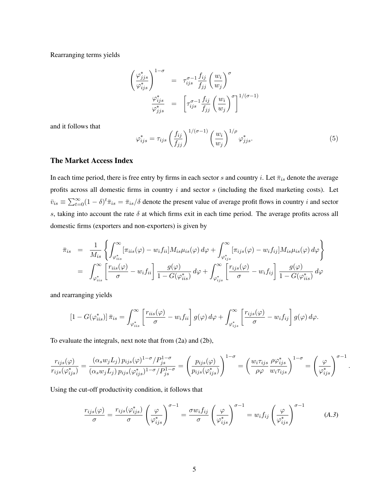Rearranging terms yields

$$
\begin{pmatrix}\n\varphi_{jjs}^* \\
\varphi_{ijs}^*\n\end{pmatrix}_{i=s}^{1-\sigma} = \tau_{ijs}^{\sigma-1} \frac{f_{ij}}{f_{jj}} \left(\frac{w_i}{w_j}\right)^{\sigma}
$$
\n
$$
\frac{\varphi_{ijs}^*}{\varphi_{jjs}^*} = \left[\tau_{ijs}^{\sigma-1} \frac{f_{ij}}{f_{jj}} \left(\frac{w_i}{w_j}\right)^{\sigma}\right]^{1/(\sigma-1)}
$$

and it follows that

$$
\varphi_{ijs}^* = \tau_{ijs} \left(\frac{f_{ij}}{f_{jj}}\right)^{1/(\sigma-1)} \left(\frac{w_i}{w_j}\right)^{1/\rho} \varphi_{jjs}^*.
$$
\n(5)

#### The Market Access Index

In each time period, there is free entry by firms in each sector s and country i. Let  $\bar{\pi}_{is}$  denote the average profits across all domestic firms in country  $i$  and sector  $s$  (including the fixed marketing costs). Let  $\bar{v}_{is} \equiv \sum_{t=0}^{\infty} (1-\delta)^t \bar{\pi}_{is} = \bar{\pi}_{is}/\delta$  denote the present value of average profit flows in country i and sector s, taking into account the rate  $\delta$  at which firms exit in each time period. The average profits across all domestic firms (exporters and non-exporters) is given by

$$
\bar{\pi}_{is} = \frac{1}{M_{is}} \left\{ \int_{\varphi_{iis}^{*}}^{\infty} [\pi_{iis}(\varphi) - w_{i}f_{ii}] M_{is} \mu_{is}(\varphi) d\varphi + \int_{\varphi_{ijs}^{*}}^{\infty} [\pi_{ijs}(\varphi) - w_{i}f_{ij}] M_{is} \mu_{is}(\varphi) d\varphi \right\}
$$
\n
$$
= \int_{\varphi_{iis}^{*}}^{\infty} \left[ \frac{r_{iis}(\varphi)}{\sigma} - w_{i}f_{ii} \right] \frac{g(\varphi)}{1 - G(\varphi_{iis}^{*})} d\varphi + \int_{\varphi_{ijs}^{*}}^{\infty} \left[ \frac{r_{ijs}(\varphi)}{\sigma} - w_{i}f_{ij} \right] \frac{g(\varphi)}{1 - G(\varphi_{is}^{*})} d\varphi
$$

and rearranging yields

$$
\left[1-G(\varphi_{iis}^*)\right]\bar{\pi}_{is} = \int_{\varphi_{iis}^*}^{\infty} \left[\frac{r_{iis}(\varphi)}{\sigma} - w_i f_{ii}\right] g(\varphi) d\varphi + \int_{\varphi_{ijs}^*}^{\infty} \left[\frac{r_{ijs}(\varphi)}{\sigma} - w_i f_{ij}\right] g(\varphi) d\varphi.
$$

To evaluate the integrals, next note that from (2a) and (2b),

$$
\frac{r_{ijs}(\varphi)}{r_{ijs}(\varphi^*_{ijs})} = \frac{(\alpha_s w_j L_j) p_{ijs}(\varphi)^{1-\sigma} / P_{js}^{1-\sigma}}{(\alpha_s w_j L_j) p_{ijs}(\varphi^*_{ijs})^{1-\sigma} / P_{js}^{1-\sigma}} = \left(\frac{p_{ijs}(\varphi)}{p_{ijs}(\varphi^*_{ijs})}\right)^{1-\sigma} = \left(\frac{w_i \tau_{ijs}}{\varphi \varphi} \frac{\varphi \varphi^*_{ijs}}{w_i \tau_{ijs}}\right)^{1-\sigma} = \left(\frac{\varphi}{\varphi^*_{ijs}}\right)^{\sigma-1}
$$

Using the cut-off productivity condition, it follows that

$$
\frac{r_{ijs}(\varphi)}{\sigma} = \frac{r_{ijs}(\varphi_{ijs}^*)}{\sigma} \left(\frac{\varphi}{\varphi_{ijs}^*}\right)^{\sigma-1} = \frac{\sigma w_i f_{ij}}{\sigma} \left(\frac{\varphi}{\varphi_{ijs}^*}\right)^{\sigma-1} = w_i f_{ij} \left(\frac{\varphi}{\varphi_{ijs}^*}\right)^{\sigma-1} \tag{A.3}
$$

.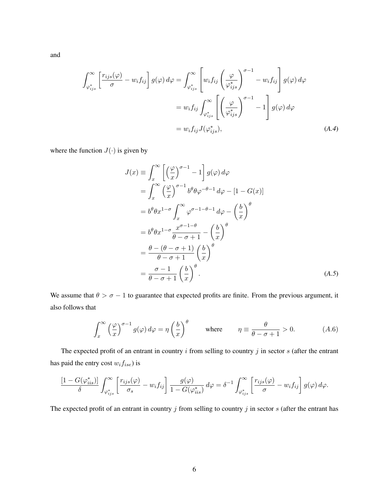and

$$
\int_{\varphi_{ijs}^*}^{\infty} \left[ \frac{r_{ijs}(\varphi)}{\sigma} - w_i f_{ij} \right] g(\varphi) d\varphi = \int_{\varphi_{ijs}^*}^{\infty} \left[ w_i f_{ij} \left( \frac{\varphi}{\varphi_{ijs}^*} \right)^{\sigma - 1} - w_i f_{ij} \right] g(\varphi) d\varphi
$$

$$
= w_i f_{ij} \int_{\varphi_{ijs}^*}^{\infty} \left[ \left( \frac{\varphi}{\varphi_{ijs}^*} \right)^{\sigma - 1} - 1 \right] g(\varphi) d\varphi
$$

$$
= w_i f_{ij} J(\varphi_{ijs}^*), \tag{A.4}
$$

where the function  $J(\cdot)$  is given by

$$
J(x) = \int_{x}^{\infty} \left[ \left(\frac{\varphi}{x}\right)^{\sigma-1} - 1 \right] g(\varphi) d\varphi
$$
  
\n
$$
= \int_{x}^{\infty} \left(\frac{\varphi}{x}\right)^{\sigma-1} b^{\theta} \theta \varphi^{-\theta-1} d\varphi - [1 - G(x)]
$$
  
\n
$$
= b^{\theta} \theta x^{1-\sigma} \int_{x}^{\infty} \varphi^{\sigma-1-\theta-1} d\varphi - \left(\frac{b}{x}\right)^{\theta}
$$
  
\n
$$
= b^{\theta} \theta x^{1-\sigma} \frac{x^{\sigma-1-\theta}}{\theta-\sigma+1} - \left(\frac{b}{x}\right)^{\theta}
$$
  
\n
$$
= \frac{\theta - (\theta - \sigma + 1)}{\theta - \sigma + 1} \left(\frac{b}{x}\right)^{\theta}
$$
  
\n
$$
= \frac{\sigma - 1}{\theta - \sigma + 1} \left(\frac{b}{x}\right)^{\theta}.
$$
 (A.5)

We assume that  $\theta > \sigma - 1$  to guarantee that expected profits are finite. From the previous argument, it also follows that

$$
\int_{x}^{\infty} \left(\frac{\varphi}{x}\right)^{\sigma-1} g(\varphi) d\varphi = \eta \left(\frac{b}{x}\right)^{\theta} \quad \text{where} \quad \eta \equiv \frac{\theta}{\theta - \sigma + 1} > 0. \tag{A.6}
$$

The expected profit of an entrant in country  $i$  from selling to country  $j$  in sector  $s$  (after the entrant has paid the entry cost  $w_i f_{ise}$ ) is

$$
\frac{\left[1-G(\varphi_{iis}^*)\right]}{\delta} \int_{\varphi_{ijs}^*}^{\infty} \left[\frac{r_{ijs}(\varphi)}{\sigma_s} - w_i f_{ij}\right] \frac{g(\varphi)}{1-G(\varphi_{iis}^*)} d\varphi = \delta^{-1} \int_{\varphi_{ijs}^*}^{\infty} \left[\frac{r_{ijs}(\varphi)}{\sigma} - w_i f_{ij}\right] g(\varphi) d\varphi.
$$

The expected profit of an entrant in country  $j$  from selling to country  $j$  in sector  $s$  (after the entrant has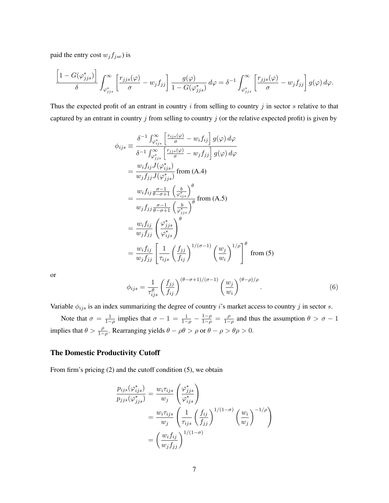paid the entry cost  $w_j f_{jse}$ ) is

$$
\frac{\left[1-G(\varphi^*_{jjs})\right]}{\delta}\int_{\varphi^*_{jjs}}^{\infty}\left[\frac{r_{jjs}(\varphi)}{\sigma}-w_jf_{jj}\right]\frac{g(\varphi)}{1-G(\varphi^*_{jjs})}d\varphi=\delta^{-1}\int_{\varphi^*_{jjs}}^{\infty}\left[\frac{r_{jjs}(\varphi)}{\sigma}-w_jf_{jj}\right]g(\varphi)\,d\varphi.
$$

Thus the expected profit of an entrant in country  $i$  from selling to country  $j$  in sector  $s$  relative to that captured by an entrant in country  $j$  from selling to country  $j$  (or the relative expected profit) is given by

$$
\phi_{ijs} \equiv \frac{\delta^{-1} \int_{\varphi_{ijs}^{*}}^{\infty} \left[ \frac{r_{ijs}(\varphi)}{\sigma} - w_{i} f_{ij} \right] g(\varphi) d\varphi}
$$
\n
$$
= \frac{w_{i} f_{i j} J(\varphi_{ijs}^{*})}{\delta^{-1} \int_{\varphi_{jjs}^{*}}^{\infty} \left[ \frac{r_{j j s}(\varphi)}{\sigma} - w_{j} f_{j j} \right] g(\varphi) d\varphi}
$$
\n
$$
= \frac{w_{i} f_{i j} J(\varphi_{ijs}^{*})}{w_{j} f_{j j} J(\varphi_{jjs}^{*})} \text{ from (A.4)}
$$
\n
$$
= \frac{w_{i} f_{i j} \frac{\sigma - 1}{\sigma - 1} \left( \frac{b}{\varphi_{ijs}^{*}} \right)^{\theta}}{w_{j} f_{j j} \frac{\sigma - 1}{\sigma - 1} \left( \frac{b}{\varphi_{jjs}^{*}} \right)^{\theta}}
$$
\n
$$
= \frac{w_{i} f_{i j}}{w_{j} f_{j j}} \left( \frac{\varphi_{jjs}^{*}}{\varphi_{ijs}^{*}} \right)^{\theta}
$$
\n
$$
= \frac{w_{i} f_{i j}}{w_{j} f_{j j}} \left[ \frac{1}{\tau_{ijs}} \left( \frac{f_{j j}}{f_{i j}} \right)^{1/(\sigma - 1)} \left( \frac{w_{j}}{w_{i}} \right)^{1/\rho} \right]^{\theta} \text{ from (5)}
$$

or

$$
\phi_{ijs} = \frac{1}{\tau_{ijs}^{\theta}} \left(\frac{f_{jj}}{f_{ij}}\right)^{(\theta-\sigma+1)/(\sigma-1)} \left(\frac{w_j}{w_i}\right)^{(\theta-\rho)/\rho}.
$$
\n(6)

Variable  $\phi_{ijs}$  is an index summarizing the degree of country i's market access to country j in sector s.

Note that  $\sigma = \frac{1}{1-\rho}$  implies that  $\sigma - 1 = \frac{1}{1-\rho} - \frac{1-\rho}{1-\rho} = \frac{\rho}{1-\rho}$  $\frac{\rho}{1-\rho}$  and thus the assumption  $\theta > \sigma - 1$ implies that  $\theta > \frac{\rho}{1-\rho}$ . Rearranging yields  $\theta - \rho\theta > \rho$  or  $\theta - \rho > \theta\rho > 0$ .

### The Domestic Productivity Cutoff

From firm's pricing (2) and the cutoff condition (5), we obtain

$$
\frac{p_{ijs}(\varphi_{ijs}^*)}{p_{jjs}(\varphi_{jjs}^*)} = \frac{w_i \tau_{ijs}}{w_j} \left(\frac{\varphi_{jjs}^*}{\varphi_{ijs}^*}\right)
$$
\n
$$
= \frac{w_i \tau_{ijs}}{w_j} \left(\frac{1}{\tau_{ijs}} \left(\frac{f_{ij}}{f_{jj}}\right)^{1/(1-\sigma)} \left(\frac{w_i}{w_j}\right)^{-1/\rho}\right)
$$
\n
$$
= \left(\frac{w_i f_{ij}}{w_j f_{jj}}\right)^{1/(1-\sigma)}
$$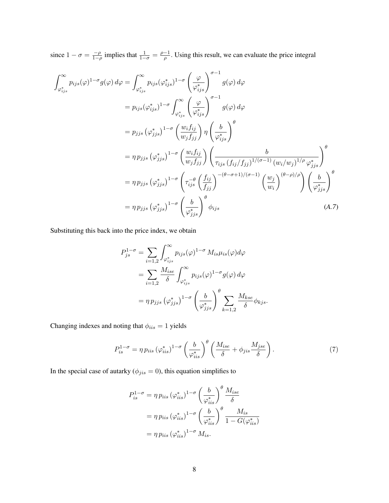since  $1 - \sigma = \frac{-\rho}{1 - \rho}$  $\frac{-\rho}{1-\rho}$  implies that  $\frac{1}{1-\sigma} = \frac{\rho-1}{\rho}$  $\frac{-1}{\rho}$ . Using this result, we can evaluate the price integral

$$
\int_{\varphi_{ijs}^{*}}^{\infty} p_{ijs}(\varphi)^{1-\sigma} g(\varphi) d\varphi = \int_{\varphi_{ijs}^{*}}^{\infty} p_{ijs}(\varphi_{ijs}^{*})^{1-\sigma} \left(\frac{\varphi}{\varphi_{ijs}^{*}}\right)^{\sigma-1} g(\varphi) d\varphi
$$
\n
$$
= p_{ijs}(\varphi_{ijs}^{*})^{1-\sigma} \int_{\varphi_{ijs}^{*}}^{\infty} \left(\frac{\varphi}{\varphi_{ijs}^{*}}\right)^{\sigma-1} g(\varphi) d\varphi
$$
\n
$$
= p_{jjs}(\varphi_{jjs}^{*})^{1-\sigma} \left(\frac{w_{i}f_{ij}}{w_{j}f_{jj}}\right) \eta \left(\frac{b}{\varphi_{ijs}^{*}}\right)^{\theta}
$$
\n
$$
= \eta p_{jjs}(\varphi_{jjs}^{*})^{1-\sigma} \left(\frac{w_{i}f_{ij}}{w_{j}f_{jj}}\right) \left(\frac{b}{\tau_{ijs}(f_{ij}/f_{jj})^{1/(\sigma-1)} (w_{i}/w_{j})^{1/\rho} \varphi_{jjs}^{*}}\right)^{\theta}
$$
\n
$$
= \eta p_{jjs}(\varphi_{jjs}^{*})^{1-\sigma} \left(\tau_{ijs}^{-\theta} \left(\frac{f_{ij}}{f_{jj}}\right)^{-(\theta-\sigma+1)/(\sigma-1)} \left(\frac{w_{j}}{w_{i}}\right)^{(\theta-\rho)/\rho} \right) \left(\frac{b}{\varphi_{jjs}^{*}}\right)^{\theta}
$$
\n
$$
= \eta p_{jjs}(\varphi_{jjs}^{*})^{1-\sigma} \left(\frac{b}{\varphi_{jjs}^{*}}\right)^{\theta} \phi_{ijs} \tag{A.7}
$$

Substituting this back into the price index, we obtain

$$
P_{js}^{1-\sigma} = \sum_{i=1,2} \int_{\varphi_{ijs}^{*}}^{\infty} p_{ijs}(\varphi)^{1-\sigma} M_{is} \mu_{is}(\varphi) d\varphi
$$
  
= 
$$
\sum_{i=1,2} \frac{M_{ise}}{\delta} \int_{\varphi_{ijs}^{*}}^{\infty} p_{ijs}(\varphi)^{1-\sigma} g(\varphi) d\varphi
$$
  
= 
$$
\eta p_{jjs} (\varphi_{jjs}^{*})^{1-\sigma} \left(\frac{b}{\varphi_{jjs}^{*}}\right)^{\theta} \sum_{k=1,2} \frac{M_{kse}}{\delta} \phi_{kjs}.
$$

Changing indexes and noting that  $\phi_{iis}=1$  yields

$$
P_{is}^{1-\sigma} = \eta \, p_{iis} \, (\varphi_{iis}^*)^{1-\sigma} \left(\frac{b}{\varphi_{iis}^*}\right)^{\theta} \left(\frac{M_{ise}}{\delta} + \phi_{jis} \frac{M_{jse}}{\delta}\right). \tag{7}
$$

In the special case of autarky ( $\phi_{jis} = 0$ ), this equation simplifies to

$$
P_{is}^{1-\sigma} = \eta p_{iis} (\varphi_{iis}^*)^{1-\sigma} \left(\frac{b}{\varphi_{iis}^*}\right)^{\theta} \frac{M_{ise}}{\delta}
$$

$$
= \eta p_{iis} (\varphi_{iis}^*)^{1-\sigma} \left(\frac{b}{\varphi_{iis}^*}\right)^{\theta} \frac{M_{is}}{1 - G(\varphi_{iis}^*)}
$$

$$
= \eta p_{iis} (\varphi_{iis}^*)^{1-\sigma} M_{is}.
$$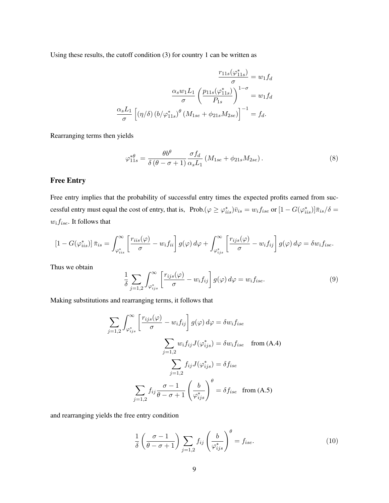Using these results, the cutoff condition (3) for country 1 can be written as

$$
\frac{r_{11s}(\varphi_{11s}^{*})}{\sigma} = w_1 f_d
$$

$$
\frac{\alpha_s w_1 L_1}{\sigma} \left(\frac{p_{11s}(\varphi_{11s}^{*})}{P_{1s}}\right)^{1-\sigma} = w_1 f_d
$$

$$
\frac{\alpha_s L_1}{\sigma} \left[ (\eta/\delta) \left(b/\varphi_{11s}^{*}\right)^{\theta} \left(M_{1se} + \phi_{21s} M_{2se}\right) \right]^{-1} = f_d.
$$

Rearranging terms then yields

$$
\varphi_{11s}^{*\theta} = \frac{\theta b^{\theta}}{\delta \left(\theta - \sigma + 1\right)} \frac{\sigma f_d}{\alpha_s L_1} \left(M_{1se} + \phi_{21s} M_{2se}\right). \tag{8}
$$

## Free Entry

Free entry implies that the probability of successful entry times the expected profits earned from successful entry must equal the cost of entry, that is, Prob. $(\varphi \geq \varphi_{iis}^*)\bar{v}_{is} = w_i f_{ise}$  or  $[1 - G(\varphi_{iis}^*)]\bar{\pi}_{is}/\delta =$  $w_i f_{ise}.$  It follows that

$$
\left[1-G(\varphi_{iis}^*)\right]\bar{\pi}_{is} = \int_{\varphi_{iis}^*}^{\infty} \left[\frac{r_{iis}(\varphi)}{\sigma} - w_i f_{ii}\right] g(\varphi) d\varphi + \int_{\varphi_{ijs}^*}^{\infty} \left[\frac{r_{ijs}(\varphi)}{\sigma} - w_i f_{ij}\right] g(\varphi) d\varphi = \delta w_i f_{ise}.
$$

Thus we obtain

$$
\frac{1}{\delta} \sum_{j=1,2} \int_{\varphi_{ijs}^*}^{\infty} \left[ \frac{r_{ijs}(\varphi)}{\sigma} - w_i f_{ij} \right] g(\varphi) d\varphi = w_i f_{ise}.
$$
\n(9)

Making substitutions and rearranging terms, it follows that

$$
\sum_{j=1,2} \int_{\varphi_{ijs}^*}^{\infty} \left[ \frac{r_{ijs}(\varphi)}{\sigma} - w_i f_{ij} \right] g(\varphi) d\varphi = \delta w_i f_{ise}
$$
\n
$$
\sum_{j=1,2} w_i f_{ij} J(\varphi_{ijs}^*) = \delta w_i f_{ise} \quad \text{from (A.4)}
$$
\n
$$
\sum_{j=1,2} f_{ij} J(\varphi_{ijs}^*) = \delta f_{ise}
$$
\n
$$
\sum_{j=1,2} f_{ij} \frac{\sigma - 1}{\theta - \sigma + 1} \left( \frac{b}{\varphi_{ijs}^*} \right)^{\theta} = \delta f_{ise} \quad \text{from (A.5)}
$$

and rearranging yields the free entry condition

$$
\frac{1}{\delta} \left( \frac{\sigma - 1}{\theta - \sigma + 1} \right) \sum_{j=1,2} f_{ij} \left( \frac{b}{\varphi_{ijs}^*} \right)^{\theta} = f_{ise}.
$$
 (10)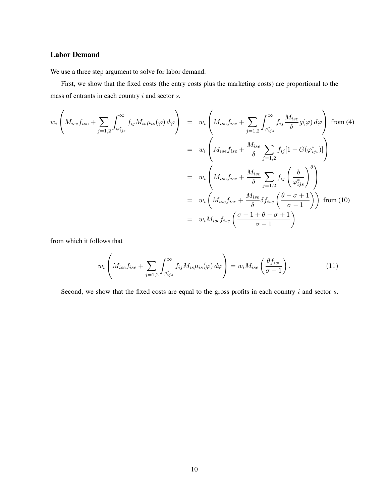### Labor Demand

We use a three step argument to solve for labor demand.

First, we show that the fixed costs (the entry costs plus the marketing costs) are proportional to the mass of entrants in each country  $i$  and sector  $s$ .

$$
w_i \left( M_{ise} f_{ise} + \sum_{j=1,2} \int_{\varphi_{ijs}^*}^{\infty} f_{ij} M_{is} \mu_{is}(\varphi) d\varphi \right) = w_i \left( M_{ise} f_{ise} + \sum_{j=1,2} \int_{\varphi_{ijs}^*}^{\infty} f_{ij} \frac{M_{ise}}{\delta} g(\varphi) d\varphi \right) \text{ from (4)}
$$
  
\n
$$
= w_i \left( M_{ise} f_{ise} + \frac{M_{ise}}{\delta} \sum_{j=1,2} f_{ij} [1 - G(\varphi_{ijs}^*)] \right)
$$
  
\n
$$
= w_i \left( M_{ise} f_{ise} + \frac{M_{ise}}{\delta} \sum_{j=1,2} f_{ij} \left( \frac{b}{\varphi_{ijs}^*} \right)^{\theta} \right)
$$
  
\n
$$
= w_i \left( M_{ise} f_{ise} + \frac{M_{ise}}{\delta} \delta f_{ise} \left( \frac{\theta - \sigma + 1}{\sigma - 1} \right) \right) \text{ from (10)}
$$
  
\n
$$
= w_i M_{ise} f_{ise} \left( \frac{\sigma - 1 + \theta - \sigma + 1}{\sigma - 1} \right)
$$

from which it follows that

$$
w_i \left( M_{ise} f_{ise} + \sum_{j=1,2} \int_{\varphi_{ijs}^*}^{\infty} f_{ij} M_{is} \mu_{is}(\varphi) d\varphi \right) = w_i M_{ise} \left( \frac{\theta f_{ise}}{\sigma - 1} \right). \tag{11}
$$

Second, we show that the fixed costs are equal to the gross profits in each country  $i$  and sector  $s$ .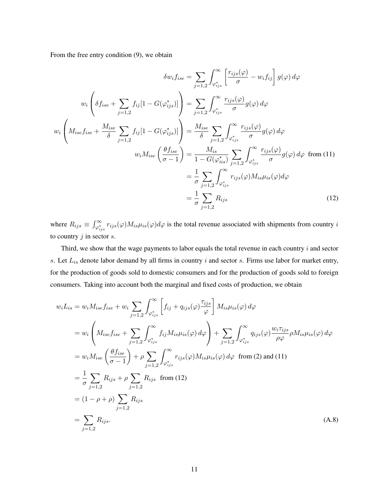From the free entry condition (9), we obtain

$$
\delta w_{i} f_{ise} = \sum_{j=1,2} \int_{\varphi_{ijs}^{*}}^{\infty} \left[ \frac{r_{ijs}(\varphi)}{\sigma} - w_{i} f_{ij} \right] g(\varphi) d\varphi
$$

$$
w_{i} \left( \delta f_{ise} + \sum_{j=1,2} f_{ij} [1 - G(\varphi_{ijs}^{*})] \right) = \sum_{j=1,2} \int_{\varphi_{ijs}^{*}}^{\infty} \frac{r_{ijs}(\varphi)}{\sigma} g(\varphi) d\varphi
$$

$$
w_{i} \left( M_{ise} f_{ise} + \frac{M_{ise}}{\delta} \sum_{j=1,2} f_{ij} [1 - G(\varphi_{ijs}^{*})] \right) = \frac{M_{ise}}{\delta} \sum_{j=1,2} \int_{\varphi_{ijs}^{*}}^{\infty} \frac{r_{ijs}(\varphi)}{\sigma} g(\varphi) d\varphi
$$

$$
w_{i} M_{ise} \left( \frac{\theta f_{ise}}{\sigma - 1} \right) = \frac{M_{is}}{1 - G(\varphi_{is}^{*})} \sum_{j=1,2} \int_{\varphi_{ijs}^{*}}^{\infty} \frac{r_{ijs}(\varphi)}{\sigma} g(\varphi) d\varphi \text{ from (11)}
$$

$$
= \frac{1}{\sigma} \sum_{j=1,2} \int_{\varphi_{ijs}^{*}}^{\infty} r_{ijs}(\varphi) M_{is} \mu_{is}(\varphi) d\varphi
$$

$$
= \frac{1}{\sigma} \sum_{j=1,2} R_{ijs} \qquad (12)
$$

where  $R_{ijs} \equiv \int_{\varphi_{ijs}^*}^{\infty} r_{ijs}(\varphi) M_{is} \mu_{is}(\varphi) d\varphi$  is the total revenue associated with shipments from country *i* to country  $j$  in sector  $s$ .

Third, we show that the wage payments to labor equals the total revenue in each country  $i$  and sector s. Let  $L_{is}$  denote labor demand by all firms in country i and sector s. Firms use labor for market entry, for the production of goods sold to domestic consumers and for the production of goods sold to foreign consumers. Taking into account both the marginal and fixed costs of production, we obtain

$$
w_i L_{is} = w_i M_{ise} f_{ise} + w_i \sum_{j=1,2} \int_{\varphi_{ijs}^*}^{\infty} \left[ f_{ij} + q_{ijs}(\varphi) \frac{\tau_{ijs}}{\varphi} \right] M_{is} \mu_{is}(\varphi) d\varphi
$$
  
\n
$$
= w_i \left( M_{ise} f_{ise} + \sum_{j=1,2} \int_{\varphi_{ijs}^*}^{\infty} f_{ij} M_{is} \mu_{is}(\varphi) d\varphi \right) + \sum_{j=1,2} \int_{\varphi_{ijs}^*}^{\infty} q_{ijs}(\varphi) \frac{w_i \tau_{ijs}}{\rho \varphi} \rho M_{is} \mu_{is}(\varphi) d\varphi
$$
  
\n
$$
= w_i M_{ise} \left( \frac{\theta f_{ise}}{\sigma - 1} \right) + \rho \sum_{j=1,2} \int_{\varphi_{ijs}^*}^{\infty} r_{ijs}(\varphi) M_{is} \mu_{is}(\varphi) d\varphi \text{ from (2) and (11)}
$$
  
\n
$$
= \frac{1}{\sigma} \sum_{j=1,2} R_{ijs} + \rho \sum_{j=1,2} R_{ijs} \text{ from (12)}
$$
  
\n
$$
= (1 - \rho + \rho) \sum_{j=1,2} R_{ijs}
$$
  
\n
$$
= \sum_{j=1,2} R_{ijs}.
$$
 (A.8)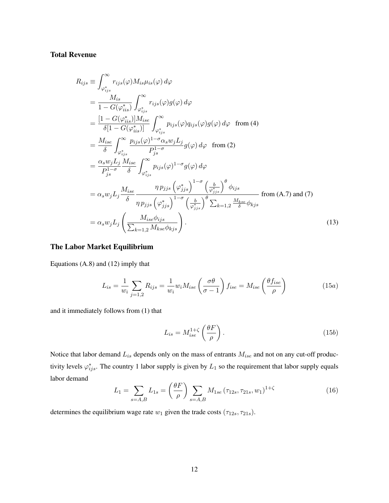### Total Revenue

$$
R_{ijs} \equiv \int_{\varphi_{ijs}^{*}}^{\infty} r_{ijs}(\varphi) M_{is} \mu_{is}(\varphi) d\varphi
$$
  
\n
$$
= \frac{M_{is}}{1 - G(\varphi_{iis}^{*})} \int_{\varphi_{ijs}^{*}}^{\infty} r_{ijs}(\varphi) g(\varphi) d\varphi
$$
  
\n
$$
= \frac{[1 - G(\varphi_{iis}^{*})] M_{ise}}{\delta[1 - G(\varphi_{iis}^{*})]} \int_{\varphi_{ijs}^{*}}^{\infty} p_{ijs}(\varphi) q_{ijs}(\varphi) g(\varphi) d\varphi \text{ from (4)}
$$
  
\n
$$
= \frac{M_{ise}}{\delta} \int_{\varphi_{ijs}^{*}}^{\infty} \frac{p_{ijs}(\varphi)^{1 - \sigma} \alpha_{s} w_{j} L_{j}}{P_{js}^{1 - \sigma}} g(\varphi) d\varphi \text{ from (2)}
$$
  
\n
$$
= \frac{\alpha_{s} w_{j} L_{j}}{P_{js}^{1 - \sigma}} \frac{M_{ise}}{\delta} \int_{\varphi_{ijs}^{*}}^{\infty} p_{ijs}(\varphi)^{1 - \sigma} g(\varphi) d\varphi
$$
  
\n
$$
= \alpha_{s} w_{j} L_{j} \frac{M_{ise}}{\delta} \frac{\eta p_{jjs} (\varphi_{jjs}^{*})^{1 - \sigma} (\frac{b}{\varphi_{jjs}^{*}})^{\theta} \varphi_{ijs}}{\eta p_{jjs} (\varphi_{jjs}^{*})^{1 - \sigma} (\frac{b}{\varphi_{jjs}^{*}})^{\theta} \sum_{k=1,2} \frac{M_{kse}}{\delta} \varphi_{kjs} \text{ from (A.7) and (7)}
$$
  
\n
$$
= \alpha_{s} w_{j} L_{j} (\frac{M_{ise} \varphi_{ijs}}{\sum_{k=1,2} M_{kse} \varphi_{kjs}}).
$$
  
\n(13)

#### The Labor Market Equilibrium

Equations (A.8) and (12) imply that

$$
L_{is} = \frac{1}{w_i} \sum_{j=1,2} R_{ijs} = \frac{1}{w_i} w_i M_{ise} \left(\frac{\sigma \theta}{\sigma - 1}\right) f_{ise} = M_{ise} \left(\frac{\theta f_{ise}}{\rho}\right)
$$
(15a)

and it immediately follows from (1) that

$$
L_{is} = M_{ise}^{1+\zeta} \left(\frac{\theta F}{\rho}\right). \tag{15b}
$$

Notice that labor demand  $L_{is}$  depends only on the mass of entrants  $M_{ise}$  and not on any cut-off productivity levels  $\varphi_{ijs}^*$ . The country 1 labor supply is given by  $L_1$  so the requirement that labor supply equals labor demand

$$
L_1 = \sum_{s=A,B} L_{1s} = \left(\frac{\theta F}{\rho}\right) \sum_{s=A,B} M_{1se} \left(\tau_{12s}, \tau_{21s}, w_1\right)^{1+\zeta} \tag{16}
$$

determines the equilibrium wage rate  $w_1$  given the trade costs  $(\tau_{12s}, \tau_{21s})$ .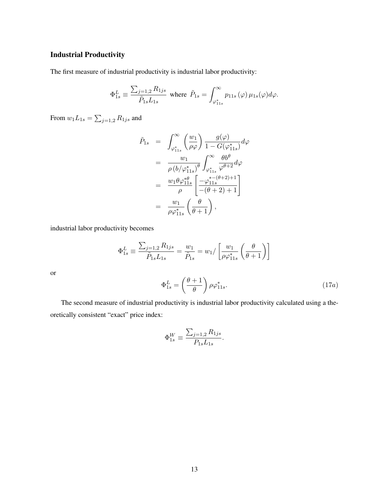## Industrial Productivity

The first measure of industrial productivity is industrial labor productivity:

$$
\Phi^L_{1s}\equiv \frac{\sum_{j=1,2} R_{1js}}{\tilde{P}_{1s}L_{1s}} \text{ where } \tilde{P}_{1s}=\int_{\varphi^*_{11s}}^{\infty} p_{11s}\left(\varphi\right) \mu_{1s}(\varphi) d\varphi.
$$

From  $w_1L_{1s} = \sum_{j=1,2} R_{1js}$  and

$$
\tilde{P}_{1s} = \int_{\varphi_{11s}^*}^{\infty} \left(\frac{w_1}{\rho \varphi}\right) \frac{g(\varphi)}{1 - G(\varphi_{11s}^*)} d\varphi
$$
\n
$$
= \frac{w_1}{\rho \left(b/\varphi_{11s}^*\right)^{\theta}} \int_{\varphi_{11s}^*}^{\infty} \frac{\theta b^{\theta}}{\varphi^{\theta+2}} d\varphi
$$
\n
$$
= \frac{w_1 \theta \varphi_{11s}^{* \theta}}{\rho} \left[\frac{-\varphi_{11s}^{* - (\theta + 2) + 1}}{-(\theta + 2) + 1}\right]
$$
\n
$$
= \frac{w_1}{\rho \varphi_{11s}^*} \left(\frac{\theta}{\theta + 1}\right),
$$

industrial labor productivity becomes

or

$$
\Phi_{1s}^{L} \equiv \frac{\sum_{j=1,2} R_{1js}}{\tilde{P}_{1s} L_{1s}} = \frac{w_1}{\tilde{P}_{1s}} = w_1 / \left[ \frac{w_1}{\rho \varphi_{11s}^*} \left( \frac{\theta}{\theta + 1} \right) \right]
$$

$$
\Phi_{1s}^{L} = \left( \frac{\theta + 1}{\theta} \right) \rho \varphi_{11s}^*.
$$
(17a)

The second measure of industrial productivity is industrial labor productivity calculated using a theoretically consistent "exact" price index:

$$
\Phi_{1s}^W \equiv \frac{\sum_{j=1,2} R_{1js}}{P_{1s} L_{1s}}.
$$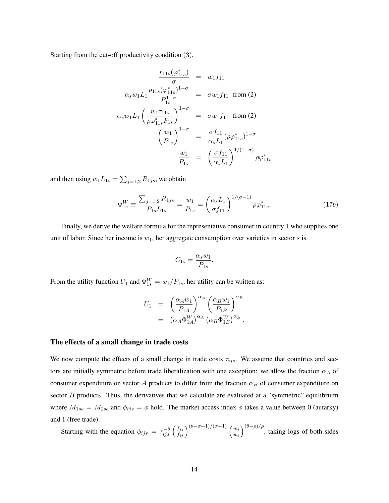Starting from the cut-off productivity condition (3),

$$
\frac{r_{11s}(\varphi_{11s}^{*})}{\sigma} = w_1 f_{11}
$$
\n
$$
\alpha_s w_1 L_1 \frac{p_{11s}(\varphi_{11s}^{*})^{1-\sigma}}{p_{1s}^{1-\sigma}} = \sigma w_1 f_{11} \text{ from (2)}
$$
\n
$$
\alpha_s w_1 L_1 \left(\frac{w_1 \tau_{11s}}{\rho \varphi_{11s}^{*} P_{1s}}\right)^{1-\sigma} = \sigma w_1 f_{11} \text{ from (2)}
$$
\n
$$
\left(\frac{w_1}{P_{1s}}\right)^{1-\sigma} = \frac{\sigma f_{11}}{\alpha_s L_1} (\rho \varphi_{11s}^{*})^{1-\sigma}
$$
\n
$$
\frac{w_1}{P_{1s}} = \left(\frac{\sigma f_{11}}{\alpha_s L_1}\right)^{1/(1-\sigma)} \rho \varphi_{11s}^{*}
$$

and then using  $w_1 L_{1s} = \sum_{j=1,2} R_{1js}$ , we obtain

$$
\Phi_{1s}^W \equiv \frac{\sum_{j=1,2} R_{1js}}{P_{1s} L_{1s}} = \frac{w_1}{P_{1s}} = \left(\frac{\alpha_s L_1}{\sigma f_{11}}\right)^{1/(\sigma - 1)} \rho \varphi_{11s}^*.
$$
\n(17b)

Finally, we derive the welfare formula for the representative consumer in country 1 who supplies one unit of labor. Since her income is  $w_1$ , her aggregate consumption over varieties in sector  $s$  is

$$
C_{1s} = \frac{\alpha_s w_1}{P_{1s}}.
$$

From the utility function  $U_1$  and  $\Phi_{1s}^W = w_1/P_{1s}$ , her utility can be written as:

$$
U_1 = \left(\frac{\alpha_A w_1}{P_{1A}}\right)^{\alpha_A} \left(\frac{\alpha_B w_1}{P_{1B}}\right)^{\alpha_B}
$$
  
= 
$$
\left(\alpha_A \Phi_{1A}^W\right)^{\alpha_A} \left(\alpha_B \Phi_{1B}^W\right)^{\alpha_B}.
$$

#### The effects of a small change in trade costs

We now compute the effects of a small change in trade costs  $\tau_{ijs}$ . We assume that countries and sectors are initially symmetric before trade liberalization with one exception: we allow the fraction  $\alpha_A$  of consumer expenditure on sector A products to differ from the fraction  $\alpha_B$  of consumer expenditure on sector  $B$  products. Thus, the derivatives that we calculate are evaluated at a "symmetric" equilibrium where  $M_{1se} = M_{2se}$  and  $\phi_{ijs} = \phi$  hold. The market access index  $\phi$  takes a value between 0 (autarky) and 1 (free trade).

Starting with the equation  $\phi_{ijs} = \tau_{ijs}^{-\theta} \left(\frac{f_{jj}}{f_{ij}}\right)^{(\theta-\sigma+1)/(\sigma-1)} \left(\frac{w_j}{w_i}\right)$  $w_i$  $\int_{0}^{(\theta-\rho)/\rho}$ , taking logs of both sides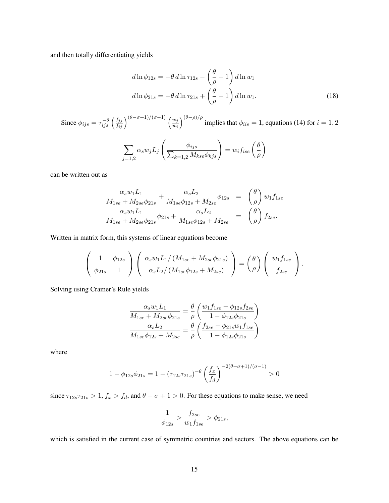and then totally differentiating yields

$$
d\ln\phi_{12s} = -\theta \, d\ln\tau_{12s} - \left(\frac{\theta}{\rho} - 1\right) d\ln w_1
$$
  

$$
d\ln\phi_{21s} = -\theta \, d\ln\tau_{21s} + \left(\frac{\theta}{\rho} - 1\right) d\ln w_1.
$$
 (18)

Since  $\phi_{ijs} = \tau_{ijs}^{-\theta} \left(\frac{f_{jj}}{f_{ij}}\right)^{(\theta-\sigma+1)/(\sigma-1)} \left(\frac{w_j}{w_i}\right)$  $\overline{w_i}$  $\int_{0}^{(\theta-\rho)/\rho}$  implies that  $\phi_{iis}=1$ , equations (14) for  $i=1,2$ 

$$
\sum_{j=1,2} \alpha_s w_j L_j \left( \frac{\phi_{ijs}}{\sum_{k=1,2} M_{kse} \phi_{kjs}} \right) = w_i f_{ise} \left( \frac{\theta}{\rho} \right)
$$

can be written out as

$$
\frac{\alpha_s w_1 L_1}{M_{1se} + M_{2se} \phi_{21s}} + \frac{\alpha_s L_2}{M_{1se} \phi_{12s} + M_{2se}} \phi_{12s} = \left(\frac{\theta}{\rho}\right) w_1 f_{1se} \n\frac{\alpha_s w_1 L_1}{M_{1se} + M_{2se} \phi_{21s}} \phi_{21s} + \frac{\alpha_s L_2}{M_{1se} \phi_{12s} + M_{2se}} = \left(\frac{\theta}{\rho}\right) f_{2se}.
$$

Written in matrix form, this systems of linear equations become

$$
\begin{pmatrix} 1 & \phi_{12s} \\ \phi_{21s} & 1 \end{pmatrix} \begin{pmatrix} \alpha_s w_1 L_1/(M_{1se} + M_{2se}\phi_{21s}) \\ \alpha_s L_2/(M_{1se}\phi_{12s} + M_{2se}) \end{pmatrix} = \begin{pmatrix} \theta \\ \rho \end{pmatrix} \begin{pmatrix} w_1 f_{1se} \\ f_{2se} \end{pmatrix}.
$$

Solving using Cramer's Rule yields

$$
\frac{\alpha_s w_1 L_1}{M_{1se} + M_{2se} \phi_{21s}} = \frac{\theta}{\rho} \left( \frac{w_1 f_{1se} - \phi_{12s} f_{2se}}{1 - \phi_{12s} \phi_{21s}} \right)
$$

$$
\frac{\alpha_s L_2}{M_{1se} \phi_{12s} + M_{2se}} = \frac{\theta}{\rho} \left( \frac{f_{2se} - \phi_{21s} w_1 f_{1se}}{1 - \phi_{12s} \phi_{21s}} \right)
$$

where

$$
1 - \phi_{12s}\phi_{21s} = 1 - (\tau_{12s}\tau_{21s})^{-\theta} \left(\frac{f_x}{f_d}\right)^{-2(\theta - \sigma + 1)/(\sigma - 1)} > 0
$$

since  $\tau_{12s}\tau_{21s} > 1$ ,  $f_x > f_d$ , and  $\theta - \sigma + 1 > 0$ . For these equations to make sense, we need

$$
\frac{1}{\phi_{12s}} > \frac{f_{2se}}{w_1 f_{1se}} > \phi_{21s},
$$

which is satisfied in the current case of symmetric countries and sectors. The above equations can be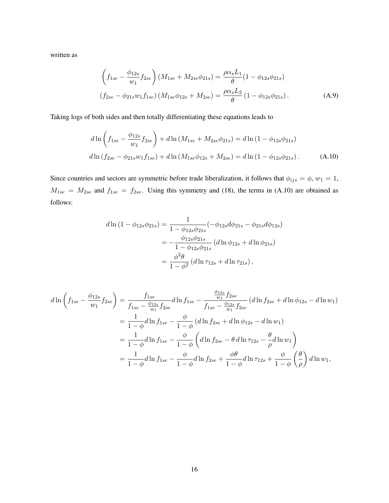written as

$$
\left(f_{1se} - \frac{\phi_{12s}}{w_1} f_{2se}\right) (M_{1se} + M_{2se}\phi_{21s}) = \frac{\rho \alpha_s L_1}{\theta} (1 - \phi_{12s}\phi_{21s})
$$
  

$$
(f_{2se} - \phi_{21s} w_1 f_{1se}) (M_{1se}\phi_{12s} + M_{2se}) = \frac{\rho \alpha_s L_2}{\theta} (1 - \phi_{12s}\phi_{21s}).
$$
 (A.9)

Taking logs of both sides and then totally differentiating these equations leads to

$$
d\ln\left(f_{1se} - \frac{\phi_{12s}}{w_1}f_{2se}\right) + d\ln\left(M_{1se} + M_{2se}\phi_{21s}\right) = d\ln\left(1 - \phi_{12s}\phi_{21s}\right)
$$
  

$$
d\ln\left(f_{2se} - \phi_{21s}w_1f_{1se}\right) + d\ln\left(M_{1se}\phi_{12s} + M_{2se}\right) = d\ln\left(1 - \phi_{12s}\phi_{21s}\right). \tag{A.10}
$$

Since countries and sectors are symmetric before trade liberalization, it follows that  $\phi_{ijs} = \phi$ ,  $w_1 = 1$ ,  $M_{1se} = M_{2se}$  and  $f_{1se} = f_{2se}$ . Using this symmetry and (18), the terms in (A.10) are obtained as follows:

$$
d\ln\left(1-\phi_{12s}\phi_{21s}\right) = \frac{1}{1-\phi_{12s}\phi_{21s}}\left(-\phi_{12s}d\phi_{21s} - \phi_{21s}d\phi_{12s}\right)
$$
  
=\frac{\phi\_{12s}\phi\_{21s}}{1-\phi\_{12s}\phi\_{21s}}\left(d\ln\phi\_{12s} + d\ln\phi\_{21s}\right)  
=\frac{\phi^2\theta}{1-\phi^2}\left(d\ln\tau\_{12s} + d\ln\tau\_{21s}\right),

$$
d\ln\left(f_{1se} - \frac{\phi_{12s}}{w_1}f_{2se}\right) = \frac{f_{1se}}{f_{1se} - \frac{\phi_{12s}}{w_1}f_{2se}} d\ln f_{1se} - \frac{\frac{\phi_{12s}}{w_1}f_{2se}}{f_{1se} - \frac{\phi_{12s}}{w_1}f_{2se}} (d\ln f_{2se} + d\ln \phi_{12s} - d\ln w_1)
$$
  

$$
= \frac{1}{1-\phi}d\ln f_{1se} - \frac{\phi}{1-\phi}\left(d\ln f_{2se} + d\ln \phi_{12s} - d\ln w_1\right)
$$
  

$$
= \frac{1}{1-\phi}d\ln f_{1se} - \frac{\phi}{1-\phi}\left(d\ln f_{2se} - \theta d\ln \tau_{12s} - \frac{\theta}{\rho}d\ln w_1\right)
$$
  

$$
= \frac{1}{1-\phi}d\ln f_{1se} - \frac{\phi}{1-\phi}d\ln f_{2se} + \frac{\phi\theta}{1-\phi}d\ln \tau_{12s} + \frac{\phi}{1-\phi}\left(\frac{\theta}{\rho}\right)d\ln w_1,
$$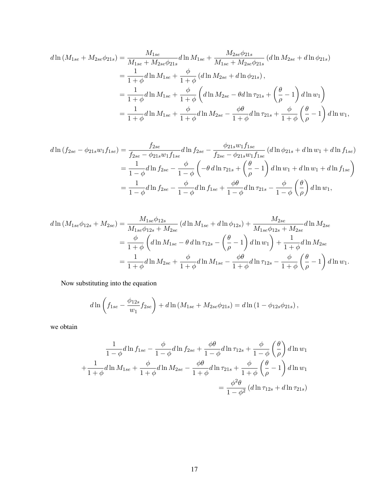$$
d\ln(M_{1se} + M_{2se}\phi_{21s}) = \frac{M_{1se}}{M_{1se} + M_{2se}\phi_{21s}} d\ln M_{1se} + \frac{M_{2se}\phi_{21s}}{M_{1se} + M_{2se}\phi_{21s}} (d\ln M_{2se} + d\ln \phi_{21s})
$$
  
=  $\frac{1}{1+\phi}d\ln M_{1se} + \frac{\phi}{1+\phi} (d\ln M_{2se} + d\ln \phi_{21s}),$   
=  $\frac{1}{1+\phi}d\ln M_{1se} + \frac{\phi}{1+\phi} \left( d\ln M_{2se} - \theta d\ln \tau_{21s} + \left(\frac{\theta}{\rho} - 1\right) d\ln w_1 \right)$   
=  $\frac{1}{1+\phi}d\ln M_{1se} + \frac{\phi}{1+\phi}d\ln M_{2se} - \frac{\phi\theta}{1+\phi}d\ln \tau_{21s} + \frac{\phi}{1+\phi} \left(\frac{\theta}{\rho} - 1\right) d\ln w_1,$ 

$$
d\ln(f_{2se} - \phi_{21s}w_1f_{1se}) = \frac{f_{2se}}{f_{2se} - \phi_{21s}w_1f_{1se}} d\ln f_{2se} - \frac{\phi_{21s}w_1f_{1se}}{f_{2se} - \phi_{21s}w_1f_{1se}} (d\ln\phi_{21s} + d\ln w_1 + d\ln f_{1se})
$$
  
= 
$$
\frac{1}{1-\phi}d\ln f_{2se} - \frac{\phi}{1-\phi}\left(-\theta d\ln \tau_{21s} + \left(\frac{\theta}{\rho} - 1\right)d\ln w_1 + d\ln w_1 + d\ln f_{1se}\right)
$$
  
= 
$$
\frac{1}{1-\phi}d\ln f_{2se} - \frac{\phi}{1-\phi}d\ln f_{1se} + \frac{\phi\theta}{1-\phi}d\ln \tau_{21s} - \frac{\phi}{1-\phi}\left(\frac{\theta}{\rho}\right)d\ln w_1,
$$

$$
d\ln(M_{1se}\phi_{12s} + M_{2se}) = \frac{M_{1se}\phi_{12s}}{M_{1se}\phi_{12s} + M_{2se}} (d\ln M_{1se} + d\ln \phi_{12s}) + \frac{M_{2se}}{M_{1se}\phi_{12s} + M_{2se}} d\ln M_{2se}
$$
  
=  $\frac{\phi}{1+\phi} \left( d\ln M_{1se} - \theta d\ln \tau_{12s} - \left(\frac{\theta}{\rho} - 1\right) d\ln w_1 \right) + \frac{1}{1+\phi} d\ln M_{2se}$   
=  $\frac{1}{1+\phi} d\ln M_{2se} + \frac{\phi}{1+\phi} d\ln M_{1se} - \frac{\phi\theta}{1+\phi} d\ln \tau_{12s} - \frac{\phi}{1+\phi} \left(\frac{\theta}{\rho} - 1\right) d\ln w_1.$ 

Now substituting into the equation

$$
d\ln\left(f_{1se} - \frac{\phi_{12s}}{w_1}f_{2se}\right) + d\ln\left(M_{1se} + M_{2se}\phi_{21s}\right) = d\ln\left(1 - \phi_{12s}\phi_{21s}\right),
$$

we obtain

$$
\frac{1}{1-\phi}d\ln f_{1se} - \frac{\phi}{1-\phi}d\ln f_{2se} + \frac{\phi\theta}{1-\phi}d\ln \tau_{12s} + \frac{\phi}{1-\phi}\left(\frac{\theta}{\rho}\right)d\ln w_1
$$

$$
+\frac{1}{1+\phi}d\ln M_{1se} + \frac{\phi}{1+\phi}d\ln M_{2se} - \frac{\phi\theta}{1+\phi}d\ln \tau_{21s} + \frac{\phi}{1+\phi}\left(\frac{\theta}{\rho} - 1\right)d\ln w_1
$$

$$
= \frac{\phi^2\theta}{1-\phi^2}(d\ln \tau_{12s} + d\ln \tau_{21s})
$$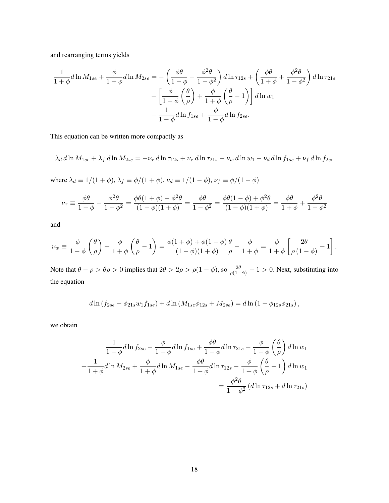and rearranging terms yields

$$
\frac{1}{1+\phi}d\ln M_{1se} + \frac{\phi}{1+\phi}d\ln M_{2se} = -\left(\frac{\phi\theta}{1-\phi} - \frac{\phi^2\theta}{1-\phi^2}\right)d\ln \tau_{12s} + \left(\frac{\phi\theta}{1+\phi} + \frac{\phi^2\theta}{1-\phi^2}\right)d\ln \tau_{21s}
$$

$$
-\left[\frac{\phi}{1-\phi}\left(\frac{\theta}{\rho}\right) + \frac{\phi}{1+\phi}\left(\frac{\theta}{\rho} - 1\right)\right]d\ln w_1
$$

$$
-\frac{1}{1-\phi}d\ln f_{1se} + \frac{\phi}{1-\phi}d\ln f_{2se}.
$$

This equation can be written more compactly as

$$
\lambda_d d\ln M_{1se} + \lambda_f d\ln M_{2se} = -\nu_{\tau} d\ln \tau_{12s} + \nu_{\tau} d\ln \tau_{21s} - \nu_w d\ln w_1 - \nu_d d\ln f_{1se} + \nu_f d\ln f_{2se}
$$

where  $\lambda_d \equiv 1/(1+\phi), \lambda_f \equiv \phi/(1+\phi), \nu_d \equiv 1/(1-\phi), \nu_f \equiv \phi/(1-\phi)$ 

$$
\nu_{\tau} \equiv \frac{\phi \theta}{1 - \phi} - \frac{\phi^2 \theta}{1 - \phi^2} = \frac{\phi \theta (1 + \phi) - \phi^2 \theta}{(1 - \phi)(1 + \phi)} = \frac{\phi \theta}{1 - \phi^2} = \frac{\phi \theta (1 - \phi) + \phi^2 \theta}{(1 - \phi)(1 + \phi)} = \frac{\phi \theta}{1 + \phi} + \frac{\phi^2 \theta}{1 - \phi^2}
$$

and

$$
\nu_w \equiv \frac{\phi}{1-\phi} \left( \frac{\theta}{\rho} \right) + \frac{\phi}{1+\phi} \left( \frac{\theta}{\rho} - 1 \right) = \frac{\phi(1+\phi) + \phi(1-\phi)}{(1-\phi)(1+\phi)} \frac{\theta}{\rho} - \frac{\phi}{1+\phi} = \frac{\phi}{1+\phi} \left[ \frac{2\theta}{\rho(1-\phi)} - 1 \right].
$$

Note that  $\theta - \rho > \theta \rho > 0$  implies that  $2\theta > 2\rho > \rho(1-\phi)$ , so  $\frac{2\theta}{\rho(1-\phi)} - 1 > 0$ . Next, substituting into the equation

$$
d\ln(f_{2se} - \phi_{21s}w_1f_{1se}) + d\ln(M_{1se}\phi_{12s} + M_{2se}) = d\ln(1 - \phi_{12s}\phi_{21s}),
$$

we obtain

$$
\frac{1}{1-\phi}d\ln f_{2se} - \frac{\phi}{1-\phi}d\ln f_{1se} + \frac{\phi\theta}{1-\phi}d\ln \tau_{21s} - \frac{\phi}{1-\phi}\left(\frac{\theta}{\rho}\right)d\ln w_1
$$

$$
+\frac{1}{1+\phi}d\ln M_{2se} + \frac{\phi}{1+\phi}d\ln M_{1se} - \frac{\phi\theta}{1+\phi}d\ln \tau_{12s} - \frac{\phi}{1+\phi}\left(\frac{\theta}{\rho} - 1\right)d\ln w_1
$$

$$
= \frac{\phi^2\theta}{1-\phi^2}(d\ln \tau_{12s} + d\ln \tau_{21s})
$$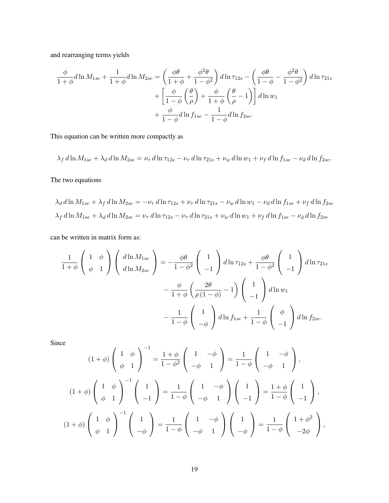and rearranging terms yields

$$
\frac{\phi}{1+\phi}d\ln M_{1se} + \frac{1}{1+\phi}d\ln M_{2se} = \left(\frac{\phi\theta}{1+\phi} + \frac{\phi^2\theta}{1-\phi^2}\right)d\ln \tau_{12s} - \left(\frac{\phi\theta}{1-\phi} - \frac{\phi^2\theta}{1-\phi^2}\right)d\ln \tau_{21s} \n+ \left[\frac{\phi}{1-\phi}\left(\frac{\theta}{\rho}\right) + \frac{\phi}{1+\phi}\left(\frac{\theta}{\rho} - 1\right)\right]d\ln w_1 \n+ \frac{\phi}{1-\phi}d\ln f_{1se} - \frac{1}{1-\phi}d\ln f_{2se}.
$$

This equation can be written more compactly as

$$
\lambda_f d\ln M_{1se} + \lambda_d d\ln M_{2se} = \nu_\tau d\ln \tau_{12s} - \nu_\tau d\ln \tau_{21s} + \nu_w d\ln w_1 + \nu_f d\ln f_{1se} - \nu_d d\ln f_{2se}.
$$

The two equations

$$
\lambda_d \, d \ln M_{1se} + \lambda_f \, d \ln M_{2se} = -\nu_\tau \, d \ln \tau_{12s} + \nu_\tau \, d \ln \tau_{21s} - \nu_w \, d \ln w_1 - \nu_d \, d \ln f_{1se} + \nu_f \, d \ln f_{2se}
$$
\n
$$
\lambda_f \, d \ln M_{1se} + \lambda_d \, d \ln M_{2se} = \nu_\tau \, d \ln \tau_{12s} - \nu_\tau \, d \ln \tau_{21s} + \nu_w \, d \ln w_1 + \nu_f \, d \ln f_{1se} - \nu_d \, d \ln f_{2se}
$$

can be written in matrix form as:

$$
\frac{1}{1+\phi} \begin{pmatrix} 1 & \phi \\ \phi & 1 \end{pmatrix} \begin{pmatrix} d\ln M_{1se} \\ d\ln M_{2se} \end{pmatrix} = -\frac{\phi\theta}{1-\phi^2} \begin{pmatrix} 1 \\ -1 \end{pmatrix} d\ln \tau_{12s} + \frac{\phi\theta}{1-\phi^2} \begin{pmatrix} 1 \\ -1 \end{pmatrix} d\ln \tau_{21s} \n- \frac{\phi}{1+\phi} \left( \frac{2\theta}{\rho(1-\phi)} - 1 \right) \begin{pmatrix} 1 \\ -1 \end{pmatrix} d\ln w_1 \n- \frac{1}{1-\phi} \begin{pmatrix} 1 \\ -\phi \end{pmatrix} d\ln f_{1se} + \frac{1}{1-\phi} \begin{pmatrix} \phi \\ -1 \end{pmatrix} d\ln f_{2se}.
$$

Since

$$
(1+\phi)\begin{pmatrix} 1 & \phi \\ \phi & 1 \end{pmatrix}^{-1} = \frac{1+\phi}{1-\phi^2} \begin{pmatrix} 1 & -\phi \\ -\phi & 1 \end{pmatrix} = \frac{1}{1-\phi} \begin{pmatrix} 1 & -\phi \\ -\phi & 1 \end{pmatrix},
$$

$$
(1+\phi)\begin{pmatrix} 1 & \phi \\ \phi & 1 \end{pmatrix}^{-1} \begin{pmatrix} 1 \\ -1 \end{pmatrix} = \frac{1}{1-\phi} \begin{pmatrix} 1 & -\phi \\ -\phi & 1 \end{pmatrix} \begin{pmatrix} 1 \\ -1 \end{pmatrix} = \frac{1+\phi}{1-\phi} \begin{pmatrix} 1 \\ -1 \end{pmatrix},
$$

$$
(1+\phi)\begin{pmatrix} 1 & \phi \\ \phi & 1 \end{pmatrix}^{-1} \begin{pmatrix} 1 \\ -\phi \end{pmatrix} = \frac{1}{1-\phi} \begin{pmatrix} 1 & -\phi \\ -\phi & 1 \end{pmatrix} \begin{pmatrix} 1 \\ -\phi \end{pmatrix} = \frac{1}{1-\phi} \begin{pmatrix} 1+\phi^2 \\ -2\phi \end{pmatrix},
$$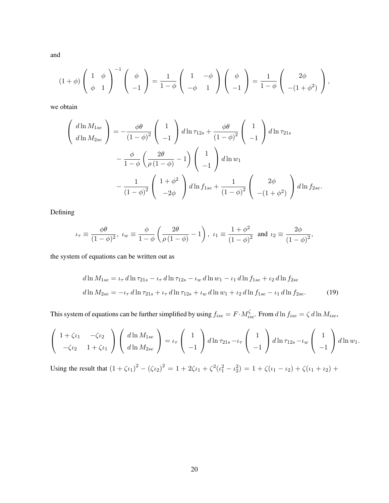and

$$
(1+\phi)\left(\begin{array}{cc}1 & \phi \\ \phi & 1\end{array}\right)^{-1}\left(\begin{array}{c}\phi \\ -1\end{array}\right)=\frac{1}{1-\phi}\left(\begin{array}{cc}1 & -\phi \\ -\phi & 1\end{array}\right)\left(\begin{array}{c}\phi \\ -1\end{array}\right)=\frac{1}{1-\phi}\left(\begin{array}{c}2\phi \\ -(1+\phi^2)\end{array}\right),
$$

we obtain

$$
\begin{aligned}\n\left(\begin{array}{c}\nd\ln M_{1se} \\
d\ln M_{2se}\n\end{array}\right) &= -\frac{\phi\theta}{(1-\phi)^2} \begin{pmatrix}1\\-1\end{pmatrix} d\ln \tau_{12s} + \frac{\phi\theta}{(1-\phi)^2} \begin{pmatrix}1\\-1\end{pmatrix} d\ln \tau_{21s} \\
&-\frac{\phi}{1-\phi} \left(\frac{2\theta}{\rho(1-\phi)}-1\right) \begin{pmatrix}1\\-1\end{pmatrix} d\ln w_1 \\
&-\frac{1}{(1-\phi)^2} \begin{pmatrix}1+\phi^2\\-2\phi\end{pmatrix} d\ln f_{1se} + \frac{1}{(1-\phi)^2} \begin{pmatrix}2\phi\\-(1+\phi^2)\end{pmatrix} d\ln f_{2se}.\n\end{aligned}
$$

Defining

$$
\iota_{\tau} \equiv \frac{\phi \theta}{(1 - \phi)^2}
$$
,  $\iota_{w} \equiv \frac{\phi}{1 - \phi} \left( \frac{2\theta}{\rho (1 - \phi)} - 1 \right)$ ,  $\iota_{1} \equiv \frac{1 + \phi^2}{(1 - \phi)^2}$  and  $\iota_{2} \equiv \frac{2\phi}{(1 - \phi)^2}$ ,

the system of equations can be written out as

$$
d\ln M_{1se} = \iota_{\tau} d\ln \tau_{21s} - \iota_{\tau} d\ln \tau_{12s} - \iota_{w} d\ln w_{1} - \iota_{1} d\ln f_{1se} + \iota_{2} d\ln f_{2se}
$$
  

$$
d\ln M_{2se} = -\iota_{\tau} d\ln \tau_{21s} + \iota_{\tau} d\ln \tau_{12s} + \iota_{w} d\ln w_{1} + \iota_{2} d\ln f_{1se} - \iota_{1} d\ln f_{2se}.
$$
 (19)

This system of equations can be further simplified by using  $f_{ise} = F \cdot M_{ise}^{\zeta}$ . From  $d \ln f_{ise} = \zeta d \ln M_{ise}$ ,

$$
\left(\begin{array}{cc}1+\zeta\iota_1 & -\zeta\iota_2\\-\zeta\iota_2 & 1+\zeta\iota_1\end{array}\right)\left(\begin{array}{c}d\ln M_{1se}\\d\ln M_{2se}\end{array}\right)=\iota_\tau\left(\begin{array}{c}1\\-1\end{array}\right)d\ln\tau_{21s}-\iota_\tau\left(\begin{array}{c}1\\-1\end{array}\right)d\ln\tau_{12s}-\iota_w\left(\begin{array}{c}1\\-1\end{array}\right)d\ln w_1.
$$

Using the result that  $(1 + \zeta \iota_1)^2 - (\zeta \iota_2)^2 = 1 + 2\zeta \iota_1 + \zeta^2(\iota_1^2 - \iota_2^2) = 1 + \zeta(\iota_1 - \iota_2) + \zeta(\iota_1 + \iota_2) + \zeta(\iota_2 - \iota_2^2)$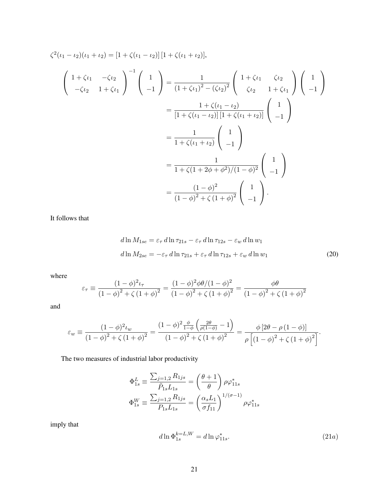$$
\zeta^{2}(\iota_{1} - \iota_{2})(\iota_{1} + \iota_{2}) = [1 + \zeta(\iota_{1} - \iota_{2})] [1 + \zeta(\iota_{1} + \iota_{2})],
$$
\n
$$
\begin{pmatrix}\n1 + \zeta\iota_{1} & -\zeta\iota_{2} \\
-\zeta\iota_{2} & 1 + \zeta\iota_{1}\n\end{pmatrix}^{-1}\n\begin{pmatrix}\n1 \\
-1\n\end{pmatrix} = \frac{1}{(1 + \zeta\iota_{1})^{2} - (\zeta\iota_{2})^{2}} \begin{pmatrix}\n1 + \zeta\iota_{1} & \zeta\iota_{2} \\
\zeta\iota_{2} & 1 + \zeta\iota_{1}\n\end{pmatrix}\n\begin{pmatrix}\n1 \\
-1\n\end{pmatrix}
$$
\n
$$
= \frac{1 + \zeta(\iota_{1} - \iota_{2})}{[1 + \zeta(\iota_{1} - \iota_{2})][1 + \zeta(\iota_{1} + \iota_{2})]} \begin{pmatrix}\n1 \\
-1\n\end{pmatrix}
$$
\n
$$
= \frac{1}{1 + \zeta(\iota_{1} + \iota_{2})} \begin{pmatrix}\n1 \\
-1\n\end{pmatrix}
$$
\n
$$
= \frac{1}{1 + \zeta(1 + 2\phi + \phi^{2})/(1 - \phi)^{2}} \begin{pmatrix}\n1 \\
-1\n\end{pmatrix}
$$
\n
$$
= \frac{(1 - \phi)^{2}}{(1 - \phi)^{2} + \zeta(1 + \phi)^{2}} \begin{pmatrix}\n1 \\
-1\n\end{pmatrix}.
$$

It follows that

$$
d\ln M_{1se} = \varepsilon_{\tau} d\ln \tau_{21s} - \varepsilon_{\tau} d\ln \tau_{12s} - \varepsilon_{w} d\ln w_{1}
$$
  

$$
d\ln M_{2se} = -\varepsilon_{\tau} d\ln \tau_{21s} + \varepsilon_{\tau} d\ln \tau_{12s} + \varepsilon_{w} d\ln w_{1}
$$
 (20)

where

$$
\varepsilon_{\tau} \equiv \frac{(1 - \phi)^2 \iota_{\tau}}{(1 - \phi)^2 + \zeta (1 + \phi)^2} = \frac{(1 - \phi)^2 \phi \theta / (1 - \phi)^2}{(1 - \phi)^2 + \zeta (1 + \phi)^2} = \frac{\phi \theta}{(1 - \phi)^2 + \zeta (1 + \phi)^2}
$$

and

$$
\varepsilon_{w} \equiv \frac{(1 - \phi)^{2} \iota_{w}}{(1 - \phi)^{2} + \zeta (1 + \phi)^{2}} = \frac{(1 - \phi)^{2} \frac{\phi}{1 - \phi} \left( \frac{2\theta}{\rho(1 - \phi)} - 1 \right)}{(1 - \phi)^{2} + \zeta (1 + \phi)^{2}} = \frac{\phi \left[ 2\theta - \rho (1 - \phi) \right]}{\rho \left[ (1 - \phi)^{2} + \zeta (1 + \phi)^{2} \right]}.
$$

The two measures of industrial labor productivity

$$
\Phi_{1s}^{L} \equiv \frac{\sum_{j=1,2} R_{1js}}{\tilde{P}_{1s} L_{1s}} = \left(\frac{\theta + 1}{\theta}\right) \rho \varphi_{11s}^{*}
$$

$$
\Phi_{1s}^{W} \equiv \frac{\sum_{j=1,2} R_{1js}}{P_{1s} L_{1s}} = \left(\frac{\alpha_{s} L_1}{\sigma f_{11}}\right)^{1/(\sigma - 1)} \rho \varphi_{11s}^{*}
$$

imply that

$$
d\ln \Phi_{1s}^{k=L,W} = d\ln \varphi_{11s}^*.
$$
\n(21*a*)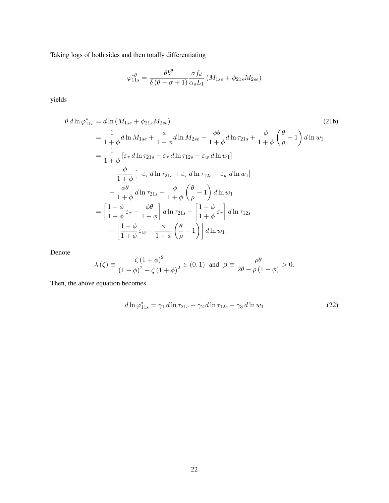Taking logs of both sides and then totally differentiating

$$
\varphi_{11s}^{*\theta} = \frac{\theta b^{\theta}}{\delta(\theta - \sigma + 1)} \frac{\sigma f_d}{\alpha_s L_1} \left( M_{1se} + \phi_{21s} M_{2se} \right)
$$

yields

$$
\theta \, d\ln \varphi_{11s}^{*} = d\ln \left( M_{1se} + \phi_{21s} M_{2se} \right) \tag{21b}
$$
\n
$$
= \frac{1}{1+\phi} d\ln M_{1se} + \frac{\phi}{1+\phi} d\ln M_{2se} - \frac{\phi\theta}{1+\phi} d\ln \tau_{21s} + \frac{\phi}{1+\phi} \left( \frac{\theta}{\rho} - 1 \right) d\ln w_1
$$
\n
$$
= \frac{1}{1+\phi} \left[ \varepsilon_{\tau} d\ln \tau_{21s} - \varepsilon_{\tau} d\ln \tau_{12s} - \varepsilon_{w} d\ln w_1 \right]
$$
\n
$$
+ \frac{\phi}{1+\phi} \left[ -\varepsilon_{\tau} d\ln \tau_{21s} + \varepsilon_{\tau} d\ln \tau_{12s} + \varepsilon_{w} d\ln w_1 \right]
$$
\n
$$
- \frac{\phi\theta}{1+\phi} d\ln \tau_{21s} + \frac{\phi}{1+\phi} \left( \frac{\theta}{\rho} - 1 \right) d\ln w_1
$$
\n
$$
= \left[ \frac{1-\phi}{1+\phi} \varepsilon_{\tau} - \frac{\phi\theta}{1+\phi} \right] d\ln \tau_{21s} - \left[ \frac{1-\phi}{1+\phi} \varepsilon_{\tau} \right] d\ln \tau_{12s}
$$
\n
$$
- \left[ \frac{1-\phi}{1+\phi} \varepsilon_{w} - \frac{\phi}{1+\phi} \left( \frac{\theta}{\rho} - 1 \right) \right] d\ln w_1.
$$
\n(21b)

Denote

$$
\lambda(\zeta) \equiv \frac{\zeta (1+\phi)^2}{(1-\phi)^2 + \zeta (1+\phi)^2} \in (0,1) \text{ and } \beta \equiv \frac{\rho \theta}{2\theta - \rho (1-\phi)} > 0.
$$

Then, the above equation becomes

$$
d\ln\varphi_{11s}^* = \gamma_1 d\ln\tau_{21s} - \gamma_2 d\ln\tau_{12s} - \gamma_3 d\ln w_1
$$
 (22)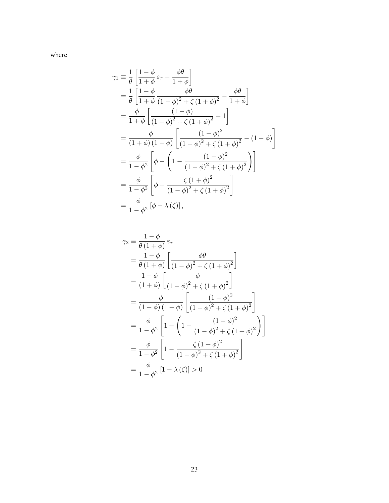where

$$
\gamma_1 \equiv \frac{1}{\theta} \left[ \frac{1-\phi}{1+\phi} \varepsilon_{\tau} - \frac{\phi \theta}{1+\phi} \right]
$$
  
\n
$$
= \frac{1}{\theta} \left[ \frac{1-\phi}{1+\phi} \frac{\phi \theta}{(1-\phi)^2 + \zeta (1+\phi)^2} - \frac{\phi \theta}{1+\phi} \right]
$$
  
\n
$$
= \frac{\phi}{1+\phi} \left[ \frac{(1-\phi)}{(1-\phi)^2 + \zeta (1+\phi)^2} - 1 \right]
$$
  
\n
$$
= \frac{\phi}{(1+\phi)(1-\phi)} \left[ \frac{(1-\phi)^2}{(1-\phi)^2 + \zeta (1+\phi)^2} - (1-\phi) \right]
$$
  
\n
$$
= \frac{\phi}{1-\phi^2} \left[ \phi - \left( 1 - \frac{(1-\phi)^2}{(1-\phi)^2 + \zeta (1+\phi)^2} \right) \right]
$$
  
\n
$$
= \frac{\phi}{1-\phi^2} \left[ \phi - \frac{\zeta (1+\phi)^2}{(1-\phi)^2 + \zeta (1+\phi)^2} \right]
$$
  
\n
$$
= \frac{\phi}{1-\phi^2} \left[ \phi - \lambda (\zeta) \right],
$$

$$
\gamma_2 \equiv \frac{1-\phi}{\theta(1+\phi)} \varepsilon_{\tau}
$$
  
=  $\frac{1-\phi}{\theta(1+\phi)} \left[ \frac{\phi \theta}{(1-\phi)^2 + \zeta(1+\phi)^2} \right]$   
=  $\frac{1-\phi}{(1+\phi)} \left[ \frac{\phi}{(1-\phi)^2 + \zeta(1+\phi)^2} \right]$   
=  $\frac{\phi}{(1-\phi)(1+\phi)} \left[ \frac{(1-\phi)^2}{(1-\phi)^2 + \zeta(1+\phi)^2} \right]$   
=  $\frac{\phi}{1-\phi^2} \left[ 1 - \left( 1 - \frac{(1-\phi)^2}{(1-\phi)^2 + \zeta(1+\phi)^2} \right) \right]$   
=  $\frac{\phi}{1-\phi^2} \left[ 1 - \frac{\zeta(1+\phi)^2}{(1-\phi)^2 + \zeta(1+\phi)^2} \right]$   
=  $\frac{\phi}{1-\phi^2} [1 - \lambda(\zeta)] > 0$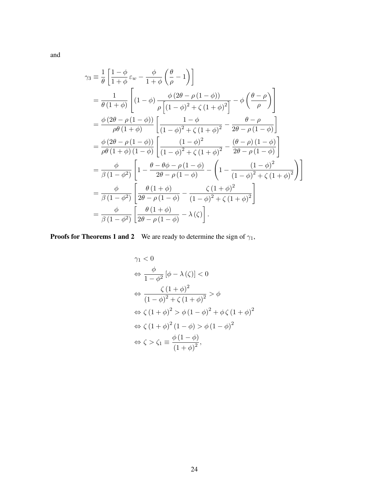and

$$
\gamma_3 \equiv \frac{1}{\theta} \left[ \frac{1-\phi}{1+\phi} \varepsilon_w - \frac{\phi}{1+\phi} \left( \frac{\theta}{\rho} - 1 \right) \right]
$$
  
\n
$$
= \frac{1}{\theta (1+\phi)} \left[ (1-\phi) \frac{\phi (2\theta - \rho (1-\phi))}{\rho \left[ (1-\phi)^2 + \zeta (1+\phi)^2 \right]} - \phi \left( \frac{\theta - \rho}{\rho} \right) \right]
$$
  
\n
$$
= \frac{\phi (2\theta - \rho (1-\phi))}{\rho \theta (1+\phi)} \left[ \frac{1-\phi}{(1-\phi)^2 + \zeta (1+\phi)^2} - \frac{\theta - \rho}{2\theta - \rho (1-\phi)} \right]
$$
  
\n
$$
= \frac{\phi (2\theta - \rho (1-\phi))}{\rho \theta (1+\phi) (1-\phi)} \left[ \frac{(1-\phi)^2}{(1-\phi)^2 + \zeta (1+\phi)^2} - \frac{(\theta - \rho)(1-\phi)}{2\theta - \rho (1-\phi)} \right]
$$
  
\n
$$
= \frac{\phi}{\beta (1-\phi^2)} \left[ 1 - \frac{\theta - \theta \phi - \rho (1-\phi)}{2\theta - \rho (1-\phi)} - \left( 1 - \frac{(1-\phi)^2}{(1-\phi)^2 + \zeta (1+\phi)^2} \right) \right]
$$
  
\n
$$
= \frac{\phi}{\beta (1-\phi^2)} \left[ \frac{\theta (1+\phi)}{2\theta - \rho (1-\phi)} - \frac{\zeta (1+\phi)^2}{(1-\phi)^2 + \zeta (1+\phi)^2} \right]
$$
  
\n
$$
= \frac{\phi}{\beta (1-\phi^2)} \left[ \frac{\theta (1+\phi)}{2\theta - \rho (1-\phi)} - \lambda (\zeta) \right].
$$

**Proofs for Theorems 1 and 2** We are ready to determine the sign of  $\gamma_1$ ,

$$
\gamma_1 < 0
$$
\n
$$
\Leftrightarrow \frac{\phi}{1 - \phi^2} \left[ \phi - \lambda \left( \zeta \right) \right] < 0
$$
\n
$$
\Leftrightarrow \frac{\zeta \left( 1 + \phi \right)^2}{\left( 1 - \phi \right)^2 + \zeta \left( 1 + \phi \right)^2} > \phi
$$
\n
$$
\Leftrightarrow \zeta \left( 1 + \phi \right)^2 > \phi \left( 1 - \phi \right)^2 + \phi \zeta \left( 1 + \phi \right)^2
$$
\n
$$
\Leftrightarrow \zeta \left( 1 + \phi \right)^2 \left( 1 - \phi \right) > \phi \left( 1 - \phi \right)^2
$$
\n
$$
\Leftrightarrow \zeta > \zeta_1 \equiv \frac{\phi \left( 1 - \phi \right)}{\left( 1 + \phi \right)^2},
$$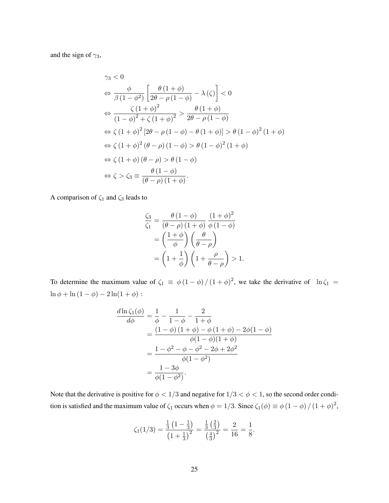and the sign of  $\gamma_3$ ,

$$
\gamma_3 < 0
$$
\n
$$
\Leftrightarrow \frac{\phi}{\beta(1-\phi^2)} \left[ \frac{\theta(1+\phi)}{2\theta - \rho(1-\phi)} - \lambda(\zeta) \right] < 0
$$
\n
$$
\Leftrightarrow \frac{\zeta(1+\phi)^2}{(1-\phi)^2 + \zeta(1+\phi)^2} > \frac{\theta(1+\phi)}{2\theta - \rho(1-\phi)}
$$
\n
$$
\Leftrightarrow \zeta(1+\phi)^2 [2\theta - \rho(1-\phi) - \theta(1+\phi)] > \theta(1-\phi)^2(1+\phi)
$$
\n
$$
\Leftrightarrow \zeta(1+\phi)^2(\theta-\rho)(1-\phi) > \theta(1-\phi)^2(1+\phi)
$$
\n
$$
\Leftrightarrow \zeta(1+\phi)(\theta-\rho) > \theta(1-\phi)
$$
\n
$$
\Leftrightarrow \zeta > \zeta_3 \equiv \frac{\theta(1-\phi)}{(\theta-\rho)(1+\phi)}.
$$

A comparison of  $\zeta_1$  and  $\zeta_3$  leads to

$$
\frac{\zeta_3}{\zeta_1} = \frac{\theta (1 - \phi)}{(\theta - \rho) (1 + \phi)} \frac{(1 + \phi)^2}{\phi (1 - \phi)}
$$

$$
= \left(\frac{1 + \phi}{\phi}\right) \left(\frac{\theta}{\theta - \rho}\right)
$$

$$
= \left(1 + \frac{1}{\phi}\right) \left(1 + \frac{\rho}{\theta - \rho}\right) > 1.
$$

To determine the maximum value of  $\zeta_1 \equiv \phi(1-\phi)/(1+\phi)^2$ , we take the derivative of  $\ln \zeta_1 =$  $\ln\phi+\ln\left(1-\phi\right)-2\ln(1+\phi)$  :

$$
\frac{d\ln\zeta_1(\phi)}{d\phi} = \frac{1}{\phi} - \frac{1}{1-\phi} - \frac{2}{1+\phi}
$$
  
= 
$$
\frac{(1-\phi)(1+\phi) - \phi(1+\phi) - 2\phi(1-\phi)}{\phi(1-\phi)(1+\phi)}
$$
  
= 
$$
\frac{1-\phi^2 - \phi - \phi^2 - 2\phi + 2\phi^2}{\phi(1-\phi^2)}
$$
  
= 
$$
\frac{1-3\phi}{\phi(1-\phi^2)}.
$$

Note that the derivative is positive for  $\phi < 1/3$  and negative for  $1/3 < \phi < 1$ , so the second order condition is satisfied and the maximum value of  $\zeta_1$  occurs when  $\phi = 1/3$ . Since  $\zeta_1(\phi) \equiv \phi(1-\phi)/(1+\phi)^2$ ,

$$
\zeta_1(1/3) = \frac{\frac{1}{3}(1-\frac{1}{3})}{\left(1+\frac{1}{3}\right)^2} = \frac{\frac{1}{3}\left(\frac{2}{3}\right)}{\left(\frac{4}{3}\right)^2} = \frac{2}{16} = \frac{1}{8}.
$$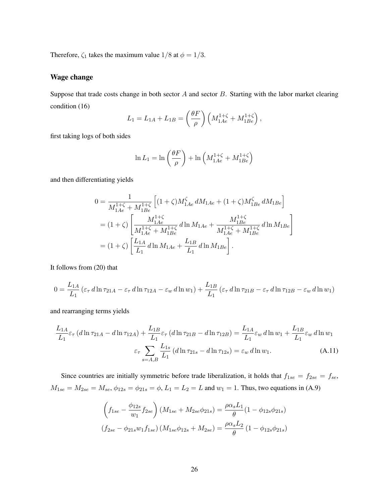Therefore,  $\zeta_1$  takes the maximum value  $1/8$  at  $\phi = 1/3$ .

### Wage change

Suppose that trade costs change in both sector  $A$  and sector  $B$ . Starting with the labor market clearing condition (16)

$$
L_1 = L_{1A} + L_{1B} = \left(\frac{\theta F}{\rho}\right) \left(M_{1Ae}^{1+\zeta} + M_{1Be}^{1+\zeta}\right),\,
$$

first taking logs of both sides

$$
\ln L_1 = \ln \left( \frac{\theta F}{\rho} \right) + \ln \left( M_{1Ae}^{1+\zeta} + M_{1Be}^{1+\zeta} \right)
$$

and then differentiating yields

$$
0 = \frac{1}{M_{1Ae}^{1+\zeta} + M_{1Be}^{1+\zeta}} \left[ (1+\zeta) M_{1Ae}^{\zeta} dM_{1Ae} + (1+\zeta) M_{1Be}^{\zeta} dM_{1Be} \right]
$$
  
=  $(1+\zeta) \left[ \frac{M_{1Ae}^{1+\zeta}}{M_{1Ae}^{1+\zeta} + M_{1Be}^{1+\zeta}} d\ln M_{1Ae} + \frac{M_{1Be}^{1+\zeta}}{M_{1Ae}^{1+\zeta} + M_{1Be}^{1+\zeta}} d\ln M_{1Be} \right]$   
=  $(1+\zeta) \left[ \frac{L_{1A}}{L_1} d\ln M_{1Ae} + \frac{L_{1B}}{L_1} d\ln M_{1Be} \right].$ 

It follows from (20) that

$$
0 = \frac{L_{1A}}{L_1} \left( \varepsilon_\tau \, d \ln \tau_{21A} - \varepsilon_\tau \, d \ln \tau_{12A} - \varepsilon_w \, d \ln w_1 \right) + \frac{L_{1B}}{L_1} \left( \varepsilon_\tau \, d \ln \tau_{21B} - \varepsilon_\tau \, d \ln \tau_{12B} - \varepsilon_w \, d \ln w_1 \right)
$$

and rearranging terms yields

$$
\frac{L_{1A}}{L_1} \varepsilon_{\tau} \left( d \ln \tau_{21A} - d \ln \tau_{12A} \right) + \frac{L_{1B}}{L_1} \varepsilon_{\tau} \left( d \ln \tau_{21B} - d \ln \tau_{12B} \right) = \frac{L_{1A}}{L_1} \varepsilon_w d \ln w_1 + \frac{L_{1B}}{L_1} \varepsilon_w d \ln w_1
$$
\n
$$
\varepsilon_{\tau} \sum_{s=A,B} \frac{L_{1s}}{L_1} \left( d \ln \tau_{21s} - d \ln \tau_{12s} \right) = \varepsilon_w d \ln w_1. \tag{A.11}
$$

Since countries are initially symmetric before trade liberalization, it holds that  $f_{1se} = f_{2se} = f_{se}$ ,  $M_{1se} = M_{2se} = M_{se}$ ,  $\phi_{12s} = \phi_{21s} = \phi$ ,  $L_1 = L_2 = L$  and  $w_1 = 1$ . Thus, two equations in (A.9)

$$
\left(f_{1se} - \frac{\phi_{12s}}{w_1} f_{2se}\right) (M_{1se} + M_{2se}\phi_{21s}) = \frac{\rho \alpha_s L_1}{\theta} (1 - \phi_{12s}\phi_{21s})
$$

$$
(f_{2se} - \phi_{21s} w_1 f_{1se}) (M_{1se}\phi_{12s} + M_{2se}) = \frac{\rho \alpha_s L_2}{\theta} (1 - \phi_{12s}\phi_{21s})
$$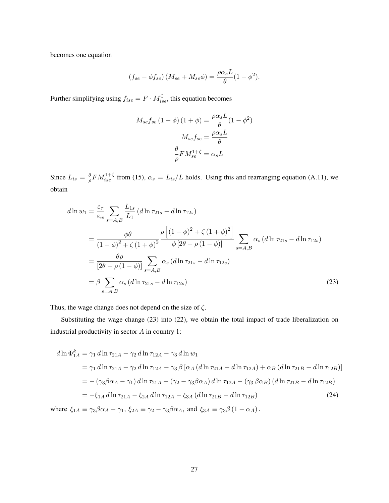becomes one equation

$$
(f_{se} - \phi f_{se}) (M_{se} + M_{se}\phi) = \frac{\rho \alpha_s L}{\theta} (1 - \phi^2).
$$

Further simplifying using  $f_{ise} = F \cdot M_{ise}^{\zeta}$ , this equation becomes

$$
M_{se}f_{se} (1 - \phi) (1 + \phi) = \frac{\rho \alpha_s L}{\theta} (1 - \phi^2)
$$

$$
M_{se}f_{se} = \frac{\rho \alpha_s L}{\theta}
$$

$$
\frac{\theta}{\rho} F M_{se}^{1 + \zeta} = \alpha_s L
$$

Since  $L_{is} = \frac{\theta}{a}$  $\frac{\theta}{\rho} F M_{ise}^{1+\zeta}$  from (15),  $\alpha_s = L_{is}/L$  holds. Using this and rearranging equation (A.11), we obtain

$$
d\ln w_1 = \frac{\varepsilon_\tau}{\varepsilon_w} \sum_{s=A,B} \frac{L_{1s}}{L_1} (d\ln \tau_{21s} - d\ln \tau_{12s})
$$
  
= 
$$
\frac{\phi \theta}{(1-\phi)^2 + \zeta (1+\phi)^2} \frac{\rho \left[ (1-\phi)^2 + \zeta (1+\phi)^2 \right]}{\phi [2\theta - \rho (1-\phi)]} \sum_{s=A,B} \alpha_s (d\ln \tau_{21s} - d\ln \tau_{12s})
$$
  
= 
$$
\frac{\theta \rho}{[2\theta - \rho (1-\phi)]} \sum_{s=A,B} \alpha_s (d\ln \tau_{21s} - d\ln \tau_{12s})
$$
  
= 
$$
\beta \sum_{s=A,B} \alpha_s (d\ln \tau_{21s} - d\ln \tau_{12s})
$$
(23)

Thus, the wage change does not depend on the size of  $\zeta$ .

Substituting the wage change (23) into (22), we obtain the total impact of trade liberalization on industrial productivity in sector  $A$  in country 1:

$$
d\ln \Phi_{1A}^{k} = \gamma_1 d\ln \tau_{21A} - \gamma_2 d\ln \tau_{12A} - \gamma_3 d\ln w_1
$$
  
=  $\gamma_1 d\ln \tau_{21A} - \gamma_2 d\ln \tau_{12A} - \gamma_3 \beta [\alpha_A (d\ln \tau_{21A} - d\ln \tau_{12A}) + \alpha_B (d\ln \tau_{21B} - d\ln \tau_{12B})]$   
=  $-(\gamma_3 \beta \alpha_A - \gamma_1) d\ln \tau_{21A} - (\gamma_2 - \gamma_3 \beta \alpha_A) d\ln \tau_{12A} - (\gamma_3 \beta \alpha_B) (d\ln \tau_{21B} - d\ln \tau_{12B})$   
=  $-\xi_{1A} d\ln \tau_{21A} - \xi_{2A} d\ln \tau_{12A} - \xi_{3A} (d\ln \tau_{21B} - d\ln \tau_{12B})$  (24)

where  $\xi_{1A} \equiv \gamma_3 \beta \alpha_A - \gamma_1$ ,  $\xi_{2A} \equiv \gamma_2 - \gamma_3 \beta \alpha_A$ , and  $\xi_{3A} \equiv \gamma_3 \beta (1 - \alpha_A)$ .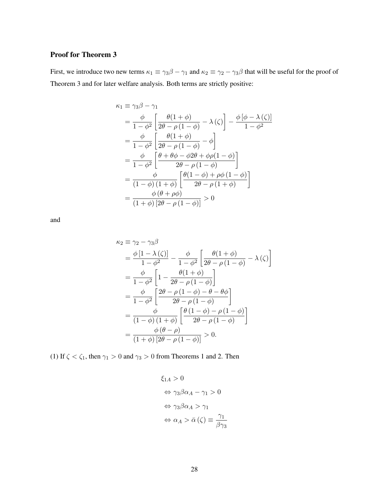### Proof for Theorem 3

First, we introduce two new terms  $\kappa_1 \equiv \gamma_3 \beta - \gamma_1$  and  $\kappa_2 \equiv \gamma_2 - \gamma_3 \beta$  that will be useful for the proof of Theorem 3 and for later welfare analysis. Both terms are strictly positive:

$$
\kappa_1 \equiv \gamma_3 \beta - \gamma_1
$$
\n
$$
= \frac{\phi}{1 - \phi^2} \left[ \frac{\theta(1 + \phi)}{2\theta - \rho(1 - \phi)} - \lambda(\zeta) \right] - \frac{\phi[\phi - \lambda(\zeta)]}{1 - \phi^2}
$$
\n
$$
= \frac{\phi}{1 - \phi^2} \left[ \frac{\theta(1 + \phi)}{2\theta - \rho(1 - \phi)} - \phi \right]
$$
\n
$$
= \frac{\phi}{1 - \phi^2} \left[ \frac{\theta + \theta\phi - \phi 2\theta + \phi\rho(1 - \phi)}{2\theta - \rho(1 - \phi)} \right]
$$
\n
$$
= \frac{\phi}{(1 - \phi)(1 + \phi)} \left[ \frac{\theta(1 - \phi) + \rho\phi(1 - \phi)}{2\theta - \rho(1 + \phi)} \right]
$$
\n
$$
= \frac{\phi(\theta + \rho\phi)}{(1 + \phi)[2\theta - \rho(1 - \phi)]} > 0
$$

and

$$
\kappa_2 \equiv \gamma_2 - \gamma_3 \beta
$$
  
=  $\frac{\phi [1 - \lambda (\zeta)]}{1 - \phi^2} - \frac{\phi}{1 - \phi^2} \left[ \frac{\theta (1 + \phi)}{2\theta - \rho (1 - \phi)} - \lambda (\zeta) \right]$   
=  $\frac{\phi}{1 - \phi^2} \left[ 1 - \frac{\theta (1 + \phi)}{2\theta - \rho (1 - \phi)} \right]$   
=  $\frac{\phi}{1 - \phi^2} \left[ \frac{2\theta - \rho (1 - \phi) - \theta - \theta \phi}{2\theta - \rho (1 - \phi)} \right]$   
=  $\frac{\phi}{(1 - \phi) (1 + \phi)} \left[ \frac{\theta (1 - \phi) - \rho (1 - \phi)}{2\theta - \rho (1 - \phi)} \right]$   
=  $\frac{\phi (\theta - \rho)}{(1 + \phi) [2\theta - \rho (1 - \phi)]} > 0.$ 

(1) If  $\zeta < \zeta_1$ , then  $\gamma_1 > 0$  and  $\gamma_3 > 0$  from Theorems 1 and 2. Then

$$
\xi_{1A} > 0
$$
  
\n
$$
\Leftrightarrow \gamma_3 \beta \alpha_A - \gamma_1 > 0
$$
  
\n
$$
\Leftrightarrow \gamma_3 \beta \alpha_A > \gamma_1
$$
  
\n
$$
\Leftrightarrow \alpha_A > \bar{\alpha} (\zeta) \equiv \frac{\gamma_1}{\beta \gamma_3}
$$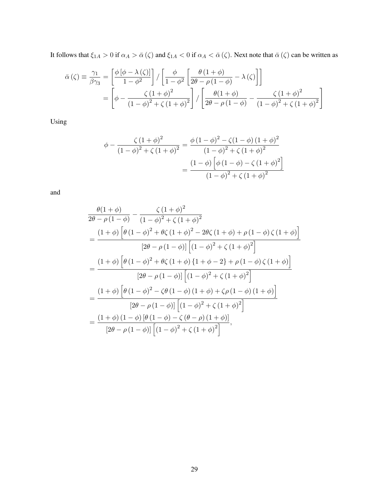It follows that  $\xi_{1A} > 0$  if  $\alpha_A > \bar{\alpha}(\zeta)$  and  $\xi_{1A} < 0$  if  $\alpha_A < \bar{\alpha}(\zeta)$ . Next note that  $\bar{\alpha}(\zeta)$  can be written as

$$
\bar{\alpha}(\zeta) \equiv \frac{\gamma_1}{\beta \gamma_3} = \left[ \frac{\phi \left[ \phi - \lambda(\zeta) \right]}{1 - \phi^2} \right] / \left[ \frac{\phi}{1 - \phi^2} \left[ \frac{\theta \left( 1 + \phi \right)}{2\theta - \rho \left( 1 - \phi \right)} - \lambda(\zeta) \right] \right]
$$

$$
= \left[ \phi - \frac{\zeta \left( 1 + \phi \right)^2}{\left( 1 - \phi \right)^2 + \zeta \left( 1 + \phi \right)^2} \right] / \left[ \frac{\theta \left( 1 + \phi \right)}{2\theta - \rho \left( 1 - \phi \right)} - \frac{\zeta \left( 1 + \phi \right)^2}{\left( 1 - \phi \right)^2 + \zeta \left( 1 + \phi \right)^2} \right]
$$

Using

$$
\phi - \frac{\zeta (1 + \phi)^2}{(1 - \phi)^2 + \zeta (1 + \phi)^2} = \frac{\phi (1 - \phi)^2 - \zeta (1 - \phi) (1 + \phi)^2}{(1 - \phi)^2 + \zeta (1 + \phi)^2}
$$

$$
= \frac{(1 - \phi) \left[ \phi (1 - \phi) - \zeta (1 + \phi)^2 \right]}{(1 - \phi)^2 + \zeta (1 + \phi)^2}
$$

and

$$
\frac{\theta(1+\phi)}{2\theta-\rho(1-\phi)} - \frac{\zeta(1+\phi)^2}{(1-\phi)^2 + \zeta(1+\phi)^2}
$$
\n
$$
= \frac{(1+\phi)\left[\theta(1-\phi)^2 + \theta\zeta(1+\phi)^2 - 2\theta\zeta(1+\phi) + \rho(1-\phi)\zeta(1+\phi)\right]}{[2\theta-\rho(1-\phi)][(1-\phi)^2 + \zeta(1+\phi)^2]}
$$
\n
$$
= \frac{(1+\phi)\left[\theta(1-\phi)^2 + \theta\zeta(1+\phi)\{1+\phi-2\} + \rho(1-\phi)\zeta(1+\phi)\right]}{[2\theta-\rho(1-\phi)][(1-\phi)^2 + \zeta(1+\phi)^2]}
$$
\n
$$
= \frac{(1+\phi)\left[\theta(1-\phi)^2 - \zeta\theta(1-\phi)(1+\phi) + \zeta\rho(1-\phi)(1+\phi)\right]}{[2\theta-\rho(1-\phi)][(1-\phi)^2 + \zeta(1+\phi)^2]}
$$
\n
$$
= \frac{(1+\phi)(1-\phi)[\theta(1-\phi) - \zeta(\theta-\rho)(1+\phi)]}{[2\theta-\rho(1-\phi)][(1-\phi)^2 + \zeta(1+\phi)^2]},
$$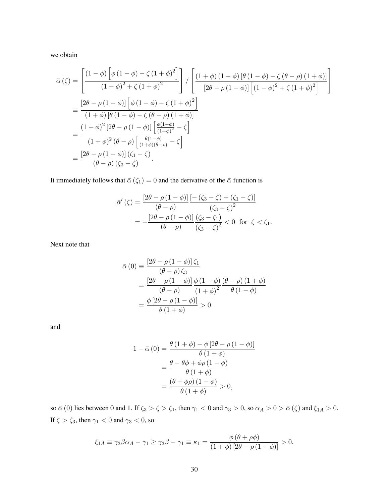we obtain

$$
\bar{\alpha}(\zeta) = \left[ \frac{(1-\phi)\left[\phi(1-\phi)-\zeta(1+\phi)^2\right]}{(1-\phi)^2 + \zeta(1+\phi)^2} \right] / \left[ \frac{(1+\phi)(1-\phi)\left[\theta(1-\phi)-\zeta(\theta-\rho)(1+\phi)\right]}{\left[2\theta-\rho(1-\phi)\right]\left[(1-\phi)^2 + \zeta(1+\phi)^2\right]} \right]
$$
\n
$$
= \frac{\left[2\theta-\rho(1-\phi)\right]\left[\phi(1-\phi)-\zeta(1+\phi)^2\right]}{(1+\phi)\left[\theta(1-\phi)-\zeta(\theta-\rho)(1+\phi)\right]}
$$
\n
$$
= \frac{(1+\phi)^2\left[2\theta-\rho(1-\phi)\right]\left[\frac{\phi(1-\phi)}{(1+\phi)^2}-\zeta\right]}{(1+\phi)^2(\theta-\rho)\left[\frac{\theta(1-\phi)}{(1+\phi)(\theta-\rho)}-\zeta\right]}
$$
\n
$$
= \frac{\left[2\theta-\rho(1-\phi)\right]\left(\zeta_1-\zeta\right)}{(\theta-\rho)\left(\zeta_3-\zeta\right)}.
$$

It immediately follows that  $\bar{\alpha}(\zeta_1) = 0$  and the derivative of the  $\bar{\alpha}$  function is

$$
\bar{\alpha}'(\zeta) = \frac{\left[2\theta - \rho\left(1 - \phi\right)\right] \left[-\left(\zeta_3 - \zeta\right) + \left(\zeta_1 - \zeta\right)\right]}{\left(\theta - \rho\right)} \\
= -\frac{\left[2\theta - \rho\left(1 - \phi\right)\right] \left(\zeta_3 - \zeta_1\right)}{\left(\theta - \rho\right)} \\
\frac{\left(\zeta_3 - \zeta_1\right)}{\left(\zeta_3 - \zeta\right)^2} < 0 \quad \text{for } \zeta < \zeta_1.
$$

Next note that

$$
\bar{\alpha}(0) \equiv \frac{\left[2\theta - \rho(1-\phi)\right]\zeta_1}{\left(\theta - \rho\right)\zeta_3}
$$

$$
= \frac{\left[2\theta - \rho(1-\phi)\right]\phi(1-\phi)}{\left(\theta - \rho\right)}\frac{\phi(1-\phi)}{\left(1+\phi\right)^2}\frac{\theta(1-\phi)}{\theta(1-\phi)}
$$

$$
= \frac{\phi\left[2\theta - \rho(1-\phi)\right]}{\theta(1+\phi)} > 0
$$

and

$$
1 - \bar{\alpha}(0) = \frac{\theta(1+\phi) - \phi[2\theta - \rho(1-\phi)]}{\theta(1+\phi)}
$$

$$
= \frac{\theta - \theta\phi + \phi\rho(1-\phi)}{\theta(1+\phi)}
$$

$$
= \frac{(\theta + \phi\rho)(1-\phi)}{\theta(1+\phi)} > 0,
$$

so  $\bar{\alpha}(0)$  lies between 0 and 1. If  $\zeta_3 > \zeta > \zeta_1$ , then  $\gamma_1 < 0$  and  $\gamma_3 > 0$ , so  $\alpha_A > 0 > \bar{\alpha}(\zeta)$  and  $\xi_{1A} > 0$ . If  $\zeta>\zeta_3,$  then  $\gamma_1<0$  and  $\gamma_3<0,$  so

$$
\xi_{1A} \equiv \gamma_3 \beta \alpha_A - \gamma_1 \ge \gamma_3 \beta - \gamma_1 \equiv \kappa_1 = \frac{\phi(\theta + \rho \phi)}{(1 + \phi) [2\theta - \rho(1 - \phi)]} > 0.
$$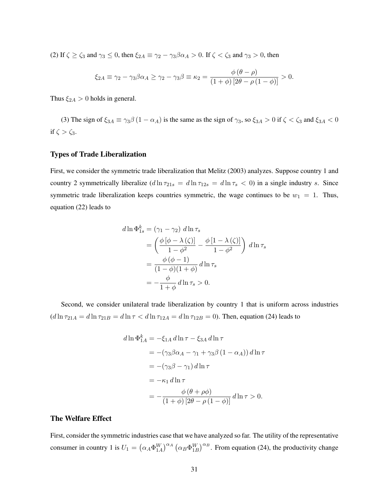(2) If  $\zeta \ge \zeta_3$  and  $\gamma_3 \le 0$ , then  $\xi_{2A} \equiv \gamma_2 - \gamma_3 \beta \alpha_A > 0$ . If  $\zeta < \zeta_3$  and  $\gamma_3 > 0$ , then

$$
\xi_{2A} \equiv \gamma_2 - \gamma_3 \beta \alpha_A \ge \gamma_2 - \gamma_3 \beta \equiv \kappa_2 = \frac{\phi (\theta - \rho)}{(1 + \phi) [2\theta - \rho (1 - \phi)]} > 0.
$$

Thus  $\xi_{2A} > 0$  holds in general.

(3) The sign of  $\xi_{3A} \equiv \gamma_3 \beta (1 - \alpha_A)$  is the same as the sign of  $\gamma_3$ , so  $\xi_{3A} > 0$  if  $\zeta < \zeta_3$  and  $\xi_{3A} < 0$ if  $\zeta > \zeta_3$ .

### Types of Trade Liberalization

First, we consider the symmetric trade liberalization that Melitz (2003) analyzes. Suppose country 1 and country 2 symmetrically liberalize  $(d \ln \tau_{21s} = d \ln \tau_{12s} = d \ln \tau_s < 0$ ) in a single industry s. Since symmetric trade liberalization keeps countries symmetric, the wage continues to be  $w_1 = 1$ . Thus, equation (22) leads to

$$
d\ln \Phi_{1s}^{k} = (\gamma_1 - \gamma_2) d\ln \tau_s
$$
  
=  $\left(\frac{\phi [\phi - \lambda(\zeta)]}{1 - \phi^2} - \frac{\phi [1 - \lambda(\zeta)]}{1 - \phi^2}\right) d\ln \tau_s$   
=  $\frac{\phi (\phi - 1)}{(1 - \phi)(1 + \phi)} d\ln \tau_s$   
=  $-\frac{\phi}{1 + \phi} d\ln \tau_s > 0$ .

Second, we consider unilateral trade liberalization by country 1 that is uniform across industries  $(d \ln \tau_{21A} = d \ln \tau_{21B} = d \ln \tau < d \ln \tau_{12A} = d \ln \tau_{12B} = 0$ . Then, equation (24) leads to

$$
d \ln \Phi_{1A}^{k} = -\xi_{1A} d \ln \tau - \xi_{3A} d \ln \tau
$$
  
= -(\gamma\_{3}\beta\alpha\_{A} - \gamma\_{1} + \gamma\_{3}\beta (1 - \alpha\_{A})) d \ln \tau  
= -(\gamma\_{3}\beta - \gamma\_{1}) d \ln \tau  
= -\kappa\_{1} d \ln \tau  
= -\frac{\phi (\theta + \rho\phi)}{(1 + \phi) [2\theta - \rho (1 - \phi)]} d \ln \tau > 0.

#### The Welfare Effect

First, consider the symmetric industries case that we have analyzed so far. The utility of the representative consumer in country 1 is  $U_1 = (\alpha_A \Phi_{1A}^W)^{\alpha_A} (\alpha_B \Phi_{1B}^W)^{\alpha_B}$ . From equation (24), the productivity change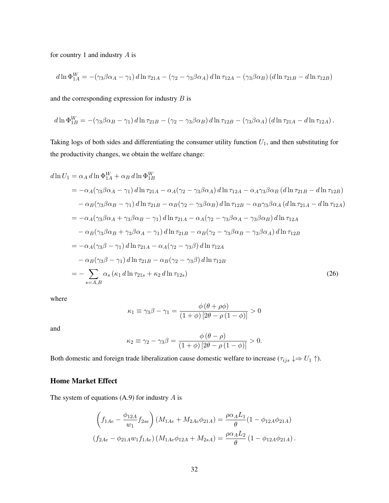for country 1 and industry  $A$  is

$$
d\ln \Phi_{1A}^W = -(\gamma_3 \beta \alpha_A - \gamma_1) d\ln \tau_{21A} - (\gamma_2 - \gamma_3 \beta \alpha_A) d\ln \tau_{12A} - (\gamma_3 \beta \alpha_B) (d\ln \tau_{21B} - d\ln \tau_{12B})
$$

and the corresponding expression for industry  $B$  is

$$
d\ln \Phi_{1B}^W = -(\gamma_3\beta\alpha_B - \gamma_1) d\ln \tau_{21B} - (\gamma_2 - \gamma_3\beta\alpha_B) d\ln \tau_{12B} - (\gamma_3\beta\alpha_A) (d\ln \tau_{21A} - d\ln \tau_{12A}).
$$

Taking logs of both sides and differentiating the consumer utility function  $U_1$ , and then substituting for the productivity changes, we obtain the welfare change:

$$
d\ln U_{1} = \alpha_{A} d\ln \Phi_{1A}^{W} + \alpha_{B} d\ln \Phi_{1B}^{W}
$$
  
\n
$$
= -\alpha_{A}(\gamma_{3}\beta\alpha_{A} - \gamma_{1}) d\ln \tau_{21A} - \alpha_{A}(\gamma_{2} - \gamma_{3}\beta\alpha_{A}) d\ln \tau_{12A} - \alpha_{A}\gamma_{3}\beta\alpha_{B} (d\ln \tau_{21B} - d\ln \tau_{12B})
$$
  
\n
$$
- \alpha_{B}(\gamma_{3}\beta\alpha_{B} - \gamma_{1}) d\ln \tau_{21B} - \alpha_{B}(\gamma_{2} - \gamma_{3}\beta\alpha_{B}) d\ln \tau_{12B} - \alpha_{B}\gamma_{3}\beta\alpha_{A} (d\ln \tau_{21A} - d\ln \tau_{12A})
$$
  
\n
$$
= -\alpha_{A}(\gamma_{3}\beta\alpha_{A} + \gamma_{3}\beta\alpha_{B} - \gamma_{1}) d\ln \tau_{21A} - \alpha_{A}(\gamma_{2} - \gamma_{3}\beta\alpha_{A} - \gamma_{3}\beta\alpha_{B}) d\ln \tau_{12A}
$$
  
\n
$$
- \alpha_{B}(\gamma_{3}\beta\alpha_{B} + \gamma_{3}\beta\alpha_{A} - \gamma_{1}) d\ln \tau_{21B} - \alpha_{B}(\gamma_{2} - \gamma_{3}\beta\alpha_{B} - \gamma_{3}\beta\alpha_{A}) d\ln \tau_{12B}
$$
  
\n
$$
= -\alpha_{A}(\gamma_{3}\beta - \gamma_{1}) d\ln \tau_{21A} - \alpha_{A}(\gamma_{2} - \gamma_{3}\beta) d\ln \tau_{12A}
$$
  
\n
$$
- \alpha_{B}(\gamma_{3}\beta - \gamma_{1}) d\ln \tau_{21B} - \alpha_{B}(\gamma_{2} - \gamma_{3}\beta) d\ln \tau_{12B}
$$
  
\n
$$
= -\sum_{s \in A, B} \alpha_{s} (\kappa_{1} d\ln \tau_{21s} + \kappa_{2} d\ln \tau_{12s})
$$
 (26)

where

$$
\kappa_1 \equiv \gamma_3 \beta - \gamma_1 = \frac{\phi (\theta + \rho \phi)}{(1 + \phi) [2\theta - \rho (1 - \phi)]} > 0
$$

and

$$
\kappa_2 \equiv \gamma_2 - \gamma_3 \beta = \frac{\phi(\theta - \rho)}{(1 + \phi) [2\theta - \rho(1 - \phi)]} > 0.
$$

Both domestic and foreign trade liberalization cause domestic welfare to increase ( $\tau_{ijs} \downarrow \Rightarrow U_1 \uparrow$ ).

### Home Market Effect

The system of equations  $(A.9)$  for industry  $A$  is

$$
\left(f_{1Ae} - \frac{\phi_{12A}}{w_1} f_{2se}\right) (M_{1Ae} + M_{2Ae}\phi_{21A}) = \frac{\rho \alpha_A L_1}{\theta} (1 - \phi_{12A}\phi_{21A})
$$

$$
(f_{2Ae} - \phi_{21A} w_1 f_{1Ae}) (M_{1Ae}\phi_{12A} + M_{2sA}) = \frac{\rho \alpha_A L_2}{\theta} (1 - \phi_{12A}\phi_{21A}).
$$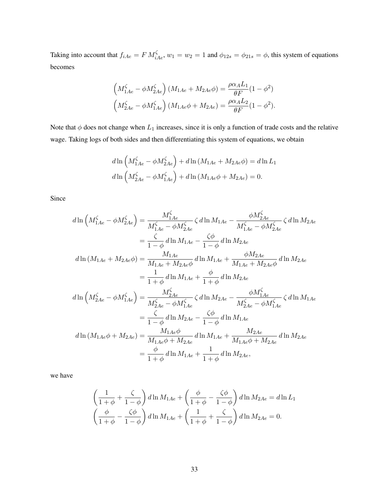Taking into account that  $f_{iAe} = F M_{iAe}^{\zeta}$ ,  $w_1 = w_2 = 1$  and  $\phi_{12s} = \phi_{21s} = \phi$ , this system of equations becomes

$$
\left(M_{1Ae}^{\zeta} - \phi M_{2Ae}^{\zeta}\right) (M_{1Ae} + M_{2Ae}\phi) = \frac{\rho \alpha_A L_1}{\theta F} (1 - \phi^2)
$$
  

$$
\left(M_{2Ae}^{\zeta} - \phi M_{1Ae}^{\zeta}\right) (M_{1Ae}\phi + M_{2Ae}) = \frac{\rho \alpha_A L_2}{\theta F} (1 - \phi^2).
$$

Note that  $\phi$  does not change when  $L_1$  increases, since it is only a function of trade costs and the relative wage. Taking logs of both sides and then differentiating this system of equations, we obtain

$$
d\ln\left(M_{1Ae}^{\zeta} - \phi M_{2Ae}^{\zeta}\right) + d\ln\left(M_{1Ae} + M_{2Ae}\phi\right) = d\ln L_1
$$
  

$$
d\ln\left(M_{2Ae}^{\zeta} - \phi M_{1Ae}^{\zeta}\right) + d\ln\left(M_{1Ae}\phi + M_{2Ae}\right) = 0.
$$

Since

$$
d\ln\left(M_{1Ae}^{\zeta} - \phi M_{2Ae}^{\zeta}\right) = \frac{M_{1Ae}^{\zeta}}{M_{1Ae}^{\zeta} - \phi M_{2Ae}^{\zeta}} \zeta d\ln M_{1Ae} - \frac{\phi M_{2Ae}^{\zeta}}{M_{1Ae}^{\zeta} - \phi M_{2Ae}^{\zeta}} \zeta d\ln M_{2Ae}
$$
  
\n
$$
= \frac{\zeta}{1 - \phi} d\ln M_{1Ae} - \frac{\zeta \phi}{1 - \phi} d\ln M_{2Ae}
$$
  
\n
$$
d\ln\left(M_{1Ae} + M_{2Ae}\phi\right) = \frac{M_{1Ae}}{M_{1Ae} + M_{2Ae}\phi} d\ln M_{1Ae} + \frac{\phi M_{2Ae}}{M_{1Ae} + M_{2Ae}\phi} d\ln M_{2Ae}
$$
  
\n
$$
= \frac{1}{1 + \phi} d\ln M_{1Ae} + \frac{\phi}{1 + \phi} d\ln M_{2Ae}
$$
  
\n
$$
d\ln\left(M_{2Ae}^{\zeta} - \phi M_{1Ae}^{\zeta}\right) = \frac{M_{2Ae}^{\zeta}}{M_{2Ae}^{\zeta} - \phi M_{1Ae}^{\zeta}} \zeta d\ln M_{2Ae} - \frac{\phi M_{1Ae}^{\zeta}}{M_{2Ae}^{\zeta} - \phi M_{1Ae}^{\zeta}} \zeta d\ln M_{1Ae}
$$
  
\n
$$
= \frac{\zeta}{1 - \phi} d\ln M_{2Ae} - \frac{\zeta \phi}{1 - \phi} d\ln M_{1Ae}
$$
  
\n
$$
d\ln\left(M_{1Ae}\phi + M_{2Ae}\right) = \frac{M_{1Ae}\phi}{M_{1Ae}\phi + M_{2Ae}} d\ln M_{1Ae} + \frac{M_{2Ae}}{M_{1Ae}\phi + M_{2Ae}} d\ln M_{2Ae}
$$
  
\n
$$
= \frac{\phi}{1 + \phi} d\ln M_{1Ae} + \frac{1}{1 + \phi} d\ln M_{2Ae},
$$

we have

$$
\left(\frac{1}{1+\phi}+\frac{\zeta}{1-\phi}\right)d\ln M_{1Ae}+\left(\frac{\phi}{1+\phi}-\frac{\zeta\phi}{1-\phi}\right)d\ln M_{2Ae}=d\ln L_1
$$

$$
\left(\frac{\phi}{1+\phi}-\frac{\zeta\phi}{1-\phi}\right)d\ln M_{1Ae}+\left(\frac{1}{1+\phi}+\frac{\zeta}{1-\phi}\right)d\ln M_{2Ae}=0.
$$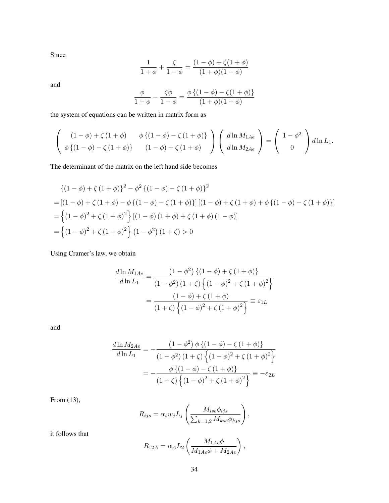Since

$$
\frac{1}{1+\phi} + \frac{\zeta}{1-\phi} = \frac{(1-\phi) + \zeta(1+\phi)}{(1+\phi)(1-\phi)}
$$

and

$$
\frac{\phi}{1+\phi} - \frac{\zeta\phi}{1-\phi} = \frac{\phi\{(1-\phi) - \zeta(1+\phi)\}}{(1+\phi)(1-\phi)}
$$

the system of equations can be written in matrix form as

$$
\begin{pmatrix}\n(1-\phi) + \zeta(1+\phi) & \phi\{(1-\phi) - \zeta(1+\phi)\} \\
\phi\{(1-\phi) - \zeta(1+\phi)\} & (1-\phi) + \zeta(1+\phi)\n\end{pmatrix}\n\begin{pmatrix}\nd\ln M_{1Ae} \\
d\ln M_{2Ae}\n\end{pmatrix} = \begin{pmatrix}\n1-\phi^2 \\
0\n\end{pmatrix} d\ln L_1.
$$

The determinant of the matrix on the left hand side becomes

$$
\begin{aligned} \left\{ (1 - \phi) + \zeta (1 + \phi) \right\}^2 &- \phi^2 \left\{ (1 - \phi) - \zeta (1 + \phi) \right\}^2 \\ &= \left[ (1 - \phi) + \zeta (1 + \phi) - \phi \left\{ (1 - \phi) - \zeta (1 + \phi) \right\} \right] \left[ (1 - \phi) + \zeta (1 + \phi) + \phi \left\{ (1 - \phi) - \zeta (1 + \phi) \right\} \right] \\ &= \left\{ (1 - \phi)^2 + \zeta (1 + \phi)^2 \right\} \left[ (1 - \phi) (1 + \phi) + \zeta (1 + \phi) (1 - \phi) \right] \\ &= \left\{ (1 - \phi)^2 + \zeta (1 + \phi)^2 \right\} (1 - \phi^2) (1 + \zeta) > 0 \end{aligned}
$$

Using Cramer's law, we obtain

$$
\frac{d \ln M_{1Ae}}{d \ln L_1} = \frac{(1 - \phi^2) \{ (1 - \phi) + \zeta (1 + \phi) \}}{(1 - \phi^2) (1 + \zeta) \{ (1 - \phi)^2 + \zeta (1 + \phi)^2 \}}
$$

$$
= \frac{(1 - \phi) + \zeta (1 + \phi)}{(1 + \zeta) \{ (1 - \phi)^2 + \zeta (1 + \phi)^2 \}} \equiv \varepsilon_{1L}
$$

and

$$
\frac{d \ln M_{2Ae}}{d \ln L_1} = -\frac{\left(1 - \phi^2\right) \phi \left\{(1 - \phi) - \zeta \left(1 + \phi\right)\right\}}{\left(1 - \phi^2\right) \left(1 + \zeta\right) \left\{(1 - \phi)^2 + \zeta \left(1 + \phi\right)^2\right\}} = -\frac{\phi \left\{\left(1 - \phi\right) - \zeta \left(1 + \phi\right)\right\}}{\left(1 + \zeta\right) \left\{\left(1 - \phi\right)^2 + \zeta \left(1 + \phi\right)^2\right\}} \equiv -\varepsilon_{2L}.
$$

From (13),

$$
R_{ijs} = \alpha_s w_j L_j \left( \frac{M_{ise}\phi_{ijs}}{\sum_{k=1,2} M_{kse}\phi_{kjs}} \right),
$$

it follows that

$$
R_{12A} = \alpha_A L_2 \left( \frac{M_{1Ae}\phi}{M_{1Ae}\phi + M_{2Ae}} \right),
$$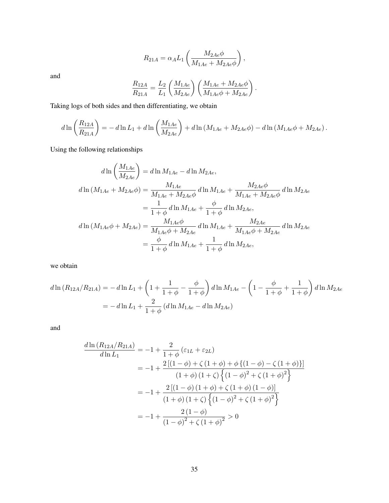$$
R_{21A} = \alpha_A L_1 \left( \frac{M_{2Ae}\phi}{M_{1Ae} + M_{2Ae}\phi} \right),
$$

and

$$
\frac{R_{12A}}{R_{21A}} = \frac{L_2}{L_1} \left( \frac{M_{1Ae}}{M_{2Ae}} \right) \left( \frac{M_{1Ae} + M_{2Ae}\phi}{M_{1Ae}\phi + M_{2Ae}} \right).
$$

Taking logs of both sides and then differentiating, we obtain

$$
d\ln\left(\frac{R_{12A}}{R_{21A}}\right) = -d\ln L_1 + d\ln\left(\frac{M_{1Ae}}{M_{2Ae}}\right) + d\ln\left(M_{1Ae} + M_{2Ae}\phi\right) - d\ln\left(M_{1Ae}\phi + M_{2Ae}\right).
$$

Using the following relationships

$$
d\ln\left(\frac{M_{1Ae}}{M_{2Ae}}\right) = d\ln M_{1Ae} - d\ln M_{2Ae},
$$
  
\n
$$
d\ln\left(M_{1Ae} + M_{2Ae}\phi\right) = \frac{M_{1Ae}}{M_{1Ae} + M_{2Ae}\phi} d\ln M_{1Ae} + \frac{M_{2Ae}\phi}{M_{1Ae} + M_{2Ae}\phi} d\ln M_{2Ae}
$$
  
\n
$$
= \frac{1}{1+\phi} d\ln M_{1Ae} + \frac{\phi}{1+\phi} d\ln M_{2Ae},
$$
  
\n
$$
d\ln\left(M_{1Ae}\phi + M_{2Ae}\right) = \frac{M_{1Ae}\phi}{M_{1Ae}\phi + M_{2Ae}} d\ln M_{1Ae} + \frac{M_{2Ae}}{M_{1Ae}\phi + M_{2Ae}} d\ln M_{2Ae}
$$
  
\n
$$
= \frac{\phi}{1+\phi} d\ln M_{1Ae} + \frac{1}{1+\phi} d\ln M_{2Ae},
$$

we obtain

$$
d\ln(R_{12A}/R_{21A}) = -d\ln L_1 + \left(1 + \frac{1}{1+\phi} - \frac{\phi}{1+\phi}\right) d\ln M_{1Ae} - \left(1 - \frac{\phi}{1+\phi} + \frac{1}{1+\phi}\right) d\ln M_{2Ae}
$$
  
=  $-d\ln L_1 + \frac{2}{1+\phi} (d\ln M_{1Ae} - d\ln M_{2Ae})$ 

and

$$
\frac{d\ln(R_{12A}/R_{21A})}{d\ln L_1} = -1 + \frac{2}{1+\phi} (\varepsilon_{1L} + \varepsilon_{2L})
$$
  
= -1 +  $\frac{2[(1-\phi) + \zeta (1+\phi) + \phi \{(1-\phi) - \zeta (1+\phi)\}] }{(1+\phi) (1+\zeta) \{(1-\phi)^2 + \zeta (1+\phi)^2\}}$   
= -1 +  $\frac{2[(1-\phi) (1+\phi) + \zeta (1+\phi) (1-\phi)]}{(1+\phi) (1+\zeta) \{(1-\phi)^2 + \zeta (1+\phi)^2\}}$   
= -1 +  $\frac{2(1-\phi)}{(1-\phi)^2 + \zeta (1+\phi)^2} > 0$